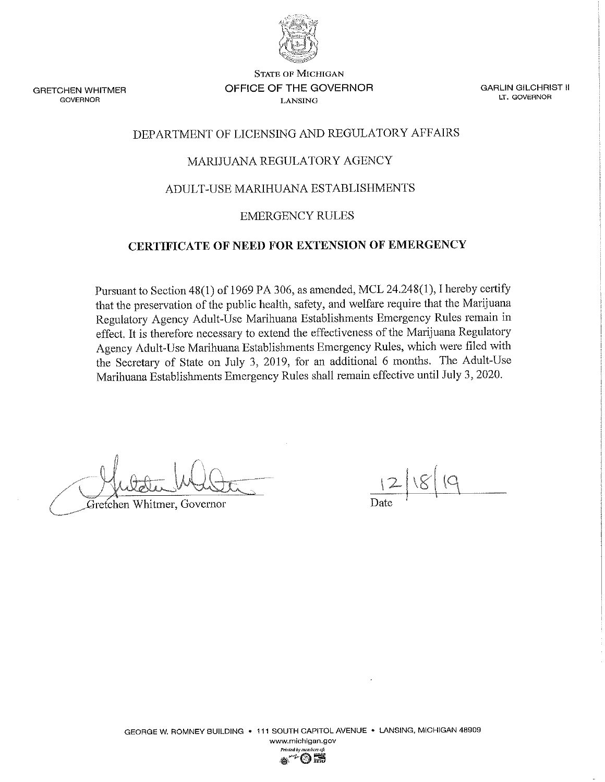

**GRETCHEN WHITMER GOVERNOR** 

**STATE OF MICHIGAN** OFFICE OF THE GOVERNOR **LANSING** 

**GARLIN GILCHRIST II** LT. GOVERNOR

# DEPARTMENT OF LICENSING AND REGULATORY AFFAIRS

# MARIJUANA REGULATORY AGENCY

# ADULT-USE MARIHUANA ESTABLISHMENTS

### **EMERGENCY RULES**

# CERTIFICATE OF NEED FOR EXTENSION OF EMERGENCY

Pursuant to Section 48(1) of 1969 PA 306, as amended, MCL 24.248(1), I hereby certify that the preservation of the public health, safety, and welfare require that the Marijuana Regulatory Agency Adult-Use Marihuana Establishments Emergency Rules remain in effect. It is therefore necessary to extend the effectiveness of the Marijuana Regulatory Agency Adult-Use Marihuana Establishments Emergency Rules, which were filed with the Secretary of State on July 3, 2019, for an additional 6 months. The Adult-Use Marihuana Establishments Emergency Rules shall remain effective until July 3, 2020.

Gretchen Whitmer, Governor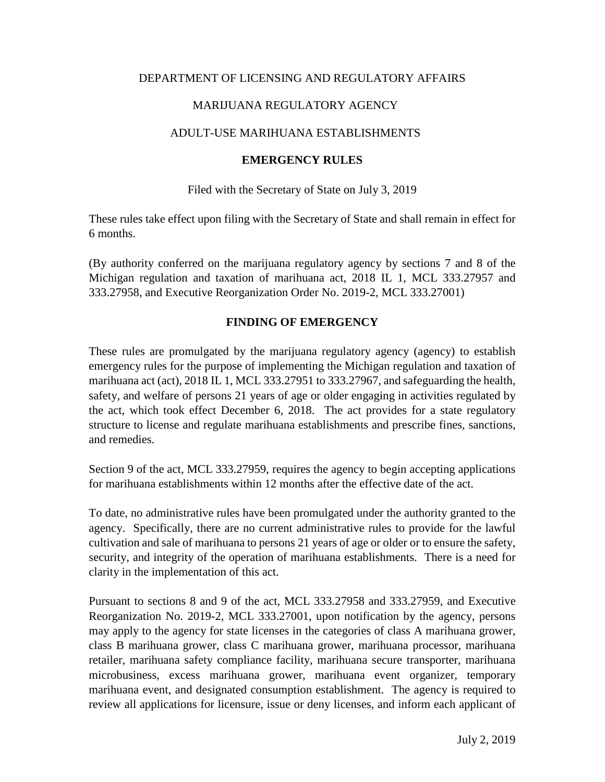# DEPARTMENT OF LICENSING AND REGULATORY AFFAIRS

# MARIJUANA REGULATORY AGENCY

# ADULT-USE MARIHUANA ESTABLISHMENTS

# **EMERGENCY RULES**

Filed with the Secretary of State on July 3, 2019

These rules take effect upon filing with the Secretary of State and shall remain in effect for 6 months.

(By authority conferred on the marijuana regulatory agency by sections 7 and 8 of the Michigan regulation and taxation of marihuana act, 2018 IL 1, MCL 333.27957 and 333.27958, and Executive Reorganization Order No. 2019-2, MCL 333.27001)

# **FINDING OF EMERGENCY**

These rules are promulgated by the marijuana regulatory agency (agency) to establish emergency rules for the purpose of implementing the Michigan regulation and taxation of marihuana act (act), 2018 IL 1, MCL 333.27951 to 333.27967, and safeguarding the health, safety, and welfare of persons 21 years of age or older engaging in activities regulated by the act, which took effect December 6, 2018. The act provides for a state regulatory structure to license and regulate marihuana establishments and prescribe fines, sanctions, and remedies.

Section 9 of the act, MCL 333.27959, requires the agency to begin accepting applications for marihuana establishments within 12 months after the effective date of the act.

To date, no administrative rules have been promulgated under the authority granted to the agency. Specifically, there are no current administrative rules to provide for the lawful cultivation and sale of marihuana to persons 21 years of age or older or to ensure the safety, security, and integrity of the operation of marihuana establishments. There is a need for clarity in the implementation of this act.

Pursuant to sections 8 and 9 of the act, MCL 333.27958 and 333.27959, and Executive Reorganization No. 2019-2, MCL 333.27001, upon notification by the agency, persons may apply to the agency for state licenses in the categories of class A marihuana grower, class B marihuana grower, class C marihuana grower, marihuana processor, marihuana retailer, marihuana safety compliance facility, marihuana secure transporter, marihuana microbusiness, excess marihuana grower, marihuana event organizer, temporary marihuana event, and designated consumption establishment. The agency is required to review all applications for licensure, issue or deny licenses, and inform each applicant of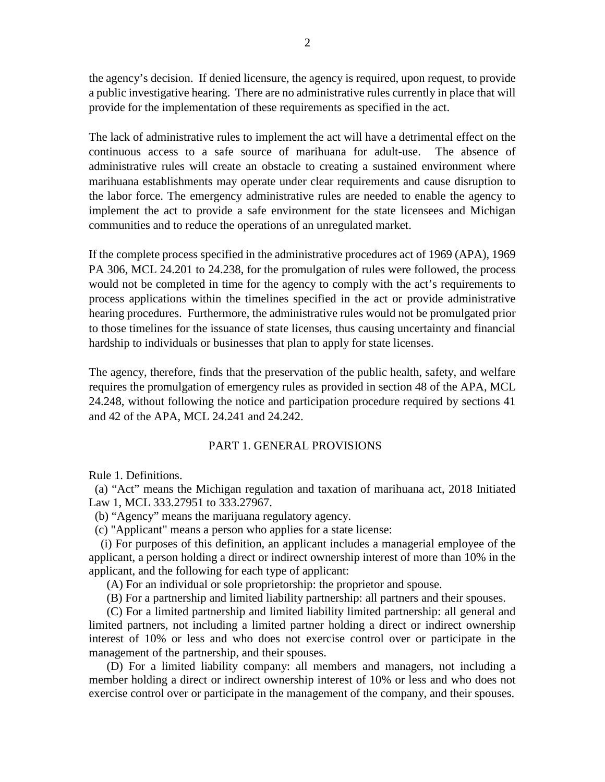the agency's decision. If denied licensure, the agency is required, upon request, to provide a public investigative hearing. There are no administrative rules currently in place that will provide for the implementation of these requirements as specified in the act.

The lack of administrative rules to implement the act will have a detrimental effect on the continuous access to a safe source of marihuana for adult-use. The absence of administrative rules will create an obstacle to creating a sustained environment where marihuana establishments may operate under clear requirements and cause disruption to the labor force. The emergency administrative rules are needed to enable the agency to implement the act to provide a safe environment for the state licensees and Michigan communities and to reduce the operations of an unregulated market.

If the complete process specified in the administrative procedures act of 1969 (APA), 1969 PA 306, MCL 24.201 to 24.238, for the promulgation of rules were followed, the process would not be completed in time for the agency to comply with the act's requirements to process applications within the timelines specified in the act or provide administrative hearing procedures. Furthermore, the administrative rules would not be promulgated prior to those timelines for the issuance of state licenses, thus causing uncertainty and financial hardship to individuals or businesses that plan to apply for state licenses.

The agency, therefore, finds that the preservation of the public health, safety, and welfare requires the promulgation of emergency rules as provided in section 48 of the APA, MCL 24.248, without following the notice and participation procedure required by sections 41 and 42 of the APA, MCL 24.241 and 24.242.

# PART 1. GENERAL PROVISIONS

Rule 1. Definitions.

 (a) "Act" means the Michigan regulation and taxation of marihuana act, 2018 Initiated Law 1, MCL 333.27951 to 333.27967.

- (b) "Agency" means the marijuana regulatory agency.
- (c) "Applicant" means a person who applies for a state license:

 (i) For purposes of this definition, an applicant includes a managerial employee of the applicant, a person holding a direct or indirect ownership interest of more than 10% in the applicant, and the following for each type of applicant:

(A) For an individual or sole proprietorship: the proprietor and spouse.

(B) For a partnership and limited liability partnership: all partners and their spouses.

 (C) For a limited partnership and limited liability limited partnership: all general and limited partners, not including a limited partner holding a direct or indirect ownership interest of 10% or less and who does not exercise control over or participate in the management of the partnership, and their spouses.

 (D) For a limited liability company: all members and managers, not including a member holding a direct or indirect ownership interest of 10% or less and who does not exercise control over or participate in the management of the company, and their spouses.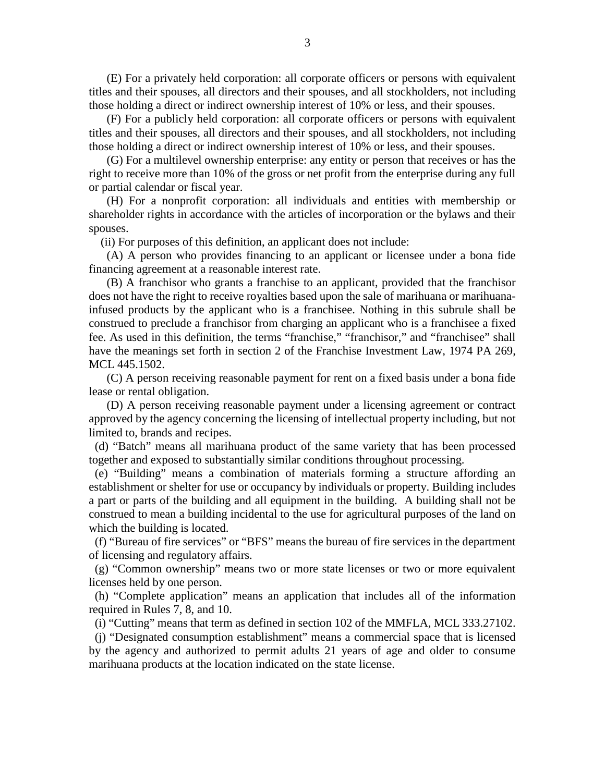(E) For a privately held corporation: all corporate officers or persons with equivalent titles and their spouses, all directors and their spouses, and all stockholders, not including those holding a direct or indirect ownership interest of 10% or less, and their spouses.

 (F) For a publicly held corporation: all corporate officers or persons with equivalent titles and their spouses, all directors and their spouses, and all stockholders, not including those holding a direct or indirect ownership interest of 10% or less, and their spouses.

 (G) For a multilevel ownership enterprise: any entity or person that receives or has the right to receive more than 10% of the gross or net profit from the enterprise during any full or partial calendar or fiscal year.

 (H) For a nonprofit corporation: all individuals and entities with membership or shareholder rights in accordance with the articles of incorporation or the bylaws and their spouses.

(ii) For purposes of this definition, an applicant does not include:

 (A) A person who provides financing to an applicant or licensee under a bona fide financing agreement at a reasonable interest rate.

 (B) A franchisor who grants a franchise to an applicant, provided that the franchisor does not have the right to receive royalties based upon the sale of marihuana or marihuanainfused products by the applicant who is a franchisee. Nothing in this subrule shall be construed to preclude a franchisor from charging an applicant who is a franchisee a fixed fee. As used in this definition, the terms "franchise," "franchisor," and "franchisee" shall have the meanings set forth in section 2 of the Franchise Investment Law, 1974 PA 269, MCL 445.1502.

 (C) A person receiving reasonable payment for rent on a fixed basis under a bona fide lease or rental obligation.

 (D) A person receiving reasonable payment under a licensing agreement or contract approved by the agency concerning the licensing of intellectual property including, but not limited to, brands and recipes.

 (d) "Batch" means all marihuana product of the same variety that has been processed together and exposed to substantially similar conditions throughout processing.

 (e) "Building" means a combination of materials forming a structure affording an establishment or shelter for use or occupancy by individuals or property. Building includes a part or parts of the building and all equipment in the building. A building shall not be construed to mean a building incidental to the use for agricultural purposes of the land on which the building is located.

 (f) "Bureau of fire services" or "BFS" means the bureau of fire services in the department of licensing and regulatory affairs.

 (g) "Common ownership" means two or more state licenses or two or more equivalent licenses held by one person.

 (h) "Complete application" means an application that includes all of the information required in Rules 7, 8, and 10.

(i) "Cutting" means that term as defined in section 102 of the MMFLA, MCL 333.27102.

 (j) "Designated consumption establishment" means a commercial space that is licensed by the agency and authorized to permit adults 21 years of age and older to consume marihuana products at the location indicated on the state license.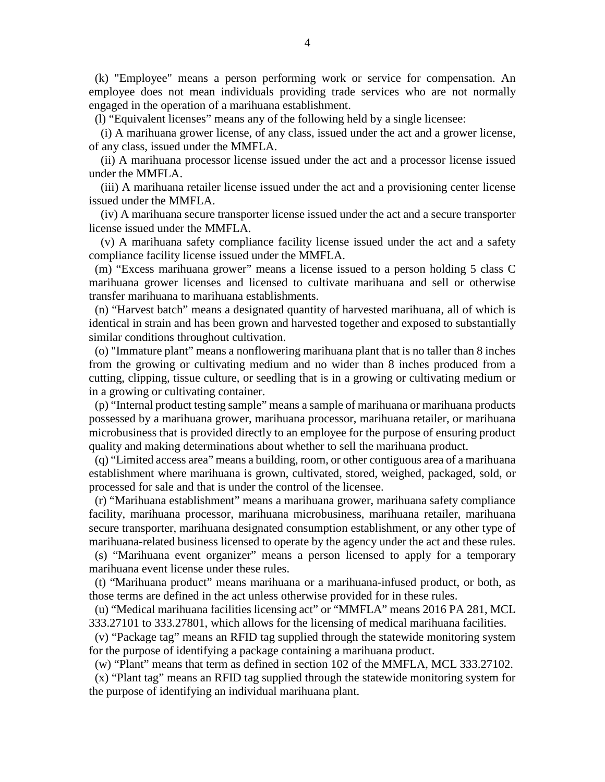(k) "Employee" means a person performing work or service for compensation. An employee does not mean individuals providing trade services who are not normally engaged in the operation of a marihuana establishment.

(l) "Equivalent licenses" means any of the following held by a single licensee:

 (i) A marihuana grower license, of any class, issued under the act and a grower license, of any class, issued under the MMFLA.

 (ii) A marihuana processor license issued under the act and a processor license issued under the MMFLA.

 (iii) A marihuana retailer license issued under the act and a provisioning center license issued under the MMFLA.

 (iv) A marihuana secure transporter license issued under the act and a secure transporter license issued under the MMFLA.

 (v) A marihuana safety compliance facility license issued under the act and a safety compliance facility license issued under the MMFLA.

 (m) "Excess marihuana grower" means a license issued to a person holding 5 class C marihuana grower licenses and licensed to cultivate marihuana and sell or otherwise transfer marihuana to marihuana establishments.

 (n) "Harvest batch" means a designated quantity of harvested marihuana, all of which is identical in strain and has been grown and harvested together and exposed to substantially similar conditions throughout cultivation.

 (o) "Immature plant" means a nonflowering marihuana plant that is no taller than 8 inches from the growing or cultivating medium and no wider than 8 inches produced from a cutting, clipping, tissue culture, or seedling that is in a growing or cultivating medium or in a growing or cultivating container.

 (p) "Internal product testing sample" means a sample of marihuana or marihuana products possessed by a marihuana grower, marihuana processor, marihuana retailer, or marihuana microbusiness that is provided directly to an employee for the purpose of ensuring product quality and making determinations about whether to sell the marihuana product.

 (q) "Limited access area" means a building, room, or other contiguous area of a marihuana establishment where marihuana is grown, cultivated, stored, weighed, packaged, sold, or processed for sale and that is under the control of the licensee.

 (r) "Marihuana establishment" means a marihuana grower, marihuana safety compliance facility, marihuana processor, marihuana microbusiness, marihuana retailer, marihuana secure transporter, marihuana designated consumption establishment, or any other type of marihuana-related business licensed to operate by the agency under the act and these rules.

 (s) "Marihuana event organizer" means a person licensed to apply for a temporary marihuana event license under these rules.

 (t) "Marihuana product" means marihuana or a marihuana-infused product, or both, as those terms are defined in the act unless otherwise provided for in these rules.

 (u) "Medical marihuana facilities licensing act" or "MMFLA" means 2016 PA 281, MCL 333.27101 to 333.27801, which allows for the licensing of medical marihuana facilities.

 (v) "Package tag" means an RFID tag supplied through the statewide monitoring system for the purpose of identifying a package containing a marihuana product.

(w) "Plant" means that term as defined in section 102 of the MMFLA, MCL 333.27102.

 (x) "Plant tag" means an RFID tag supplied through the statewide monitoring system for the purpose of identifying an individual marihuana plant.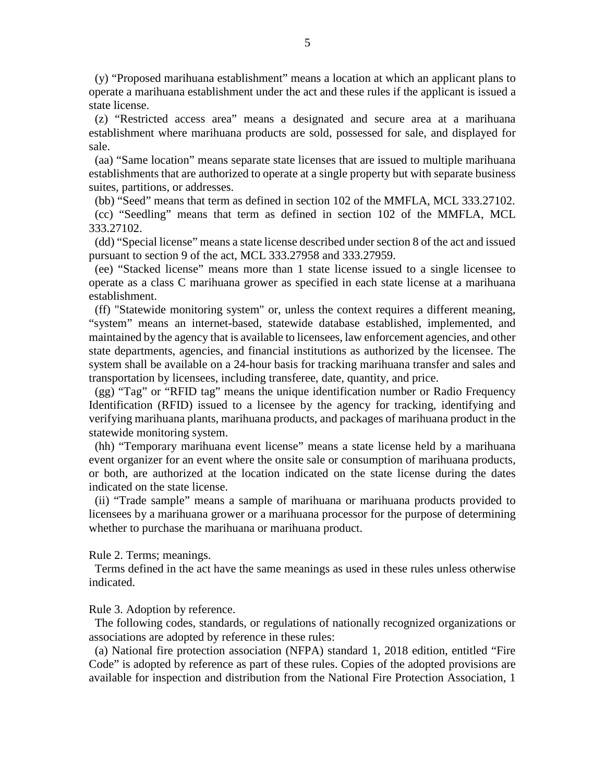(y) "Proposed marihuana establishment" means a location at which an applicant plans to operate a marihuana establishment under the act and these rules if the applicant is issued a state license.

 (z) "Restricted access area" means a designated and secure area at a marihuana establishment where marihuana products are sold, possessed for sale, and displayed for sale.

 (aa) "Same location" means separate state licenses that are issued to multiple marihuana establishments that are authorized to operate at a single property but with separate business suites, partitions, or addresses.

(bb) "Seed" means that term as defined in section 102 of the MMFLA, MCL 333.27102.

 (cc) "Seedling" means that term as defined in section 102 of the MMFLA, MCL 333.27102.

 (dd) "Special license" means a state license described under section 8 of the act and issued pursuant to section 9 of the act, MCL 333.27958 and 333.27959.

 (ee) "Stacked license" means more than 1 state license issued to a single licensee to operate as a class C marihuana grower as specified in each state license at a marihuana establishment.

 (ff) "Statewide monitoring system" or, unless the context requires a different meaning, "system" means an internet-based, statewide database established, implemented, and maintained by the agency that is available to licensees, law enforcement agencies, and other state departments, agencies, and financial institutions as authorized by the licensee. The system shall be available on a 24-hour basis for tracking marihuana transfer and sales and transportation by licensees, including transferee, date, quantity, and price.

 (gg) "Tag" or "RFID tag" means the unique identification number or Radio Frequency Identification (RFID) issued to a licensee by the agency for tracking, identifying and verifying marihuana plants, marihuana products, and packages of marihuana product in the statewide monitoring system.

 (hh) "Temporary marihuana event license" means a state license held by a marihuana event organizer for an event where the onsite sale or consumption of marihuana products, or both, are authorized at the location indicated on the state license during the dates indicated on the state license.

 (ii) "Trade sample" means a sample of marihuana or marihuana products provided to licensees by a marihuana grower or a marihuana processor for the purpose of determining whether to purchase the marihuana or marihuana product.

Rule 2. Terms; meanings.

 Terms defined in the act have the same meanings as used in these rules unless otherwise indicated.

Rule 3. Adoption by reference.

 The following codes, standards, or regulations of nationally recognized organizations or associations are adopted by reference in these rules:

 (a) National fire protection association (NFPA) standard 1, 2018 edition, entitled "Fire Code" is adopted by reference as part of these rules. Copies of the adopted provisions are available for inspection and distribution from the National Fire Protection Association, 1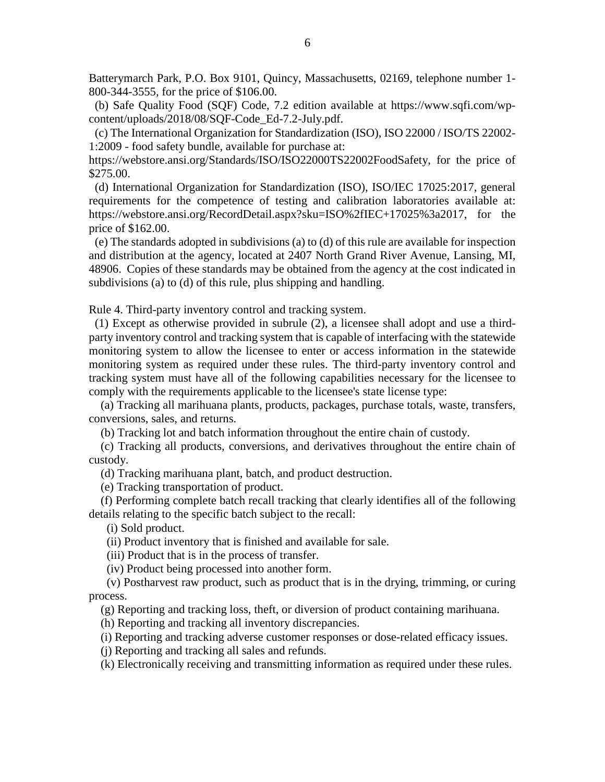Batterymarch Park, P.O. Box 9101, Quincy, Massachusetts, 02169, telephone number 1- 800-344-3555, for the price of \$106.00.

 (b) Safe Quality Food (SQF) Code, 7.2 edition available at https://www.sqfi.com/wpcontent/uploads/2018/08/SQF-Code\_Ed-7.2-July.pdf.

 (c) The International Organization for Standardization (ISO), ISO 22000 / ISO/TS 22002- 1:2009 - food safety bundle, available for purchase at:

https://webstore.ansi.org/Standards/ISO/ISO22000TS22002FoodSafety, for the price of \$275.00.

 (d) International Organization for Standardization (ISO), ISO/IEC 17025:2017, general requirements for the competence of testing and calibration laboratories available at: https://webstore.ansi.org/RecordDetail.aspx?sku=ISO%2fIEC+17025%3a2017, for the price of \$162.00.

 (e) The standards adopted in subdivisions (a) to (d) of this rule are available for inspection and distribution at the agency, located at 2407 North Grand River Avenue, Lansing, MI, 48906. Copies of these standards may be obtained from the agency at the cost indicated in subdivisions (a) to (d) of this rule, plus shipping and handling.

Rule 4. Third-party inventory control and tracking system.

 (1) Except as otherwise provided in subrule (2), a licensee shall adopt and use a thirdparty inventory control and tracking system that is capable of interfacing with the statewide monitoring system to allow the licensee to enter or access information in the statewide monitoring system as required under these rules. The third-party inventory control and tracking system must have all of the following capabilities necessary for the licensee to comply with the requirements applicable to the licensee's state license type:

 (a) Tracking all marihuana plants, products, packages, purchase totals, waste, transfers, conversions, sales, and returns.

(b) Tracking lot and batch information throughout the entire chain of custody.

 (c) Tracking all products, conversions, and derivatives throughout the entire chain of custody.

(d) Tracking marihuana plant, batch, and product destruction.

(e) Tracking transportation of product.

 (f) Performing complete batch recall tracking that clearly identifies all of the following details relating to the specific batch subject to the recall:

(i) Sold product.

(ii) Product inventory that is finished and available for sale.

(iii) Product that is in the process of transfer.

(iv) Product being processed into another form.

 (v) Postharvest raw product, such as product that is in the drying, trimming, or curing process.

(g) Reporting and tracking loss, theft, or diversion of product containing marihuana.

(h) Reporting and tracking all inventory discrepancies.

(i) Reporting and tracking adverse customer responses or dose-related efficacy issues.

(j) Reporting and tracking all sales and refunds.

(k) Electronically receiving and transmitting information as required under these rules.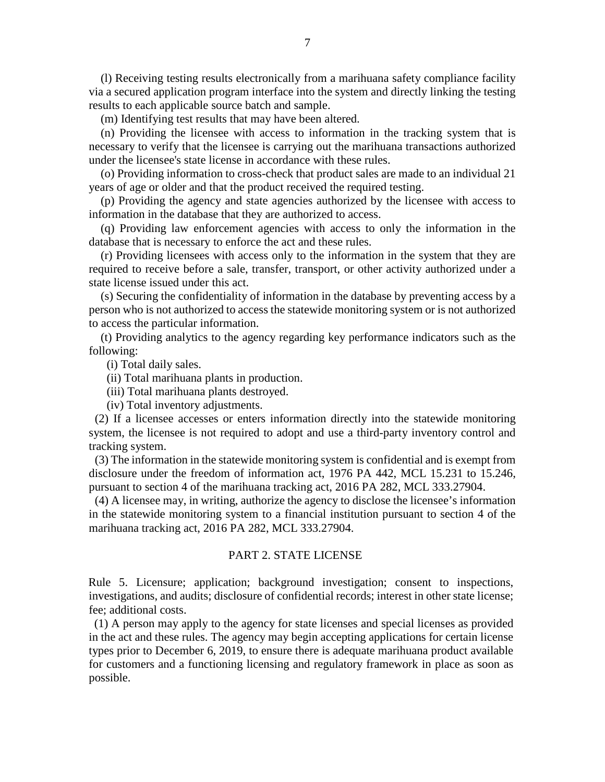(l) Receiving testing results electronically from a marihuana safety compliance facility via a secured application program interface into the system and directly linking the testing results to each applicable source batch and sample.

(m) Identifying test results that may have been altered.

 (n) Providing the licensee with access to information in the tracking system that is necessary to verify that the licensee is carrying out the marihuana transactions authorized under the licensee's state license in accordance with these rules.

 (o) Providing information to cross-check that product sales are made to an individual 21 years of age or older and that the product received the required testing.

 (p) Providing the agency and state agencies authorized by the licensee with access to information in the database that they are authorized to access.

 (q) Providing law enforcement agencies with access to only the information in the database that is necessary to enforce the act and these rules.

 (r) Providing licensees with access only to the information in the system that they are required to receive before a sale, transfer, transport, or other activity authorized under a state license issued under this act.

 (s) Securing the confidentiality of information in the database by preventing access by a person who is not authorized to access the statewide monitoring system or is not authorized to access the particular information.

 (t) Providing analytics to the agency regarding key performance indicators such as the following:

(i) Total daily sales.

(ii) Total marihuana plants in production.

(iii) Total marihuana plants destroyed.

(iv) Total inventory adjustments.

 (2) If a licensee accesses or enters information directly into the statewide monitoring system, the licensee is not required to adopt and use a third-party inventory control and tracking system.

 (3) The information in the statewide monitoring system is confidential and is exempt from disclosure under the freedom of information act, 1976 PA 442, MCL 15.231 to 15.246, pursuant to section 4 of the marihuana tracking act, 2016 PA 282, MCL 333.27904.

 (4) A licensee may, in writing, authorize the agency to disclose the licensee's information in the statewide monitoring system to a financial institution pursuant to section 4 of the marihuana tracking act, 2016 PA 282, MCL 333.27904.

#### PART 2. STATE LICENSE

Rule 5. Licensure; application; background investigation; consent to inspections, investigations, and audits; disclosure of confidential records; interest in other state license; fee; additional costs.

 (1) A person may apply to the agency for state licenses and special licenses as provided in the act and these rules. The agency may begin accepting applications for certain license types prior to December 6, 2019, to ensure there is adequate marihuana product available for customers and a functioning licensing and regulatory framework in place as soon as possible.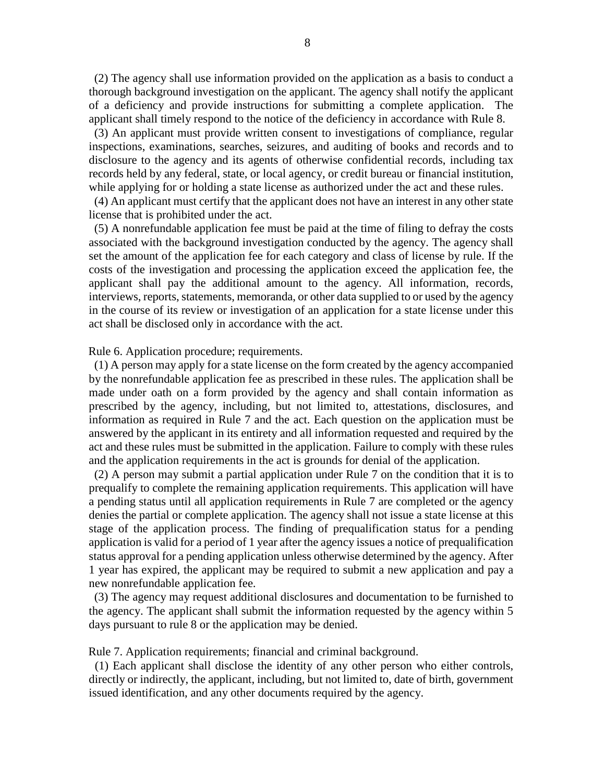(2) The agency shall use information provided on the application as a basis to conduct a thorough background investigation on the applicant. The agency shall notify the applicant of a deficiency and provide instructions for submitting a complete application. The applicant shall timely respond to the notice of the deficiency in accordance with Rule 8.

 (3) An applicant must provide written consent to investigations of compliance, regular inspections, examinations, searches, seizures, and auditing of books and records and to disclosure to the agency and its agents of otherwise confidential records, including tax records held by any federal, state, or local agency, or credit bureau or financial institution, while applying for or holding a state license as authorized under the act and these rules.

 (4) An applicant must certify that the applicant does not have an interest in any other state license that is prohibited under the act.

 (5) A nonrefundable application fee must be paid at the time of filing to defray the costs associated with the background investigation conducted by the agency. The agency shall set the amount of the application fee for each category and class of license by rule. If the costs of the investigation and processing the application exceed the application fee, the applicant shall pay the additional amount to the agency. All information, records, interviews, reports, statements, memoranda, or other data supplied to or used by the agency in the course of its review or investigation of an application for a state license under this act shall be disclosed only in accordance with the act.

Rule 6. Application procedure; requirements.

 (1) A person may apply for a state license on the form created by the agency accompanied by the nonrefundable application fee as prescribed in these rules. The application shall be made under oath on a form provided by the agency and shall contain information as prescribed by the agency, including, but not limited to, attestations, disclosures, and information as required in Rule 7 and the act. Each question on the application must be answered by the applicant in its entirety and all information requested and required by the act and these rules must be submitted in the application. Failure to comply with these rules and the application requirements in the act is grounds for denial of the application.

 (2) A person may submit a partial application under Rule 7 on the condition that it is to prequalify to complete the remaining application requirements. This application will have a pending status until all application requirements in Rule 7 are completed or the agency denies the partial or complete application. The agency shall not issue a state license at this stage of the application process. The finding of prequalification status for a pending application is valid for a period of 1 year after the agency issues a notice of prequalification status approval for a pending application unless otherwise determined by the agency. After 1 year has expired, the applicant may be required to submit a new application and pay a new nonrefundable application fee.

 (3) The agency may request additional disclosures and documentation to be furnished to the agency. The applicant shall submit the information requested by the agency within 5 days pursuant to rule 8 or the application may be denied.

Rule 7. Application requirements; financial and criminal background.

 (1) Each applicant shall disclose the identity of any other person who either controls, directly or indirectly, the applicant, including, but not limited to, date of birth, government issued identification, and any other documents required by the agency.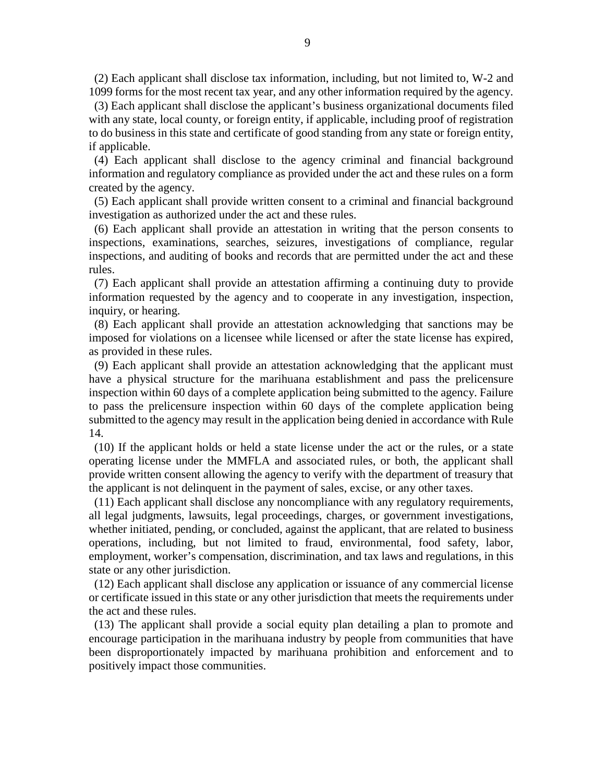(2) Each applicant shall disclose tax information, including, but not limited to, W-2 and 1099 forms for the most recent tax year, and any other information required by the agency.

 (3) Each applicant shall disclose the applicant's business organizational documents filed with any state, local county, or foreign entity, if applicable, including proof of registration to do business in this state and certificate of good standing from any state or foreign entity, if applicable.

 (4) Each applicant shall disclose to the agency criminal and financial background information and regulatory compliance as provided under the act and these rules on a form created by the agency.

 (5) Each applicant shall provide written consent to a criminal and financial background investigation as authorized under the act and these rules.

 (6) Each applicant shall provide an attestation in writing that the person consents to inspections, examinations, searches, seizures, investigations of compliance, regular inspections, and auditing of books and records that are permitted under the act and these rules.

 (7) Each applicant shall provide an attestation affirming a continuing duty to provide information requested by the agency and to cooperate in any investigation, inspection, inquiry, or hearing.

 (8) Each applicant shall provide an attestation acknowledging that sanctions may be imposed for violations on a licensee while licensed or after the state license has expired, as provided in these rules.

 (9) Each applicant shall provide an attestation acknowledging that the applicant must have a physical structure for the marihuana establishment and pass the prelicensure inspection within 60 days of a complete application being submitted to the agency. Failure to pass the prelicensure inspection within 60 days of the complete application being submitted to the agency may result in the application being denied in accordance with Rule 14.

 (10) If the applicant holds or held a state license under the act or the rules, or a state operating license under the MMFLA and associated rules, or both, the applicant shall provide written consent allowing the agency to verify with the department of treasury that the applicant is not delinquent in the payment of sales, excise, or any other taxes.

 (11) Each applicant shall disclose any noncompliance with any regulatory requirements, all legal judgments, lawsuits, legal proceedings, charges, or government investigations, whether initiated, pending, or concluded, against the applicant, that are related to business operations, including, but not limited to fraud, environmental, food safety, labor, employment, worker's compensation, discrimination, and tax laws and regulations, in this state or any other jurisdiction.

 (12) Each applicant shall disclose any application or issuance of any commercial license or certificate issued in this state or any other jurisdiction that meets the requirements under the act and these rules.

 (13) The applicant shall provide a social equity plan detailing a plan to promote and encourage participation in the marihuana industry by people from communities that have been disproportionately impacted by marihuana prohibition and enforcement and to positively impact those communities.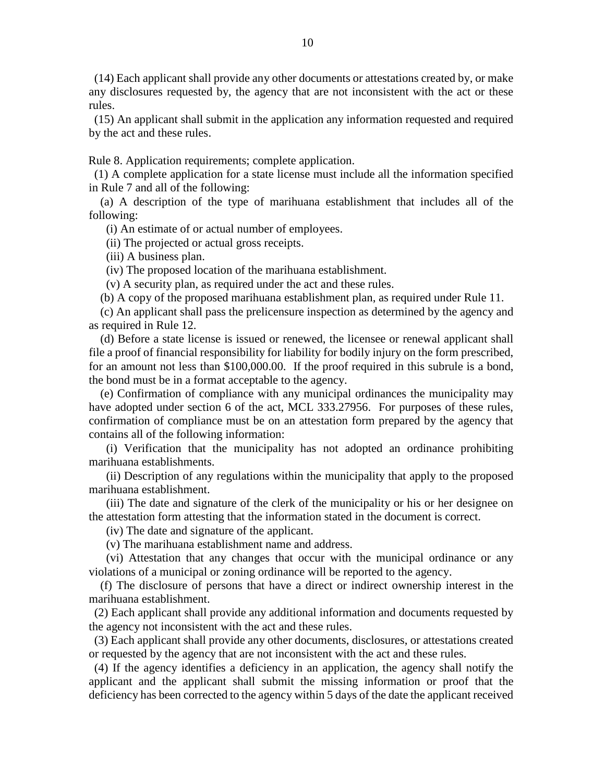(14) Each applicant shall provide any other documents or attestations created by, or make any disclosures requested by, the agency that are not inconsistent with the act or these rules.

 (15) An applicant shall submit in the application any information requested and required by the act and these rules.

Rule 8. Application requirements; complete application.

 (1) A complete application for a state license must include all the information specified in Rule 7 and all of the following:

 (a) A description of the type of marihuana establishment that includes all of the following:

(i) An estimate of or actual number of employees.

(ii) The projected or actual gross receipts.

(iii) A business plan.

(iv) The proposed location of the marihuana establishment.

(v) A security plan, as required under the act and these rules.

(b) A copy of the proposed marihuana establishment plan, as required under Rule 11.

 (c) An applicant shall pass the prelicensure inspection as determined by the agency and as required in Rule 12.

 (d) Before a state license is issued or renewed, the licensee or renewal applicant shall file a proof of financial responsibility for liability for bodily injury on the form prescribed, for an amount not less than \$100,000.00. If the proof required in this subrule is a bond, the bond must be in a format acceptable to the agency.

 (e) Confirmation of compliance with any municipal ordinances the municipality may have adopted under section 6 of the act, MCL 333.27956. For purposes of these rules, confirmation of compliance must be on an attestation form prepared by the agency that contains all of the following information:

 (i) Verification that the municipality has not adopted an ordinance prohibiting marihuana establishments.

 (ii) Description of any regulations within the municipality that apply to the proposed marihuana establishment.

 (iii) The date and signature of the clerk of the municipality or his or her designee on the attestation form attesting that the information stated in the document is correct.

(iv) The date and signature of the applicant.

(v) The marihuana establishment name and address.

 (vi) Attestation that any changes that occur with the municipal ordinance or any violations of a municipal or zoning ordinance will be reported to the agency.

 (f) The disclosure of persons that have a direct or indirect ownership interest in the marihuana establishment.

 (2) Each applicant shall provide any additional information and documents requested by the agency not inconsistent with the act and these rules.

 (3) Each applicant shall provide any other documents, disclosures, or attestations created or requested by the agency that are not inconsistent with the act and these rules.

 (4) If the agency identifies a deficiency in an application, the agency shall notify the applicant and the applicant shall submit the missing information or proof that the deficiency has been corrected to the agency within 5 days of the date the applicant received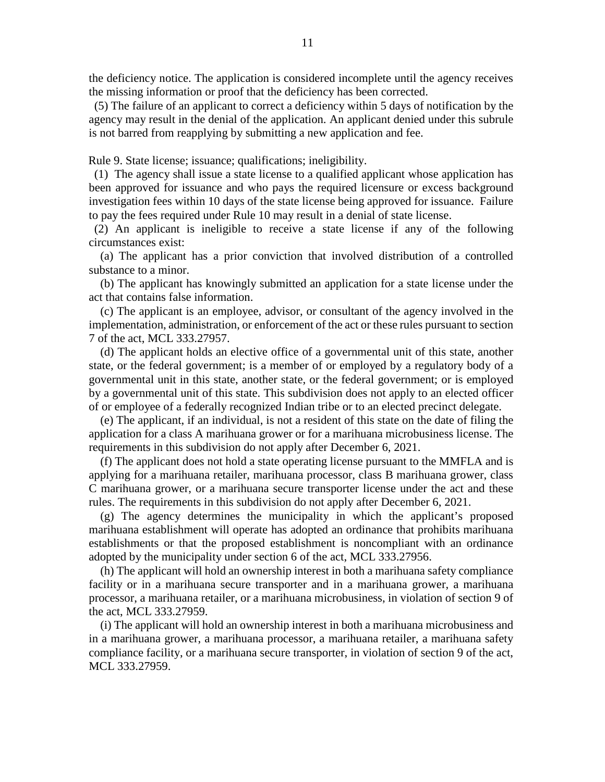the deficiency notice. The application is considered incomplete until the agency receives the missing information or proof that the deficiency has been corrected.

 (5) The failure of an applicant to correct a deficiency within 5 days of notification by the agency may result in the denial of the application. An applicant denied under this subrule is not barred from reapplying by submitting a new application and fee.

Rule 9. State license; issuance; qualifications; ineligibility.

 (1) The agency shall issue a state license to a qualified applicant whose application has been approved for issuance and who pays the required licensure or excess background investigation fees within 10 days of the state license being approved for issuance. Failure to pay the fees required under Rule 10 may result in a denial of state license.

 (2) An applicant is ineligible to receive a state license if any of the following circumstances exist:

 (a) The applicant has a prior conviction that involved distribution of a controlled substance to a minor.

 (b) The applicant has knowingly submitted an application for a state license under the act that contains false information.

 (c) The applicant is an employee, advisor, or consultant of the agency involved in the implementation, administration, or enforcement of the act or these rules pursuant to section 7 of the act, MCL 333.27957.

 (d) The applicant holds an elective office of a governmental unit of this state, another state, or the federal government; is a member of or employed by a regulatory body of a governmental unit in this state, another state, or the federal government; or is employed by a governmental unit of this state. This subdivision does not apply to an elected officer of or employee of a federally recognized Indian tribe or to an elected precinct delegate.

 (e) The applicant, if an individual, is not a resident of this state on the date of filing the application for a class A marihuana grower or for a marihuana microbusiness license. The requirements in this subdivision do not apply after December 6, 2021.

 (f) The applicant does not hold a state operating license pursuant to the MMFLA and is applying for a marihuana retailer, marihuana processor, class B marihuana grower, class C marihuana grower, or a marihuana secure transporter license under the act and these rules. The requirements in this subdivision do not apply after December 6, 2021.

 (g) The agency determines the municipality in which the applicant's proposed marihuana establishment will operate has adopted an ordinance that prohibits marihuana establishments or that the proposed establishment is noncompliant with an ordinance adopted by the municipality under section 6 of the act, MCL 333.27956.

 (h) The applicant will hold an ownership interest in both a marihuana safety compliance facility or in a marihuana secure transporter and in a marihuana grower, a marihuana processor, a marihuana retailer, or a marihuana microbusiness, in violation of section 9 of the act, MCL 333.27959.

 (i) The applicant will hold an ownership interest in both a marihuana microbusiness and in a marihuana grower, a marihuana processor, a marihuana retailer, a marihuana safety compliance facility, or a marihuana secure transporter, in violation of section 9 of the act, MCL 333.27959.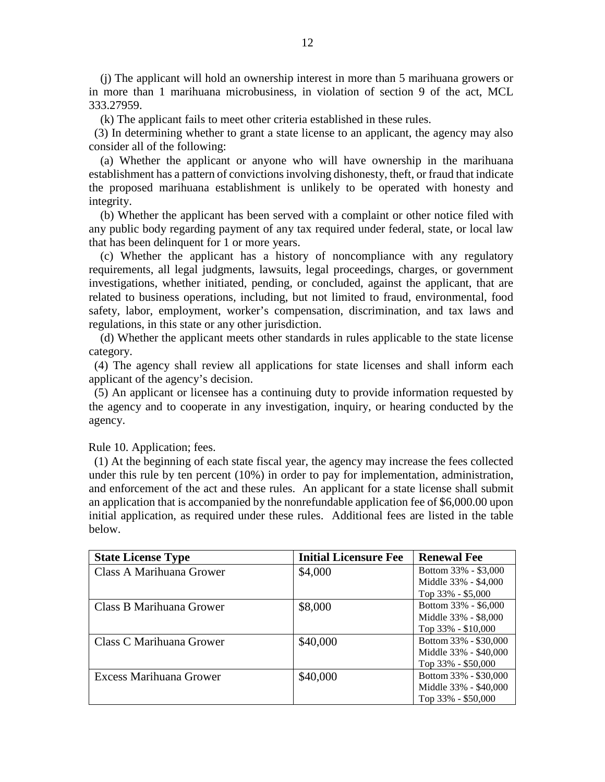(j) The applicant will hold an ownership interest in more than 5 marihuana growers or in more than 1 marihuana microbusiness, in violation of section 9 of the act, MCL 333.27959.

(k) The applicant fails to meet other criteria established in these rules.

 (3) In determining whether to grant a state license to an applicant, the agency may also consider all of the following:

 (a) Whether the applicant or anyone who will have ownership in the marihuana establishment has a pattern of convictions involving dishonesty, theft, or fraud that indicate the proposed marihuana establishment is unlikely to be operated with honesty and integrity.

 (b) Whether the applicant has been served with a complaint or other notice filed with any public body regarding payment of any tax required under federal, state, or local law that has been delinquent for 1 or more years.

 (c) Whether the applicant has a history of noncompliance with any regulatory requirements, all legal judgments, lawsuits, legal proceedings, charges, or government investigations, whether initiated, pending, or concluded, against the applicant, that are related to business operations, including, but not limited to fraud, environmental, food safety, labor, employment, worker's compensation, discrimination, and tax laws and regulations, in this state or any other jurisdiction.

 (d) Whether the applicant meets other standards in rules applicable to the state license category.

 (4) The agency shall review all applications for state licenses and shall inform each applicant of the agency's decision.

 (5) An applicant or licensee has a continuing duty to provide information requested by the agency and to cooperate in any investigation, inquiry, or hearing conducted by the agency.

Rule 10. Application; fees.

 (1) At the beginning of each state fiscal year, the agency may increase the fees collected under this rule by ten percent (10%) in order to pay for implementation, administration, and enforcement of the act and these rules. An applicant for a state license shall submit an application that is accompanied by the nonrefundable application fee of \$6,000.00 upon initial application, as required under these rules. Additional fees are listed in the table below.

| <b>State License Type</b> | <b>Initial Licensure Fee</b> | <b>Renewal Fee</b>     |
|---------------------------|------------------------------|------------------------|
| Class A Marihuana Grower  | \$4,000                      | Bottom 33% - \$3,000   |
|                           |                              | Middle 33% - \$4,000   |
|                           |                              | Top 33% - \$5,000      |
| Class B Marihuana Grower  | \$8,000                      | Bottom 33% - \$6,000   |
|                           |                              | Middle 33% - \$8,000   |
|                           |                              | Top $33\% - $10,000$   |
| Class C Marihuana Grower  | \$40,000                     | Bottom 33% - \$30,000  |
|                           |                              | Middle 33% - \$40,000  |
|                           |                              | Top 33% - \$50,000     |
| Excess Marihuana Grower   | \$40,000                     | Bottom 33% - \$30,000  |
|                           |                              | Middle 33% - \$40,000  |
|                           |                              | Top $33\%$ - $$50,000$ |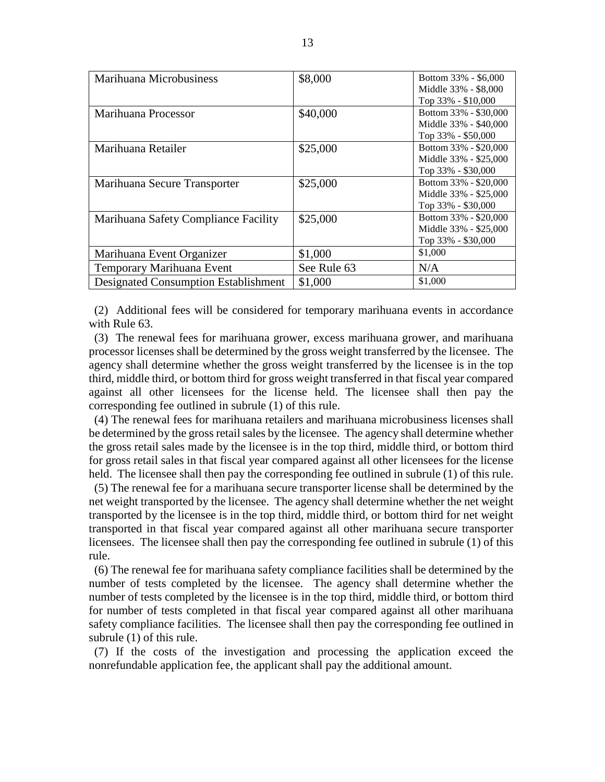| Marihuana Microbusiness                     | \$8,000     | Bottom 33% - \$6,000<br>Middle 33% - \$8,000<br>Top 33% - \$10,000   |
|---------------------------------------------|-------------|----------------------------------------------------------------------|
| Marihuana Processor                         | \$40,000    | Bottom 33% - \$30,000<br>Middle 33% - \$40,000<br>Top 33% - \$50,000 |
| Marihuana Retailer                          | \$25,000    | Bottom 33% - \$20,000<br>Middle 33% - \$25,000<br>Top 33% - \$30,000 |
| Marihuana Secure Transporter                | \$25,000    | Bottom 33% - \$20,000<br>Middle 33% - \$25,000<br>Top 33% - \$30,000 |
| Marihuana Safety Compliance Facility        | \$25,000    | Bottom 33% - \$20,000<br>Middle 33% - \$25,000<br>Top 33% - \$30,000 |
| Marihuana Event Organizer                   | \$1,000     | \$1,000                                                              |
| Temporary Marihuana Event                   | See Rule 63 | N/A                                                                  |
| <b>Designated Consumption Establishment</b> | \$1,000     | \$1,000                                                              |

 (2) Additional fees will be considered for temporary marihuana events in accordance with Rule 63.

 (3) The renewal fees for marihuana grower, excess marihuana grower, and marihuana processor licenses shall be determined by the gross weight transferred by the licensee. The agency shall determine whether the gross weight transferred by the licensee is in the top third, middle third, or bottom third for gross weight transferred in that fiscal year compared against all other licensees for the license held. The licensee shall then pay the corresponding fee outlined in subrule (1) of this rule.

 (4) The renewal fees for marihuana retailers and marihuana microbusiness licenses shall be determined by the gross retail sales by the licensee. The agency shall determine whether the gross retail sales made by the licensee is in the top third, middle third, or bottom third for gross retail sales in that fiscal year compared against all other licensees for the license held. The licensee shall then pay the corresponding fee outlined in subrule (1) of this rule.

 (5) The renewal fee for a marihuana secure transporter license shall be determined by the net weight transported by the licensee. The agency shall determine whether the net weight transported by the licensee is in the top third, middle third, or bottom third for net weight transported in that fiscal year compared against all other marihuana secure transporter licensees. The licensee shall then pay the corresponding fee outlined in subrule (1) of this rule.

 (6) The renewal fee for marihuana safety compliance facilities shall be determined by the number of tests completed by the licensee. The agency shall determine whether the number of tests completed by the licensee is in the top third, middle third, or bottom third for number of tests completed in that fiscal year compared against all other marihuana safety compliance facilities. The licensee shall then pay the corresponding fee outlined in subrule (1) of this rule.

 (7) If the costs of the investigation and processing the application exceed the nonrefundable application fee, the applicant shall pay the additional amount.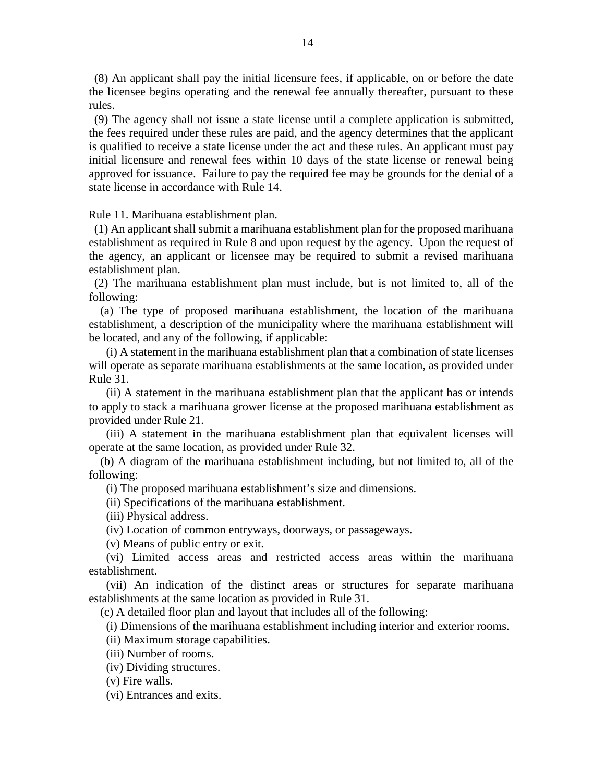(8) An applicant shall pay the initial licensure fees, if applicable, on or before the date the licensee begins operating and the renewal fee annually thereafter, pursuant to these rules.

 (9) The agency shall not issue a state license until a complete application is submitted, the fees required under these rules are paid, and the agency determines that the applicant is qualified to receive a state license under the act and these rules. An applicant must pay initial licensure and renewal fees within 10 days of the state license or renewal being approved for issuance. Failure to pay the required fee may be grounds for the denial of a state license in accordance with Rule 14.

Rule 11. Marihuana establishment plan.

 (1) An applicant shall submit a marihuana establishment plan for the proposed marihuana establishment as required in Rule 8 and upon request by the agency. Upon the request of the agency, an applicant or licensee may be required to submit a revised marihuana establishment plan.

 (2) The marihuana establishment plan must include, but is not limited to, all of the following:

 (a) The type of proposed marihuana establishment, the location of the marihuana establishment, a description of the municipality where the marihuana establishment will be located, and any of the following, if applicable:

 (i) A statement in the marihuana establishment plan that a combination of state licenses will operate as separate marihuana establishments at the same location, as provided under Rule 31.

 (ii) A statement in the marihuana establishment plan that the applicant has or intends to apply to stack a marihuana grower license at the proposed marihuana establishment as provided under Rule 21.

 (iii) A statement in the marihuana establishment plan that equivalent licenses will operate at the same location, as provided under Rule 32.

 (b) A diagram of the marihuana establishment including, but not limited to, all of the following:

(i) The proposed marihuana establishment's size and dimensions.

(ii) Specifications of the marihuana establishment.

(iii) Physical address.

(iv) Location of common entryways, doorways, or passageways.

(v) Means of public entry or exit.

 (vi) Limited access areas and restricted access areas within the marihuana establishment.

 (vii) An indication of the distinct areas or structures for separate marihuana establishments at the same location as provided in Rule 31.

(c) A detailed floor plan and layout that includes all of the following:

(i) Dimensions of the marihuana establishment including interior and exterior rooms.

(ii) Maximum storage capabilities.

(iii) Number of rooms.

(iv) Dividing structures.

(v) Fire walls.

(vi) Entrances and exits.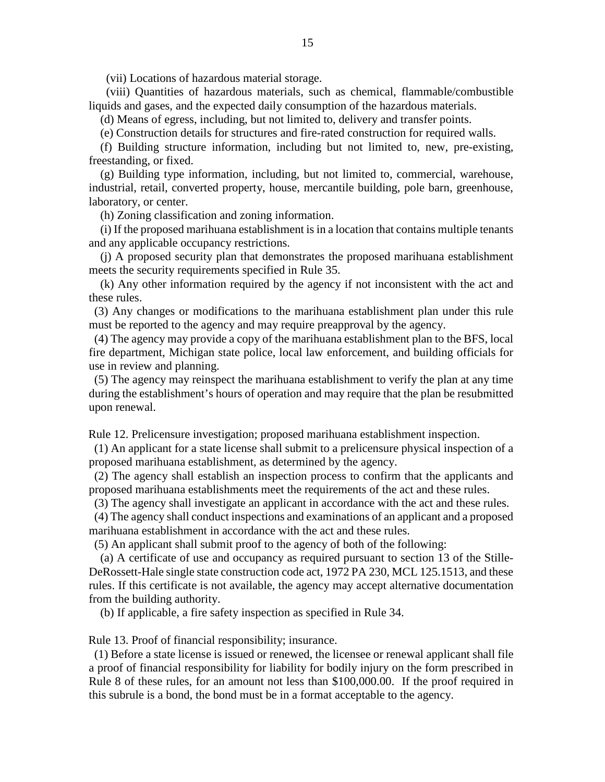(vii) Locations of hazardous material storage.

 (viii) Quantities of hazardous materials, such as chemical, flammable/combustible liquids and gases, and the expected daily consumption of the hazardous materials.

(d) Means of egress, including, but not limited to, delivery and transfer points.

(e) Construction details for structures and fire-rated construction for required walls.

 (f) Building structure information, including but not limited to, new, pre-existing, freestanding, or fixed.

 (g) Building type information, including, but not limited to, commercial, warehouse, industrial, retail, converted property, house, mercantile building, pole barn, greenhouse, laboratory, or center.

(h) Zoning classification and zoning information.

 (i) If the proposed marihuana establishment is in a location that contains multiple tenants and any applicable occupancy restrictions.

 (j) A proposed security plan that demonstrates the proposed marihuana establishment meets the security requirements specified in Rule 35.

 (k) Any other information required by the agency if not inconsistent with the act and these rules.

 (3) Any changes or modifications to the marihuana establishment plan under this rule must be reported to the agency and may require preapproval by the agency.

 (4) The agency may provide a copy of the marihuana establishment plan to the BFS, local fire department, Michigan state police, local law enforcement, and building officials for use in review and planning.

 (5) The agency may reinspect the marihuana establishment to verify the plan at any time during the establishment's hours of operation and may require that the plan be resubmitted upon renewal.

Rule 12. Prelicensure investigation; proposed marihuana establishment inspection.

 (1) An applicant for a state license shall submit to a prelicensure physical inspection of a proposed marihuana establishment, as determined by the agency.

 (2) The agency shall establish an inspection process to confirm that the applicants and proposed marihuana establishments meet the requirements of the act and these rules.

(3) The agency shall investigate an applicant in accordance with the act and these rules.

 (4) The agency shall conduct inspections and examinations of an applicant and a proposed marihuana establishment in accordance with the act and these rules.

(5) An applicant shall submit proof to the agency of both of the following:

 (a) A certificate of use and occupancy as required pursuant to section 13 of the Stille-DeRossett-Hale single state construction code act, 1972 PA 230, MCL 125.1513, and these rules. If this certificate is not available, the agency may accept alternative documentation from the building authority.

(b) If applicable, a fire safety inspection as specified in Rule 34.

Rule 13. Proof of financial responsibility; insurance.

 (1) Before a state license is issued or renewed, the licensee or renewal applicant shall file a proof of financial responsibility for liability for bodily injury on the form prescribed in Rule 8 of these rules, for an amount not less than \$100,000.00. If the proof required in this subrule is a bond, the bond must be in a format acceptable to the agency.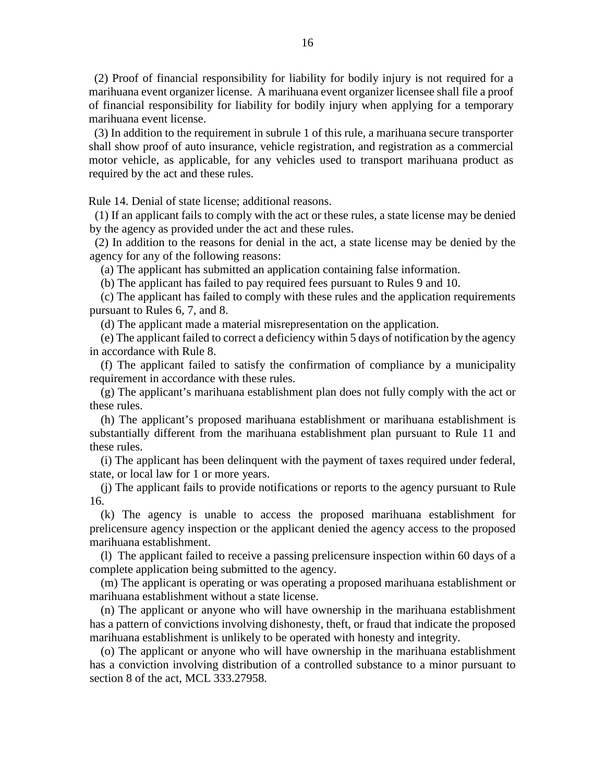(2) Proof of financial responsibility for liability for bodily injury is not required for a marihuana event organizer license. A marihuana event organizer licensee shall file a proof of financial responsibility for liability for bodily injury when applying for a temporary marihuana event license.

 (3) In addition to the requirement in subrule 1 of this rule, a marihuana secure transporter shall show proof of auto insurance, vehicle registration, and registration as a commercial motor vehicle, as applicable, for any vehicles used to transport marihuana product as required by the act and these rules.

Rule 14. Denial of state license; additional reasons.

 (1) If an applicant fails to comply with the act or these rules, a state license may be denied by the agency as provided under the act and these rules.

 (2) In addition to the reasons for denial in the act, a state license may be denied by the agency for any of the following reasons:

(a) The applicant has submitted an application containing false information.

(b) The applicant has failed to pay required fees pursuant to Rules 9 and 10.

 (c) The applicant has failed to comply with these rules and the application requirements pursuant to Rules 6, 7, and 8.

(d) The applicant made a material misrepresentation on the application.

 (e) The applicant failed to correct a deficiency within 5 days of notification by the agency in accordance with Rule 8.

 (f) The applicant failed to satisfy the confirmation of compliance by a municipality requirement in accordance with these rules.

 (g) The applicant's marihuana establishment plan does not fully comply with the act or these rules.

 (h) The applicant's proposed marihuana establishment or marihuana establishment is substantially different from the marihuana establishment plan pursuant to Rule 11 and these rules.

 (i) The applicant has been delinquent with the payment of taxes required under federal, state, or local law for 1 or more years.

 (j) The applicant fails to provide notifications or reports to the agency pursuant to Rule 16.

 (k) The agency is unable to access the proposed marihuana establishment for prelicensure agency inspection or the applicant denied the agency access to the proposed marihuana establishment.

 (l) The applicant failed to receive a passing prelicensure inspection within 60 days of a complete application being submitted to the agency.

 (m) The applicant is operating or was operating a proposed marihuana establishment or marihuana establishment without a state license.

 (n) The applicant or anyone who will have ownership in the marihuana establishment has a pattern of convictions involving dishonesty, theft, or fraud that indicate the proposed marihuana establishment is unlikely to be operated with honesty and integrity.

 (o) The applicant or anyone who will have ownership in the marihuana establishment has a conviction involving distribution of a controlled substance to a minor pursuant to section 8 of the act, MCL 333.27958.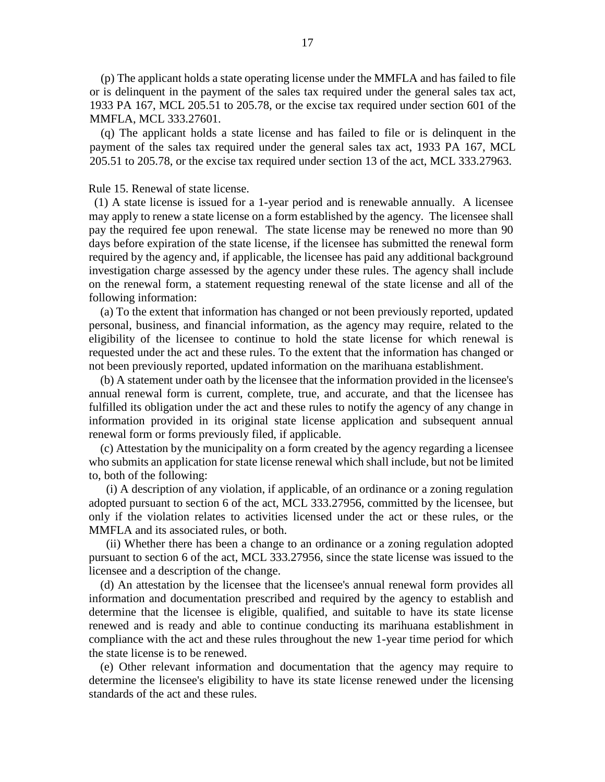(p) The applicant holds a state operating license under the MMFLA and has failed to file or is delinquent in the payment of the sales tax required under the general sales tax act, 1933 PA 167, MCL 205.51 to 205.78, or the excise tax required under section 601 of the MMFLA, MCL 333.27601.

 (q) The applicant holds a state license and has failed to file or is delinquent in the payment of the sales tax required under the general sales tax act, 1933 PA 167, MCL 205.51 to 205.78, or the excise tax required under section 13 of the act, MCL 333.27963.

#### Rule 15. Renewal of state license.

 (1) A state license is issued for a 1-year period and is renewable annually. A licensee may apply to renew a state license on a form established by the agency. The licensee shall pay the required fee upon renewal. The state license may be renewed no more than 90 days before expiration of the state license, if the licensee has submitted the renewal form required by the agency and, if applicable, the licensee has paid any additional background investigation charge assessed by the agency under these rules. The agency shall include on the renewal form, a statement requesting renewal of the state license and all of the following information:

 (a) To the extent that information has changed or not been previously reported, updated personal, business, and financial information, as the agency may require, related to the eligibility of the licensee to continue to hold the state license for which renewal is requested under the act and these rules. To the extent that the information has changed or not been previously reported, updated information on the marihuana establishment.

 (b) A statement under oath by the licensee that the information provided in the licensee's annual renewal form is current, complete, true, and accurate, and that the licensee has fulfilled its obligation under the act and these rules to notify the agency of any change in information provided in its original state license application and subsequent annual renewal form or forms previously filed, if applicable.

 (c) Attestation by the municipality on a form created by the agency regarding a licensee who submits an application for state license renewal which shall include, but not be limited to, both of the following:

 (i) A description of any violation, if applicable, of an ordinance or a zoning regulation adopted pursuant to section 6 of the act, MCL 333.27956, committed by the licensee, but only if the violation relates to activities licensed under the act or these rules, or the MMFLA and its associated rules, or both.

 (ii) Whether there has been a change to an ordinance or a zoning regulation adopted pursuant to section 6 of the act, MCL 333.27956, since the state license was issued to the licensee and a description of the change.

 (d) An attestation by the licensee that the licensee's annual renewal form provides all information and documentation prescribed and required by the agency to establish and determine that the licensee is eligible, qualified, and suitable to have its state license renewed and is ready and able to continue conducting its marihuana establishment in compliance with the act and these rules throughout the new 1-year time period for which the state license is to be renewed.

 (e) Other relevant information and documentation that the agency may require to determine the licensee's eligibility to have its state license renewed under the licensing standards of the act and these rules.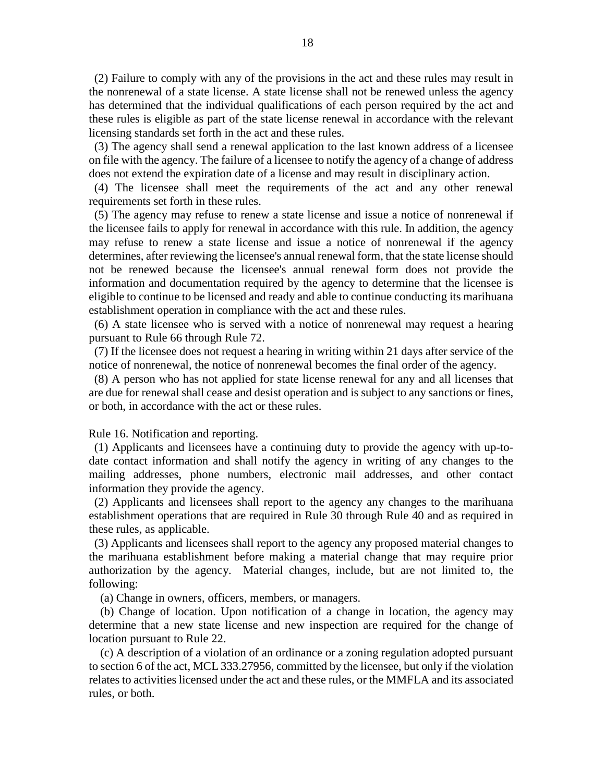(2) Failure to comply with any of the provisions in the act and these rules may result in the nonrenewal of a state license. A state license shall not be renewed unless the agency has determined that the individual qualifications of each person required by the act and these rules is eligible as part of the state license renewal in accordance with the relevant licensing standards set forth in the act and these rules.

 (3) The agency shall send a renewal application to the last known address of a licensee on file with the agency. The failure of a licensee to notify the agency of a change of address does not extend the expiration date of a license and may result in disciplinary action.

 (4) The licensee shall meet the requirements of the act and any other renewal requirements set forth in these rules.

 (5) The agency may refuse to renew a state license and issue a notice of nonrenewal if the licensee fails to apply for renewal in accordance with this rule. In addition, the agency may refuse to renew a state license and issue a notice of nonrenewal if the agency determines, after reviewing the licensee's annual renewal form, that the state license should not be renewed because the licensee's annual renewal form does not provide the information and documentation required by the agency to determine that the licensee is eligible to continue to be licensed and ready and able to continue conducting its marihuana establishment operation in compliance with the act and these rules.

 (6) A state licensee who is served with a notice of nonrenewal may request a hearing pursuant to Rule 66 through Rule 72.

 (7) If the licensee does not request a hearing in writing within 21 days after service of the notice of nonrenewal, the notice of nonrenewal becomes the final order of the agency.

 (8) A person who has not applied for state license renewal for any and all licenses that are due for renewal shall cease and desist operation and is subject to any sanctions or fines, or both, in accordance with the act or these rules.

Rule 16. Notification and reporting.

 (1) Applicants and licensees have a continuing duty to provide the agency with up-todate contact information and shall notify the agency in writing of any changes to the mailing addresses, phone numbers, electronic mail addresses, and other contact information they provide the agency.

 (2) Applicants and licensees shall report to the agency any changes to the marihuana establishment operations that are required in Rule 30 through Rule 40 and as required in these rules, as applicable.

 (3) Applicants and licensees shall report to the agency any proposed material changes to the marihuana establishment before making a material change that may require prior authorization by the agency. Material changes, include, but are not limited to, the following:

(a) Change in owners, officers, members, or managers.

 (b) Change of location. Upon notification of a change in location, the agency may determine that a new state license and new inspection are required for the change of location pursuant to Rule 22.

 (c) A description of a violation of an ordinance or a zoning regulation adopted pursuant to section 6 of the act, MCL 333.27956, committed by the licensee, but only if the violation relates to activities licensed under the act and these rules, or the MMFLA and its associated rules, or both.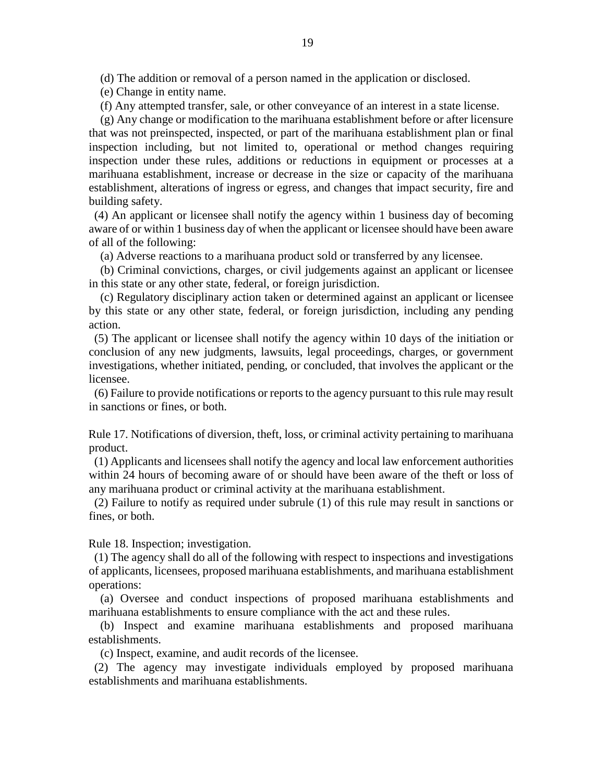(d) The addition or removal of a person named in the application or disclosed.

(e) Change in entity name.

(f) Any attempted transfer, sale, or other conveyance of an interest in a state license.

 (g) Any change or modification to the marihuana establishment before or after licensure that was not preinspected, inspected, or part of the marihuana establishment plan or final inspection including, but not limited to, operational or method changes requiring inspection under these rules, additions or reductions in equipment or processes at a marihuana establishment, increase or decrease in the size or capacity of the marihuana establishment, alterations of ingress or egress, and changes that impact security, fire and building safety.

 (4) An applicant or licensee shall notify the agency within 1 business day of becoming aware of or within 1 business day of when the applicant or licensee should have been aware of all of the following:

(a) Adverse reactions to a marihuana product sold or transferred by any licensee.

 (b) Criminal convictions, charges, or civil judgements against an applicant or licensee in this state or any other state, federal, or foreign jurisdiction.

 (c) Regulatory disciplinary action taken or determined against an applicant or licensee by this state or any other state, federal, or foreign jurisdiction, including any pending action.

 (5) The applicant or licensee shall notify the agency within 10 days of the initiation or conclusion of any new judgments, lawsuits, legal proceedings, charges, or government investigations, whether initiated, pending, or concluded, that involves the applicant or the licensee.

 (6) Failure to provide notifications or reports to the agency pursuant to this rule may result in sanctions or fines, or both.

Rule 17. Notifications of diversion, theft, loss, or criminal activity pertaining to marihuana product.

 (1) Applicants and licensees shall notify the agency and local law enforcement authorities within 24 hours of becoming aware of or should have been aware of the theft or loss of any marihuana product or criminal activity at the marihuana establishment.

 (2) Failure to notify as required under subrule (1) of this rule may result in sanctions or fines, or both.

Rule 18. Inspection; investigation.

 (1) The agency shall do all of the following with respect to inspections and investigations of applicants, licensees, proposed marihuana establishments, and marihuana establishment operations:

 (a) Oversee and conduct inspections of proposed marihuana establishments and marihuana establishments to ensure compliance with the act and these rules.

 (b) Inspect and examine marihuana establishments and proposed marihuana establishments.

(c) Inspect, examine, and audit records of the licensee.

 (2) The agency may investigate individuals employed by proposed marihuana establishments and marihuana establishments.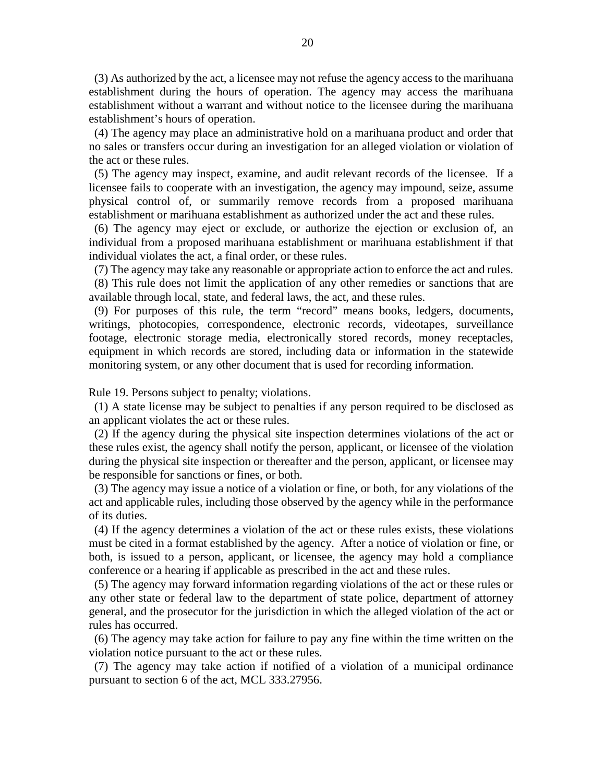(3) As authorized by the act, a licensee may not refuse the agency access to the marihuana establishment during the hours of operation. The agency may access the marihuana establishment without a warrant and without notice to the licensee during the marihuana establishment's hours of operation.

 (4) The agency may place an administrative hold on a marihuana product and order that no sales or transfers occur during an investigation for an alleged violation or violation of the act or these rules.

 (5) The agency may inspect, examine, and audit relevant records of the licensee. If a licensee fails to cooperate with an investigation, the agency may impound, seize, assume physical control of, or summarily remove records from a proposed marihuana establishment or marihuana establishment as authorized under the act and these rules.

 (6) The agency may eject or exclude, or authorize the ejection or exclusion of, an individual from a proposed marihuana establishment or marihuana establishment if that individual violates the act, a final order, or these rules.

(7) The agency may take any reasonable or appropriate action to enforce the act and rules.

 (8) This rule does not limit the application of any other remedies or sanctions that are available through local, state, and federal laws, the act, and these rules.

 (9) For purposes of this rule, the term "record" means books, ledgers, documents, writings, photocopies, correspondence, electronic records, videotapes, surveillance footage, electronic storage media, electronically stored records, money receptacles, equipment in which records are stored, including data or information in the statewide monitoring system, or any other document that is used for recording information.

Rule 19. Persons subject to penalty; violations.

 (1) A state license may be subject to penalties if any person required to be disclosed as an applicant violates the act or these rules.

 (2) If the agency during the physical site inspection determines violations of the act or these rules exist, the agency shall notify the person, applicant, or licensee of the violation during the physical site inspection or thereafter and the person, applicant, or licensee may be responsible for sanctions or fines, or both.

 (3) The agency may issue a notice of a violation or fine, or both, for any violations of the act and applicable rules, including those observed by the agency while in the performance of its duties.

 (4) If the agency determines a violation of the act or these rules exists, these violations must be cited in a format established by the agency. After a notice of violation or fine, or both, is issued to a person, applicant, or licensee, the agency may hold a compliance conference or a hearing if applicable as prescribed in the act and these rules.

 (5) The agency may forward information regarding violations of the act or these rules or any other state or federal law to the department of state police, department of attorney general, and the prosecutor for the jurisdiction in which the alleged violation of the act or rules has occurred.

 (6) The agency may take action for failure to pay any fine within the time written on the violation notice pursuant to the act or these rules.

 (7) The agency may take action if notified of a violation of a municipal ordinance pursuant to section 6 of the act, MCL 333.27956.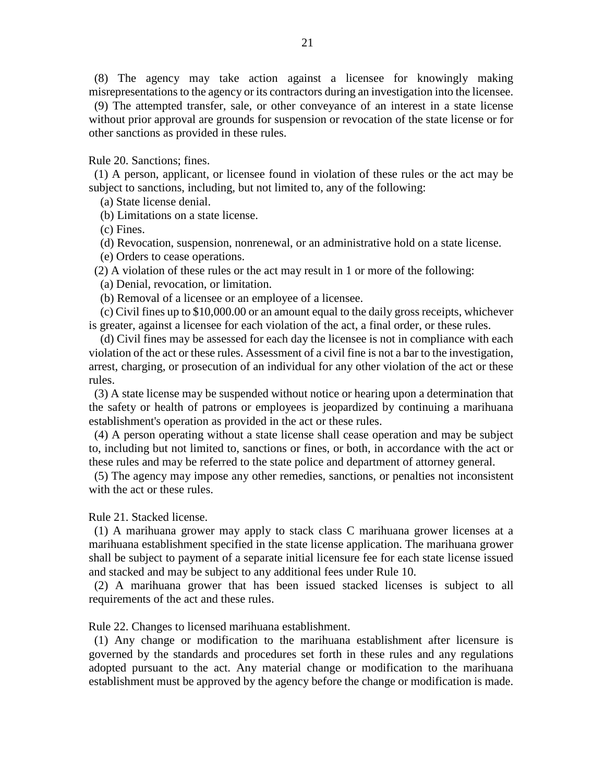(8) The agency may take action against a licensee for knowingly making misrepresentations to the agency or its contractors during an investigation into the licensee.

 (9) The attempted transfer, sale, or other conveyance of an interest in a state license without prior approval are grounds for suspension or revocation of the state license or for other sanctions as provided in these rules.

Rule 20. Sanctions; fines.

 (1) A person, applicant, or licensee found in violation of these rules or the act may be subject to sanctions, including, but not limited to, any of the following:

(a) State license denial.

(b) Limitations on a state license.

(c) Fines.

(d) Revocation, suspension, nonrenewal, or an administrative hold on a state license.

(e) Orders to cease operations.

(2) A violation of these rules or the act may result in 1 or more of the following:

(a) Denial, revocation, or limitation.

(b) Removal of a licensee or an employee of a licensee.

 (c) Civil fines up to \$10,000.00 or an amount equal to the daily gross receipts, whichever is greater, against a licensee for each violation of the act, a final order, or these rules.

 (d) Civil fines may be assessed for each day the licensee is not in compliance with each violation of the act or these rules. Assessment of a civil fine is not a bar to the investigation, arrest, charging, or prosecution of an individual for any other violation of the act or these rules.

 (3) A state license may be suspended without notice or hearing upon a determination that the safety or health of patrons or employees is jeopardized by continuing a marihuana establishment's operation as provided in the act or these rules.

 (4) A person operating without a state license shall cease operation and may be subject to, including but not limited to, sanctions or fines, or both, in accordance with the act or these rules and may be referred to the state police and department of attorney general.

 (5) The agency may impose any other remedies, sanctions, or penalties not inconsistent with the act or these rules.

Rule 21. Stacked license.

 (1) A marihuana grower may apply to stack class C marihuana grower licenses at a marihuana establishment specified in the state license application. The marihuana grower shall be subject to payment of a separate initial licensure fee for each state license issued and stacked and may be subject to any additional fees under Rule 10.

 (2) A marihuana grower that has been issued stacked licenses is subject to all requirements of the act and these rules.

Rule 22. Changes to licensed marihuana establishment.

 (1) Any change or modification to the marihuana establishment after licensure is governed by the standards and procedures set forth in these rules and any regulations adopted pursuant to the act. Any material change or modification to the marihuana establishment must be approved by the agency before the change or modification is made.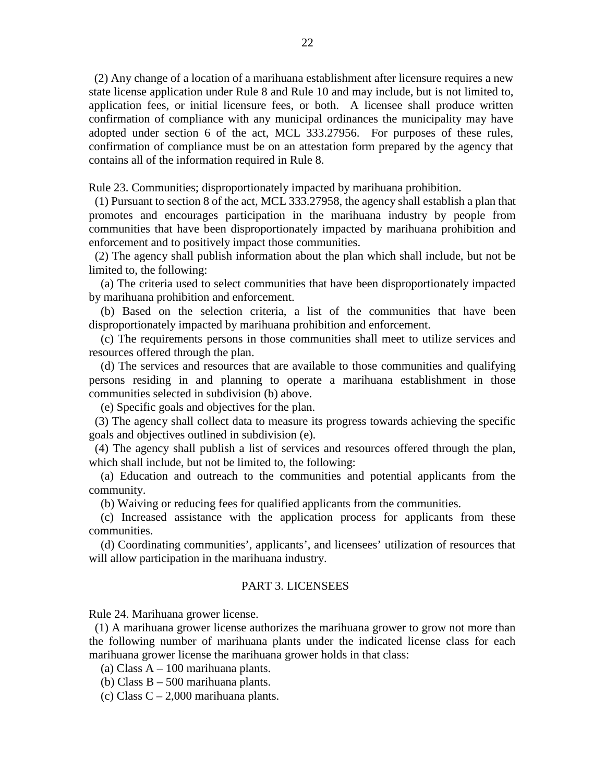(2) Any change of a location of a marihuana establishment after licensure requires a new state license application under Rule 8 and Rule 10 and may include, but is not limited to, application fees, or initial licensure fees, or both. A licensee shall produce written confirmation of compliance with any municipal ordinances the municipality may have adopted under section 6 of the act, MCL 333.27956. For purposes of these rules, confirmation of compliance must be on an attestation form prepared by the agency that contains all of the information required in Rule 8.

Rule 23. Communities; disproportionately impacted by marihuana prohibition.

 (1) Pursuant to section 8 of the act, MCL 333.27958, the agency shall establish a plan that promotes and encourages participation in the marihuana industry by people from communities that have been disproportionately impacted by marihuana prohibition and enforcement and to positively impact those communities.

 (2) The agency shall publish information about the plan which shall include, but not be limited to, the following:

 (a) The criteria used to select communities that have been disproportionately impacted by marihuana prohibition and enforcement.

 (b) Based on the selection criteria, a list of the communities that have been disproportionately impacted by marihuana prohibition and enforcement.

 (c) The requirements persons in those communities shall meet to utilize services and resources offered through the plan.

 (d) The services and resources that are available to those communities and qualifying persons residing in and planning to operate a marihuana establishment in those communities selected in subdivision (b) above.

(e) Specific goals and objectives for the plan.

 (3) The agency shall collect data to measure its progress towards achieving the specific goals and objectives outlined in subdivision (e).

 (4) The agency shall publish a list of services and resources offered through the plan, which shall include, but not be limited to, the following:

 (a) Education and outreach to the communities and potential applicants from the community.

(b) Waiving or reducing fees for qualified applicants from the communities.

 (c) Increased assistance with the application process for applicants from these communities.

 (d) Coordinating communities', applicants', and licensees' utilization of resources that will allow participation in the marihuana industry.

### PART 3. LICENSEES

Rule 24. Marihuana grower license.

 (1) A marihuana grower license authorizes the marihuana grower to grow not more than the following number of marihuana plants under the indicated license class for each marihuana grower license the marihuana grower holds in that class:

(a) Class  $A - 100$  marihuana plants.

(b) Class B – 500 marihuana plants.

(c) Class  $C - 2,000$  marihuana plants.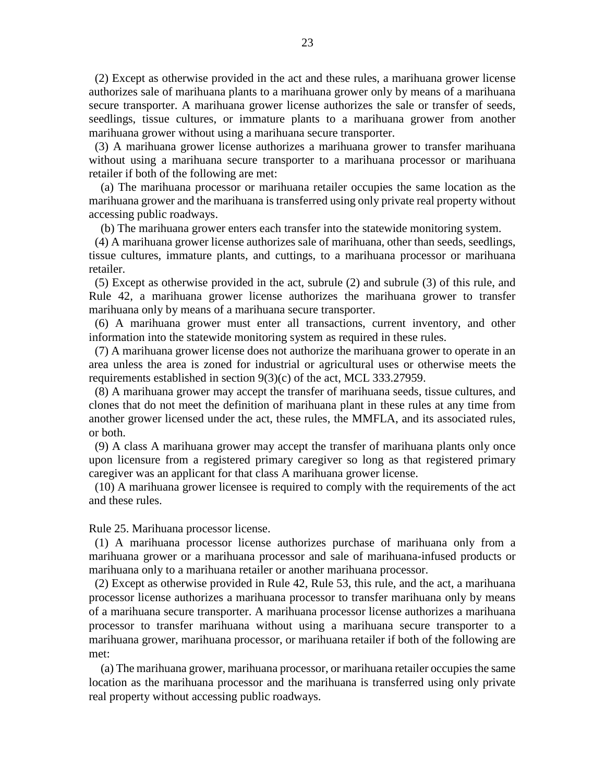(2) Except as otherwise provided in the act and these rules, a marihuana grower license authorizes sale of marihuana plants to a marihuana grower only by means of a marihuana secure transporter. A marihuana grower license authorizes the sale or transfer of seeds, seedlings, tissue cultures, or immature plants to a marihuana grower from another marihuana grower without using a marihuana secure transporter.

 (3) A marihuana grower license authorizes a marihuana grower to transfer marihuana without using a marihuana secure transporter to a marihuana processor or marihuana retailer if both of the following are met:

 (a) The marihuana processor or marihuana retailer occupies the same location as the marihuana grower and the marihuana is transferred using only private real property without accessing public roadways.

(b) The marihuana grower enters each transfer into the statewide monitoring system.

 (4) A marihuana grower license authorizes sale of marihuana, other than seeds, seedlings, tissue cultures, immature plants, and cuttings, to a marihuana processor or marihuana retailer.

 (5) Except as otherwise provided in the act, subrule (2) and subrule (3) of this rule, and Rule 42, a marihuana grower license authorizes the marihuana grower to transfer marihuana only by means of a marihuana secure transporter.

 (6) A marihuana grower must enter all transactions, current inventory, and other information into the statewide monitoring system as required in these rules.

 (7) A marihuana grower license does not authorize the marihuana grower to operate in an area unless the area is zoned for industrial or agricultural uses or otherwise meets the requirements established in section 9(3)(c) of the act, MCL 333.27959.

 (8) A marihuana grower may accept the transfer of marihuana seeds, tissue cultures, and clones that do not meet the definition of marihuana plant in these rules at any time from another grower licensed under the act, these rules, the MMFLA, and its associated rules, or both.

 (9) A class A marihuana grower may accept the transfer of marihuana plants only once upon licensure from a registered primary caregiver so long as that registered primary caregiver was an applicant for that class A marihuana grower license.

 (10) A marihuana grower licensee is required to comply with the requirements of the act and these rules.

#### Rule 25. Marihuana processor license.

 (1) A marihuana processor license authorizes purchase of marihuana only from a marihuana grower or a marihuana processor and sale of marihuana-infused products or marihuana only to a marihuana retailer or another marihuana processor.

 (2) Except as otherwise provided in Rule 42, Rule 53, this rule, and the act, a marihuana processor license authorizes a marihuana processor to transfer marihuana only by means of a marihuana secure transporter. A marihuana processor license authorizes a marihuana processor to transfer marihuana without using a marihuana secure transporter to a marihuana grower, marihuana processor, or marihuana retailer if both of the following are met:

 (a) The marihuana grower, marihuana processor, or marihuana retailer occupies the same location as the marihuana processor and the marihuana is transferred using only private real property without accessing public roadways.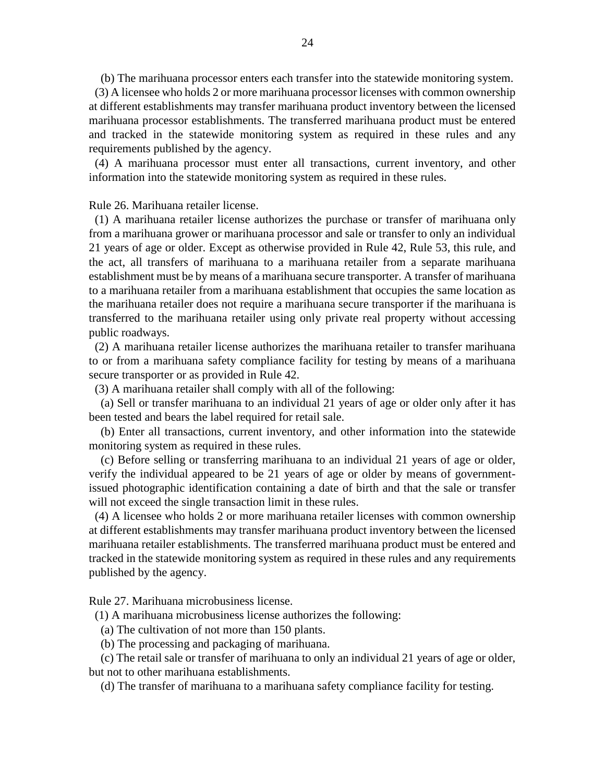(b) The marihuana processor enters each transfer into the statewide monitoring system.

 (3) A licensee who holds 2 or more marihuana processor licenses with common ownership at different establishments may transfer marihuana product inventory between the licensed marihuana processor establishments. The transferred marihuana product must be entered and tracked in the statewide monitoring system as required in these rules and any requirements published by the agency.

 (4) A marihuana processor must enter all transactions, current inventory, and other information into the statewide monitoring system as required in these rules.

Rule 26. Marihuana retailer license.

 (1) A marihuana retailer license authorizes the purchase or transfer of marihuana only from a marihuana grower or marihuana processor and sale or transfer to only an individual 21 years of age or older. Except as otherwise provided in Rule 42, Rule 53, this rule, and the act, all transfers of marihuana to a marihuana retailer from a separate marihuana establishment must be by means of a marihuana secure transporter. A transfer of marihuana to a marihuana retailer from a marihuana establishment that occupies the same location as the marihuana retailer does not require a marihuana secure transporter if the marihuana is transferred to the marihuana retailer using only private real property without accessing public roadways.

 (2) A marihuana retailer license authorizes the marihuana retailer to transfer marihuana to or from a marihuana safety compliance facility for testing by means of a marihuana secure transporter or as provided in Rule 42.

(3) A marihuana retailer shall comply with all of the following:

 (a) Sell or transfer marihuana to an individual 21 years of age or older only after it has been tested and bears the label required for retail sale.

 (b) Enter all transactions, current inventory, and other information into the statewide monitoring system as required in these rules.

 (c) Before selling or transferring marihuana to an individual 21 years of age or older, verify the individual appeared to be 21 years of age or older by means of governmentissued photographic identification containing a date of birth and that the sale or transfer will not exceed the single transaction limit in these rules.

 (4) A licensee who holds 2 or more marihuana retailer licenses with common ownership at different establishments may transfer marihuana product inventory between the licensed marihuana retailer establishments. The transferred marihuana product must be entered and tracked in the statewide monitoring system as required in these rules and any requirements published by the agency.

Rule 27. Marihuana microbusiness license.

(1) A marihuana microbusiness license authorizes the following:

(a) The cultivation of not more than 150 plants.

(b) The processing and packaging of marihuana.

 (c) The retail sale or transfer of marihuana to only an individual 21 years of age or older, but not to other marihuana establishments.

(d) The transfer of marihuana to a marihuana safety compliance facility for testing.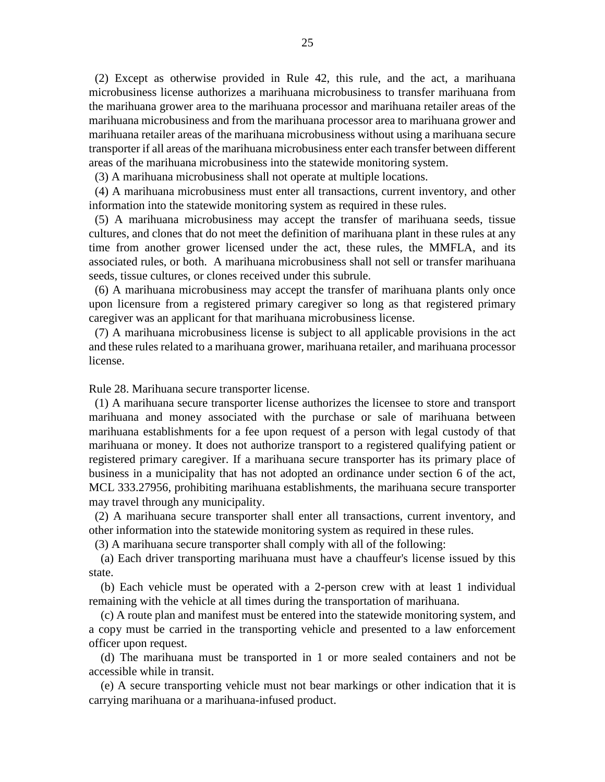(2) Except as otherwise provided in Rule 42, this rule, and the act, a marihuana microbusiness license authorizes a marihuana microbusiness to transfer marihuana from the marihuana grower area to the marihuana processor and marihuana retailer areas of the marihuana microbusiness and from the marihuana processor area to marihuana grower and marihuana retailer areas of the marihuana microbusiness without using a marihuana secure transporter if all areas of the marihuana microbusiness enter each transfer between different areas of the marihuana microbusiness into the statewide monitoring system.

(3) A marihuana microbusiness shall not operate at multiple locations.

 (4) A marihuana microbusiness must enter all transactions, current inventory, and other information into the statewide monitoring system as required in these rules.

 (5) A marihuana microbusiness may accept the transfer of marihuana seeds, tissue cultures, and clones that do not meet the definition of marihuana plant in these rules at any time from another grower licensed under the act, these rules, the MMFLA, and its associated rules, or both. A marihuana microbusiness shall not sell or transfer marihuana seeds, tissue cultures, or clones received under this subrule.

 (6) A marihuana microbusiness may accept the transfer of marihuana plants only once upon licensure from a registered primary caregiver so long as that registered primary caregiver was an applicant for that marihuana microbusiness license.

 (7) A marihuana microbusiness license is subject to all applicable provisions in the act and these rules related to a marihuana grower, marihuana retailer, and marihuana processor license.

Rule 28. Marihuana secure transporter license.

 (1) A marihuana secure transporter license authorizes the licensee to store and transport marihuana and money associated with the purchase or sale of marihuana between marihuana establishments for a fee upon request of a person with legal custody of that marihuana or money. It does not authorize transport to a registered qualifying patient or registered primary caregiver. If a marihuana secure transporter has its primary place of business in a municipality that has not adopted an ordinance under section 6 of the act, MCL 333.27956, prohibiting marihuana establishments, the marihuana secure transporter may travel through any municipality.

 (2) A marihuana secure transporter shall enter all transactions, current inventory, and other information into the statewide monitoring system as required in these rules.

(3) A marihuana secure transporter shall comply with all of the following:

 (a) Each driver transporting marihuana must have a chauffeur's license issued by this state.

 (b) Each vehicle must be operated with a 2-person crew with at least 1 individual remaining with the vehicle at all times during the transportation of marihuana.

 (c) A route plan and manifest must be entered into the statewide monitoring system, and a copy must be carried in the transporting vehicle and presented to a law enforcement officer upon request.

 (d) The marihuana must be transported in 1 or more sealed containers and not be accessible while in transit.

 (e) A secure transporting vehicle must not bear markings or other indication that it is carrying marihuana or a marihuana-infused product.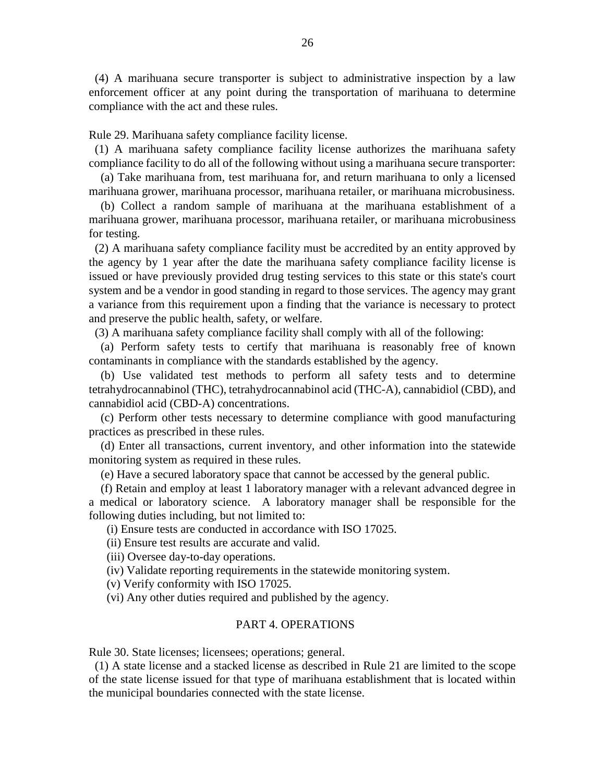(4) A marihuana secure transporter is subject to administrative inspection by a law enforcement officer at any point during the transportation of marihuana to determine compliance with the act and these rules.

Rule 29. Marihuana safety compliance facility license.

 (1) A marihuana safety compliance facility license authorizes the marihuana safety compliance facility to do all of the following without using a marihuana secure transporter:

 (a) Take marihuana from, test marihuana for, and return marihuana to only a licensed marihuana grower, marihuana processor, marihuana retailer, or marihuana microbusiness.

 (b) Collect a random sample of marihuana at the marihuana establishment of a marihuana grower, marihuana processor, marihuana retailer, or marihuana microbusiness for testing.

 (2) A marihuana safety compliance facility must be accredited by an entity approved by the agency by 1 year after the date the marihuana safety compliance facility license is issued or have previously provided drug testing services to this state or this state's court system and be a vendor in good standing in regard to those services. The agency may grant a variance from this requirement upon a finding that the variance is necessary to protect and preserve the public health, safety, or welfare.

(3) A marihuana safety compliance facility shall comply with all of the following:

 (a) Perform safety tests to certify that marihuana is reasonably free of known contaminants in compliance with the standards established by the agency.

 (b) Use validated test methods to perform all safety tests and to determine tetrahydrocannabinol (THC), tetrahydrocannabinol acid (THC-A), cannabidiol (CBD), and cannabidiol acid (CBD-A) concentrations.

 (c) Perform other tests necessary to determine compliance with good manufacturing practices as prescribed in these rules.

 (d) Enter all transactions, current inventory, and other information into the statewide monitoring system as required in these rules.

(e) Have a secured laboratory space that cannot be accessed by the general public.

 (f) Retain and employ at least 1 laboratory manager with a relevant advanced degree in a medical or laboratory science. A laboratory manager shall be responsible for the following duties including, but not limited to:

(i) Ensure tests are conducted in accordance with ISO 17025.

(ii) Ensure test results are accurate and valid.

(iii) Oversee day-to-day operations.

(iv) Validate reporting requirements in the statewide monitoring system.

(v) Verify conformity with ISO 17025.

(vi) Any other duties required and published by the agency.

### PART 4. OPERATIONS

Rule 30. State licenses; licensees; operations; general.

 (1) A state license and a stacked license as described in Rule 21 are limited to the scope of the state license issued for that type of marihuana establishment that is located within the municipal boundaries connected with the state license.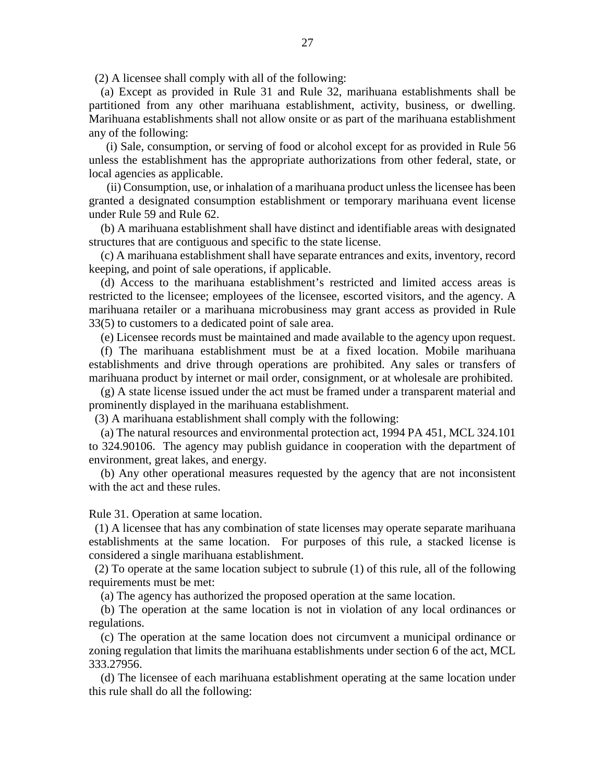(2) A licensee shall comply with all of the following:

 (a) Except as provided in Rule 31 and Rule 32, marihuana establishments shall be partitioned from any other marihuana establishment, activity, business, or dwelling. Marihuana establishments shall not allow onsite or as part of the marihuana establishment any of the following:

 (i) Sale, consumption, or serving of food or alcohol except for as provided in Rule 56 unless the establishment has the appropriate authorizations from other federal, state, or local agencies as applicable.

 (ii) Consumption, use, or inhalation of a marihuana product unless the licensee has been granted a designated consumption establishment or temporary marihuana event license under Rule 59 and Rule 62.

 (b) A marihuana establishment shall have distinct and identifiable areas with designated structures that are contiguous and specific to the state license.

 (c) A marihuana establishment shall have separate entrances and exits, inventory, record keeping, and point of sale operations, if applicable.

 (d) Access to the marihuana establishment's restricted and limited access areas is restricted to the licensee; employees of the licensee, escorted visitors, and the agency. A marihuana retailer or a marihuana microbusiness may grant access as provided in Rule 33(5) to customers to a dedicated point of sale area.

(e) Licensee records must be maintained and made available to the agency upon request.

 (f) The marihuana establishment must be at a fixed location. Mobile marihuana establishments and drive through operations are prohibited. Any sales or transfers of marihuana product by internet or mail order, consignment, or at wholesale are prohibited.

 (g) A state license issued under the act must be framed under a transparent material and prominently displayed in the marihuana establishment.

(3) A marihuana establishment shall comply with the following:

 (a) The natural resources and environmental protection act, 1994 PA 451, MCL 324.101 to 324.90106. The agency may publish guidance in cooperation with the department of environment, great lakes, and energy.

 (b) Any other operational measures requested by the agency that are not inconsistent with the act and these rules.

Rule 31. Operation at same location.

 (1) A licensee that has any combination of state licenses may operate separate marihuana establishments at the same location. For purposes of this rule, a stacked license is considered a single marihuana establishment.

 (2) To operate at the same location subject to subrule (1) of this rule, all of the following requirements must be met:

(a) The agency has authorized the proposed operation at the same location.

 (b) The operation at the same location is not in violation of any local ordinances or regulations.

 (c) The operation at the same location does not circumvent a municipal ordinance or zoning regulation that limits the marihuana establishments under section 6 of the act, MCL 333.27956.

 (d) The licensee of each marihuana establishment operating at the same location under this rule shall do all the following: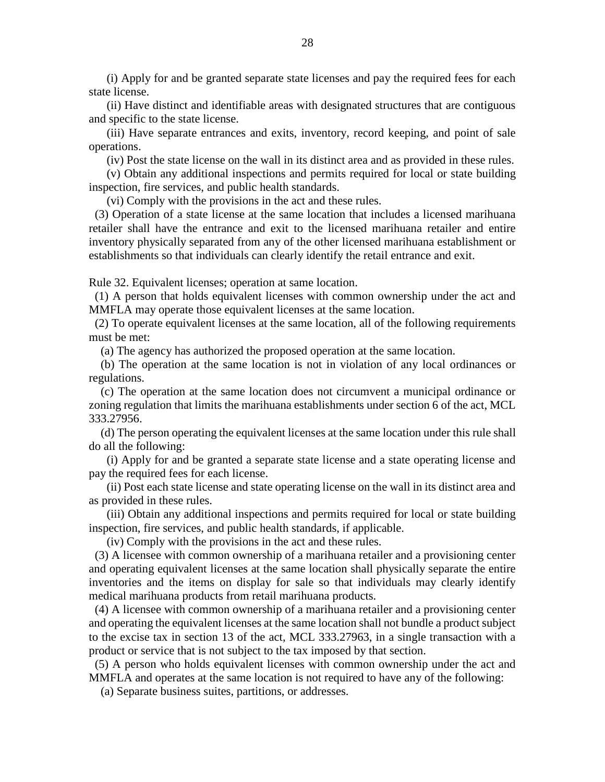(i) Apply for and be granted separate state licenses and pay the required fees for each state license.

 (ii) Have distinct and identifiable areas with designated structures that are contiguous and specific to the state license.

 (iii) Have separate entrances and exits, inventory, record keeping, and point of sale operations.

(iv) Post the state license on the wall in its distinct area and as provided in these rules.

 (v) Obtain any additional inspections and permits required for local or state building inspection, fire services, and public health standards.

(vi) Comply with the provisions in the act and these rules.

 (3) Operation of a state license at the same location that includes a licensed marihuana retailer shall have the entrance and exit to the licensed marihuana retailer and entire inventory physically separated from any of the other licensed marihuana establishment or establishments so that individuals can clearly identify the retail entrance and exit.

Rule 32. Equivalent licenses; operation at same location.

 (1) A person that holds equivalent licenses with common ownership under the act and MMFLA may operate those equivalent licenses at the same location.

 (2) To operate equivalent licenses at the same location, all of the following requirements must be met:

(a) The agency has authorized the proposed operation at the same location.

 (b) The operation at the same location is not in violation of any local ordinances or regulations.

 (c) The operation at the same location does not circumvent a municipal ordinance or zoning regulation that limits the marihuana establishments under section 6 of the act, MCL 333.27956.

 (d) The person operating the equivalent licenses at the same location under this rule shall do all the following:

 (i) Apply for and be granted a separate state license and a state operating license and pay the required fees for each license.

 (ii) Post each state license and state operating license on the wall in its distinct area and as provided in these rules.

 (iii) Obtain any additional inspections and permits required for local or state building inspection, fire services, and public health standards, if applicable.

(iv) Comply with the provisions in the act and these rules.

 (3) A licensee with common ownership of a marihuana retailer and a provisioning center and operating equivalent licenses at the same location shall physically separate the entire inventories and the items on display for sale so that individuals may clearly identify medical marihuana products from retail marihuana products.

 (4) A licensee with common ownership of a marihuana retailer and a provisioning center and operating the equivalent licenses at the same location shall not bundle a product subject to the excise tax in section 13 of the act, MCL 333.27963, in a single transaction with a product or service that is not subject to the tax imposed by that section.

 (5) A person who holds equivalent licenses with common ownership under the act and MMFLA and operates at the same location is not required to have any of the following:

(a) Separate business suites, partitions, or addresses.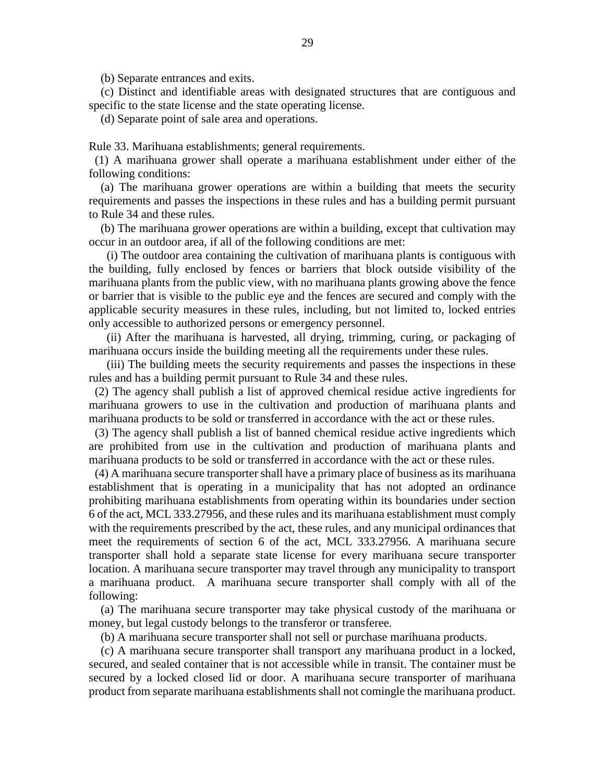(b) Separate entrances and exits.

 (c) Distinct and identifiable areas with designated structures that are contiguous and specific to the state license and the state operating license.

(d) Separate point of sale area and operations.

Rule 33. Marihuana establishments; general requirements.

 (1) A marihuana grower shall operate a marihuana establishment under either of the following conditions:

 (a) The marihuana grower operations are within a building that meets the security requirements and passes the inspections in these rules and has a building permit pursuant to Rule 34 and these rules.

 (b) The marihuana grower operations are within a building, except that cultivation may occur in an outdoor area, if all of the following conditions are met:

 (i) The outdoor area containing the cultivation of marihuana plants is contiguous with the building, fully enclosed by fences or barriers that block outside visibility of the marihuana plants from the public view, with no marihuana plants growing above the fence or barrier that is visible to the public eye and the fences are secured and comply with the applicable security measures in these rules, including, but not limited to, locked entries only accessible to authorized persons or emergency personnel.

 (ii) After the marihuana is harvested, all drying, trimming, curing, or packaging of marihuana occurs inside the building meeting all the requirements under these rules.

 (iii) The building meets the security requirements and passes the inspections in these rules and has a building permit pursuant to Rule 34 and these rules.

 (2) The agency shall publish a list of approved chemical residue active ingredients for marihuana growers to use in the cultivation and production of marihuana plants and marihuana products to be sold or transferred in accordance with the act or these rules.

 (3) The agency shall publish a list of banned chemical residue active ingredients which are prohibited from use in the cultivation and production of marihuana plants and marihuana products to be sold or transferred in accordance with the act or these rules.

 (4) A marihuana secure transporter shall have a primary place of business as its marihuana establishment that is operating in a municipality that has not adopted an ordinance prohibiting marihuana establishments from operating within its boundaries under section 6 of the act, MCL 333.27956, and these rules and its marihuana establishment must comply with the requirements prescribed by the act, these rules, and any municipal ordinances that meet the requirements of section 6 of the act, MCL 333.27956. A marihuana secure transporter shall hold a separate state license for every marihuana secure transporter location. A marihuana secure transporter may travel through any municipality to transport a marihuana product. A marihuana secure transporter shall comply with all of the following:

 (a) The marihuana secure transporter may take physical custody of the marihuana or money, but legal custody belongs to the transferor or transferee.

(b) A marihuana secure transporter shall not sell or purchase marihuana products.

 (c) A marihuana secure transporter shall transport any marihuana product in a locked, secured, and sealed container that is not accessible while in transit. The container must be secured by a locked closed lid or door. A marihuana secure transporter of marihuana product from separate marihuana establishments shall not comingle the marihuana product.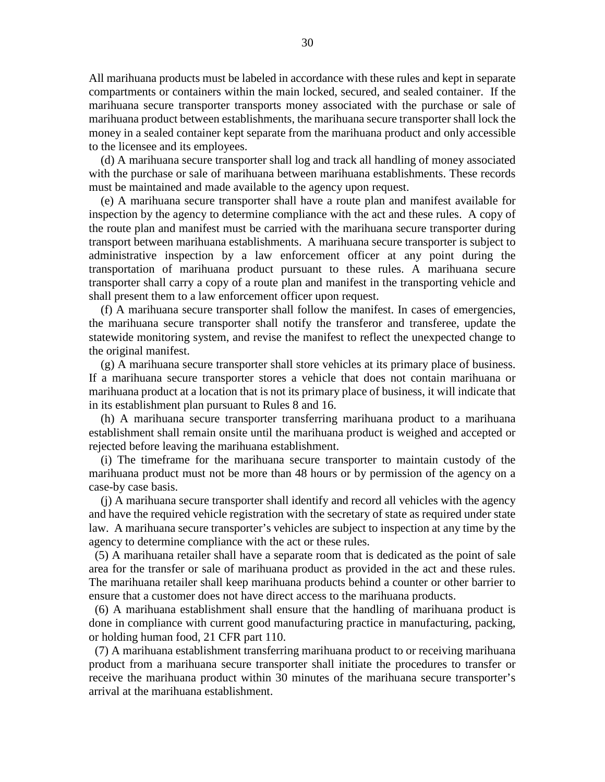All marihuana products must be labeled in accordance with these rules and kept in separate compartments or containers within the main locked, secured, and sealed container. If the marihuana secure transporter transports money associated with the purchase or sale of marihuana product between establishments, the marihuana secure transporter shall lock the money in a sealed container kept separate from the marihuana product and only accessible to the licensee and its employees.

 (d) A marihuana secure transporter shall log and track all handling of money associated with the purchase or sale of marihuana between marihuana establishments. These records must be maintained and made available to the agency upon request.

 (e) A marihuana secure transporter shall have a route plan and manifest available for inspection by the agency to determine compliance with the act and these rules. A copy of the route plan and manifest must be carried with the marihuana secure transporter during transport between marihuana establishments. A marihuana secure transporter is subject to administrative inspection by a law enforcement officer at any point during the transportation of marihuana product pursuant to these rules. A marihuana secure transporter shall carry a copy of a route plan and manifest in the transporting vehicle and shall present them to a law enforcement officer upon request.

 (f) A marihuana secure transporter shall follow the manifest. In cases of emergencies, the marihuana secure transporter shall notify the transferor and transferee, update the statewide monitoring system, and revise the manifest to reflect the unexpected change to the original manifest.

 (g) A marihuana secure transporter shall store vehicles at its primary place of business. If a marihuana secure transporter stores a vehicle that does not contain marihuana or marihuana product at a location that is not its primary place of business, it will indicate that in its establishment plan pursuant to Rules 8 and 16.

 (h) A marihuana secure transporter transferring marihuana product to a marihuana establishment shall remain onsite until the marihuana product is weighed and accepted or rejected before leaving the marihuana establishment.

 (i) The timeframe for the marihuana secure transporter to maintain custody of the marihuana product must not be more than 48 hours or by permission of the agency on a case-by case basis.

 (j) A marihuana secure transporter shall identify and record all vehicles with the agency and have the required vehicle registration with the secretary of state as required under state law. A marihuana secure transporter's vehicles are subject to inspection at any time by the agency to determine compliance with the act or these rules.

 (5) A marihuana retailer shall have a separate room that is dedicated as the point of sale area for the transfer or sale of marihuana product as provided in the act and these rules. The marihuana retailer shall keep marihuana products behind a counter or other barrier to ensure that a customer does not have direct access to the marihuana products.

 (6) A marihuana establishment shall ensure that the handling of marihuana product is done in compliance with current good manufacturing practice in manufacturing, packing, or holding human food, 21 CFR part 110.

 (7) A marihuana establishment transferring marihuana product to or receiving marihuana product from a marihuana secure transporter shall initiate the procedures to transfer or receive the marihuana product within 30 minutes of the marihuana secure transporter's arrival at the marihuana establishment.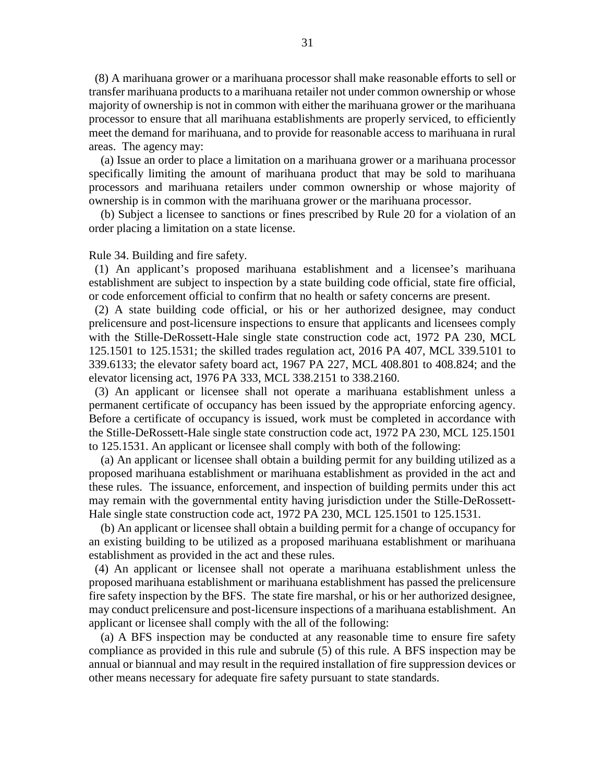(8) A marihuana grower or a marihuana processor shall make reasonable efforts to sell or transfer marihuana products to a marihuana retailer not under common ownership or whose majority of ownership is not in common with either the marihuana grower or the marihuana processor to ensure that all marihuana establishments are properly serviced, to efficiently meet the demand for marihuana, and to provide for reasonable access to marihuana in rural areas. The agency may:

 (a) Issue an order to place a limitation on a marihuana grower or a marihuana processor specifically limiting the amount of marihuana product that may be sold to marihuana processors and marihuana retailers under common ownership or whose majority of ownership is in common with the marihuana grower or the marihuana processor.

 (b) Subject a licensee to sanctions or fines prescribed by Rule 20 for a violation of an order placing a limitation on a state license.

Rule 34. Building and fire safety.

 (1) An applicant's proposed marihuana establishment and a licensee's marihuana establishment are subject to inspection by a state building code official, state fire official, or code enforcement official to confirm that no health or safety concerns are present.

 (2) A state building code official, or his or her authorized designee, may conduct prelicensure and post-licensure inspections to ensure that applicants and licensees comply with the Stille-DeRossett-Hale single state construction code act, 1972 PA 230, MCL 125.1501 to 125.1531; the skilled trades regulation act, 2016 PA 407, MCL 339.5101 to 339.6133; the elevator safety board act, 1967 PA 227, MCL 408.801 to 408.824; and the elevator licensing act, 1976 PA 333, MCL 338.2151 to 338.2160.

 (3) An applicant or licensee shall not operate a marihuana establishment unless a permanent certificate of occupancy has been issued by the appropriate enforcing agency. Before a certificate of occupancy is issued, work must be completed in accordance with the Stille-DeRossett-Hale single state construction code act, 1972 PA 230, MCL 125.1501 to 125.1531. An applicant or licensee shall comply with both of the following:

 (a) An applicant or licensee shall obtain a building permit for any building utilized as a proposed marihuana establishment or marihuana establishment as provided in the act and these rules. The issuance, enforcement, and inspection of building permits under this act may remain with the governmental entity having jurisdiction under the Stille-DeRossett-Hale single state construction code act, 1972 PA 230, MCL 125.1501 to 125.1531.

 (b) An applicant or licensee shall obtain a building permit for a change of occupancy for an existing building to be utilized as a proposed marihuana establishment or marihuana establishment as provided in the act and these rules.

 (4) An applicant or licensee shall not operate a marihuana establishment unless the proposed marihuana establishment or marihuana establishment has passed the prelicensure fire safety inspection by the BFS. The state fire marshal, or his or her authorized designee, may conduct prelicensure and post-licensure inspections of a marihuana establishment. An applicant or licensee shall comply with the all of the following:

 (a) A BFS inspection may be conducted at any reasonable time to ensure fire safety compliance as provided in this rule and subrule (5) of this rule. A BFS inspection may be annual or biannual and may result in the required installation of fire suppression devices or other means necessary for adequate fire safety pursuant to state standards.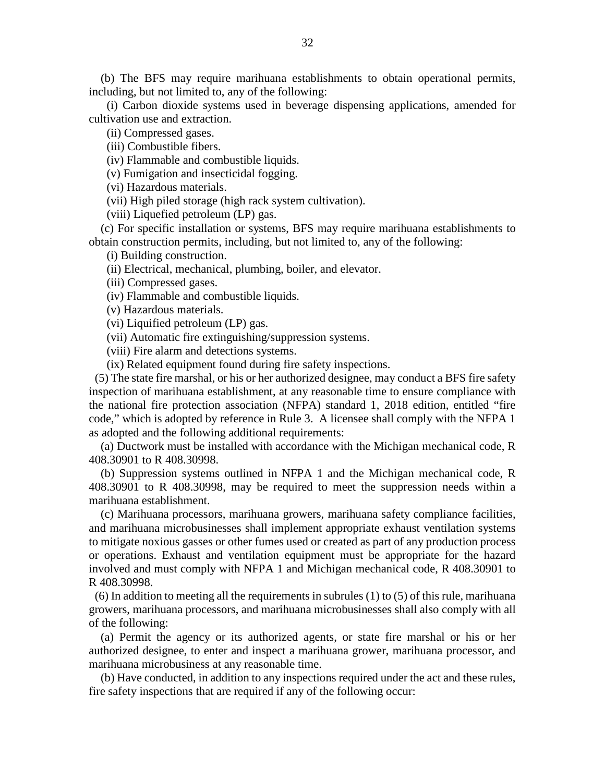(b) The BFS may require marihuana establishments to obtain operational permits, including, but not limited to, any of the following:

 (i) Carbon dioxide systems used in beverage dispensing applications, amended for cultivation use and extraction.

(ii) Compressed gases.

(iii) Combustible fibers.

(iv) Flammable and combustible liquids.

(v) Fumigation and insecticidal fogging.

(vi) Hazardous materials.

(vii) High piled storage (high rack system cultivation).

(viii) Liquefied petroleum (LP) gas.

 (c) For specific installation or systems, BFS may require marihuana establishments to obtain construction permits, including, but not limited to, any of the following:

(i) Building construction.

(ii) Electrical, mechanical, plumbing, boiler, and elevator.

(iii) Compressed gases.

(iv) Flammable and combustible liquids.

(v) Hazardous materials.

(vi) Liquified petroleum (LP) gas.

(vii) Automatic fire extinguishing/suppression systems.

(viii) Fire alarm and detections systems.

(ix) Related equipment found during fire safety inspections.

 (5) The state fire marshal, or his or her authorized designee, may conduct a BFS fire safety inspection of marihuana establishment, at any reasonable time to ensure compliance with the national fire protection association (NFPA) standard 1, 2018 edition, entitled "fire code," which is adopted by reference in Rule 3. A licensee shall comply with the NFPA 1 as adopted and the following additional requirements:

 (a) Ductwork must be installed with accordance with the Michigan mechanical code, R 408.30901 to R 408.30998.

 (b) Suppression systems outlined in NFPA 1 and the Michigan mechanical code, R 408.30901 to R 408.30998, may be required to meet the suppression needs within a marihuana establishment.

 (c) Marihuana processors, marihuana growers, marihuana safety compliance facilities, and marihuana microbusinesses shall implement appropriate exhaust ventilation systems to mitigate noxious gasses or other fumes used or created as part of any production process or operations. Exhaust and ventilation equipment must be appropriate for the hazard involved and must comply with NFPA 1 and Michigan mechanical code, R 408.30901 to R 408.30998.

(6) In addition to meeting all the requirements in subrules  $(1)$  to  $(5)$  of this rule, marihuana growers, marihuana processors, and marihuana microbusinesses shall also comply with all of the following:

 (a) Permit the agency or its authorized agents, or state fire marshal or his or her authorized designee, to enter and inspect a marihuana grower, marihuana processor, and marihuana microbusiness at any reasonable time.

 (b) Have conducted, in addition to any inspections required under the act and these rules, fire safety inspections that are required if any of the following occur: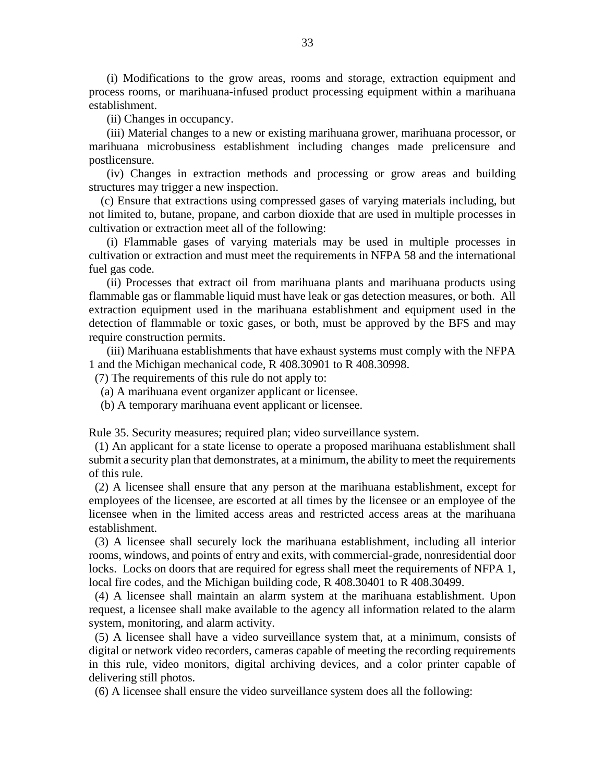(i) Modifications to the grow areas, rooms and storage, extraction equipment and process rooms, or marihuana-infused product processing equipment within a marihuana establishment.

(ii) Changes in occupancy.

 (iii) Material changes to a new or existing marihuana grower, marihuana processor, or marihuana microbusiness establishment including changes made prelicensure and postlicensure.

 (iv) Changes in extraction methods and processing or grow areas and building structures may trigger a new inspection.

 (c) Ensure that extractions using compressed gases of varying materials including, but not limited to, butane, propane, and carbon dioxide that are used in multiple processes in cultivation or extraction meet all of the following:

 (i) Flammable gases of varying materials may be used in multiple processes in cultivation or extraction and must meet the requirements in NFPA 58 and the international fuel gas code.

 (ii) Processes that extract oil from marihuana plants and marihuana products using flammable gas or flammable liquid must have leak or gas detection measures, or both. All extraction equipment used in the marihuana establishment and equipment used in the detection of flammable or toxic gases, or both, must be approved by the BFS and may require construction permits.

 (iii) Marihuana establishments that have exhaust systems must comply with the NFPA 1 and the Michigan mechanical code, R 408.30901 to R 408.30998.

(7) The requirements of this rule do not apply to:

(a) A marihuana event organizer applicant or licensee.

(b) A temporary marihuana event applicant or licensee.

Rule 35. Security measures; required plan; video surveillance system.

 (1) An applicant for a state license to operate a proposed marihuana establishment shall submit a security plan that demonstrates, at a minimum, the ability to meet the requirements of this rule.

 (2) A licensee shall ensure that any person at the marihuana establishment, except for employees of the licensee, are escorted at all times by the licensee or an employee of the licensee when in the limited access areas and restricted access areas at the marihuana establishment.

 (3) A licensee shall securely lock the marihuana establishment, including all interior rooms, windows, and points of entry and exits, with commercial-grade, nonresidential door locks. Locks on doors that are required for egress shall meet the requirements of NFPA 1, local fire codes, and the Michigan building code, R 408.30401 to R 408.30499.

 (4) A licensee shall maintain an alarm system at the marihuana establishment. Upon request, a licensee shall make available to the agency all information related to the alarm system, monitoring, and alarm activity.

 (5) A licensee shall have a video surveillance system that, at a minimum, consists of digital or network video recorders, cameras capable of meeting the recording requirements in this rule, video monitors, digital archiving devices, and a color printer capable of delivering still photos.

(6) A licensee shall ensure the video surveillance system does all the following: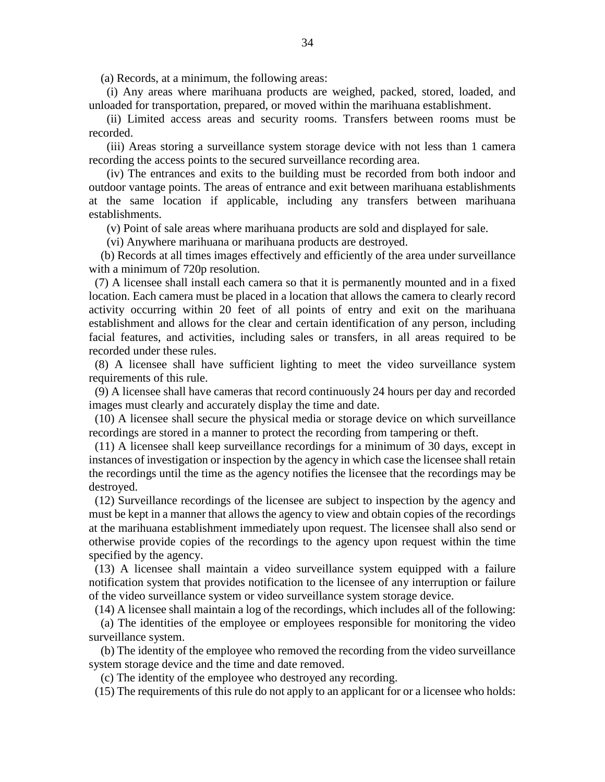(a) Records, at a minimum, the following areas:

 (i) Any areas where marihuana products are weighed, packed, stored, loaded, and unloaded for transportation, prepared, or moved within the marihuana establishment.

 (ii) Limited access areas and security rooms. Transfers between rooms must be recorded.

 (iii) Areas storing a surveillance system storage device with not less than 1 camera recording the access points to the secured surveillance recording area.

 (iv) The entrances and exits to the building must be recorded from both indoor and outdoor vantage points. The areas of entrance and exit between marihuana establishments at the same location if applicable, including any transfers between marihuana establishments.

(v) Point of sale areas where marihuana products are sold and displayed for sale.

(vi) Anywhere marihuana or marihuana products are destroyed.

 (b) Records at all times images effectively and efficiently of the area under surveillance with a minimum of 720p resolution.

 (7) A licensee shall install each camera so that it is permanently mounted and in a fixed location. Each camera must be placed in a location that allows the camera to clearly record activity occurring within 20 feet of all points of entry and exit on the marihuana establishment and allows for the clear and certain identification of any person, including facial features, and activities, including sales or transfers, in all areas required to be recorded under these rules.

 (8) A licensee shall have sufficient lighting to meet the video surveillance system requirements of this rule.

 (9) A licensee shall have cameras that record continuously 24 hours per day and recorded images must clearly and accurately display the time and date.

 (10) A licensee shall secure the physical media or storage device on which surveillance recordings are stored in a manner to protect the recording from tampering or theft.

 (11) A licensee shall keep surveillance recordings for a minimum of 30 days, except in instances of investigation or inspection by the agency in which case the licensee shall retain the recordings until the time as the agency notifies the licensee that the recordings may be destroyed.

 (12) Surveillance recordings of the licensee are subject to inspection by the agency and must be kept in a manner that allows the agency to view and obtain copies of the recordings at the marihuana establishment immediately upon request. The licensee shall also send or otherwise provide copies of the recordings to the agency upon request within the time specified by the agency.

 (13) A licensee shall maintain a video surveillance system equipped with a failure notification system that provides notification to the licensee of any interruption or failure of the video surveillance system or video surveillance system storage device.

(14) A licensee shall maintain a log of the recordings, which includes all of the following:

 (a) The identities of the employee or employees responsible for monitoring the video surveillance system.

 (b) The identity of the employee who removed the recording from the video surveillance system storage device and the time and date removed.

(c) The identity of the employee who destroyed any recording.

(15) The requirements of this rule do not apply to an applicant for or a licensee who holds: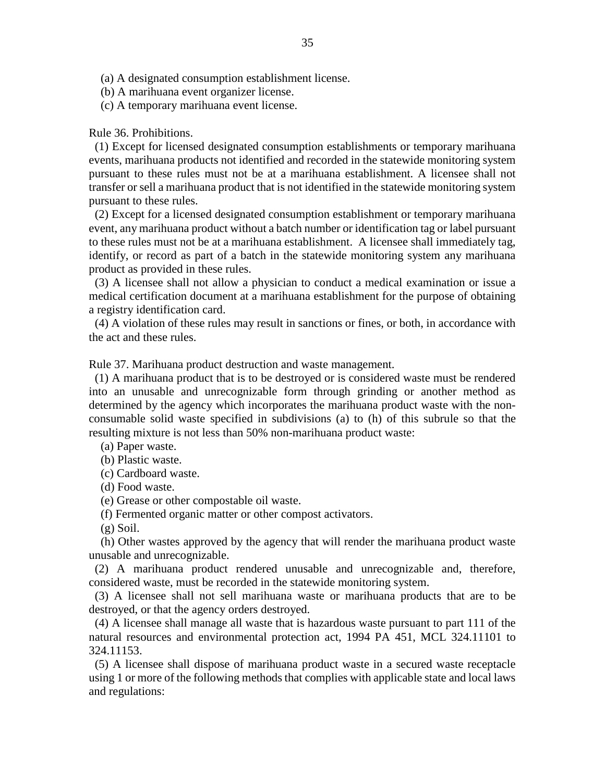- (a) A designated consumption establishment license.
- (b) A marihuana event organizer license.
- (c) A temporary marihuana event license.

### Rule 36. Prohibitions.

 (1) Except for licensed designated consumption establishments or temporary marihuana events, marihuana products not identified and recorded in the statewide monitoring system pursuant to these rules must not be at a marihuana establishment. A licensee shall not transfer or sell a marihuana product that is not identified in the statewide monitoring system pursuant to these rules.

 (2) Except for a licensed designated consumption establishment or temporary marihuana event, any marihuana product without a batch number or identification tag or label pursuant to these rules must not be at a marihuana establishment. A licensee shall immediately tag, identify, or record as part of a batch in the statewide monitoring system any marihuana product as provided in these rules.

 (3) A licensee shall not allow a physician to conduct a medical examination or issue a medical certification document at a marihuana establishment for the purpose of obtaining a registry identification card.

 (4) A violation of these rules may result in sanctions or fines, or both, in accordance with the act and these rules.

Rule 37. Marihuana product destruction and waste management.

 (1) A marihuana product that is to be destroyed or is considered waste must be rendered into an unusable and unrecognizable form through grinding or another method as determined by the agency which incorporates the marihuana product waste with the nonconsumable solid waste specified in subdivisions (a) to (h) of this subrule so that the resulting mixture is not less than 50% non-marihuana product waste:

- (a) Paper waste.
- (b) Plastic waste.
- (c) Cardboard waste.
- (d) Food waste.
- (e) Grease or other compostable oil waste.
- (f) Fermented organic matter or other compost activators.
- $(g)$  Soil.

 (h) Other wastes approved by the agency that will render the marihuana product waste unusable and unrecognizable.

 (2) A marihuana product rendered unusable and unrecognizable and, therefore, considered waste, must be recorded in the statewide monitoring system.

 (3) A licensee shall not sell marihuana waste or marihuana products that are to be destroyed, or that the agency orders destroyed.

 (4) A licensee shall manage all waste that is hazardous waste pursuant to part 111 of the natural resources and environmental protection act, 1994 PA 451, MCL 324.11101 to 324.11153.

 (5) A licensee shall dispose of marihuana product waste in a secured waste receptacle using 1 or more of the following methods that complies with applicable state and local laws and regulations: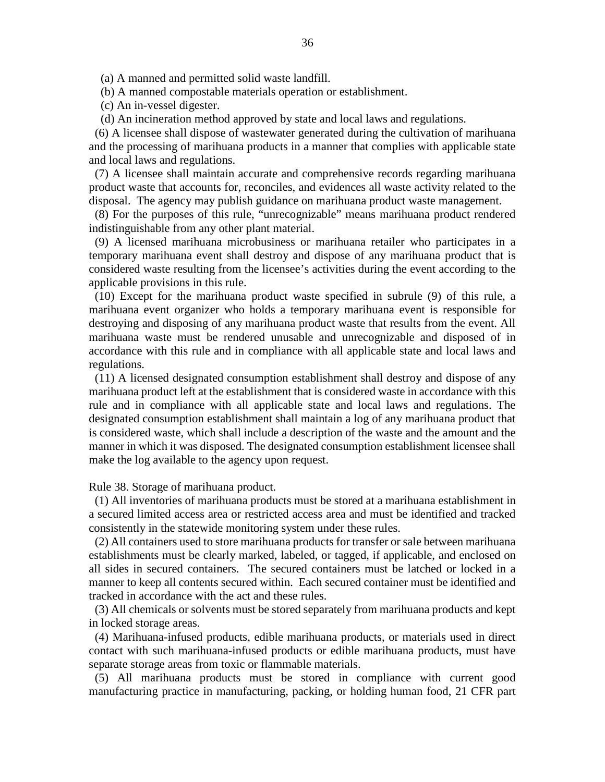(a) A manned and permitted solid waste landfill.

(b) A manned compostable materials operation or establishment.

(c) An in-vessel digester.

(d) An incineration method approved by state and local laws and regulations.

 (6) A licensee shall dispose of wastewater generated during the cultivation of marihuana and the processing of marihuana products in a manner that complies with applicable state and local laws and regulations.

 (7) A licensee shall maintain accurate and comprehensive records regarding marihuana product waste that accounts for, reconciles, and evidences all waste activity related to the disposal. The agency may publish guidance on marihuana product waste management.

 (8) For the purposes of this rule, "unrecognizable" means marihuana product rendered indistinguishable from any other plant material.

 (9) A licensed marihuana microbusiness or marihuana retailer who participates in a temporary marihuana event shall destroy and dispose of any marihuana product that is considered waste resulting from the licensee's activities during the event according to the applicable provisions in this rule.

 (10) Except for the marihuana product waste specified in subrule (9) of this rule, a marihuana event organizer who holds a temporary marihuana event is responsible for destroying and disposing of any marihuana product waste that results from the event. All marihuana waste must be rendered unusable and unrecognizable and disposed of in accordance with this rule and in compliance with all applicable state and local laws and regulations.

 (11) A licensed designated consumption establishment shall destroy and dispose of any marihuana product left at the establishment that is considered waste in accordance with this rule and in compliance with all applicable state and local laws and regulations. The designated consumption establishment shall maintain a log of any marihuana product that is considered waste, which shall include a description of the waste and the amount and the manner in which it was disposed. The designated consumption establishment licensee shall make the log available to the agency upon request.

Rule 38. Storage of marihuana product.

 (1) All inventories of marihuana products must be stored at a marihuana establishment in a secured limited access area or restricted access area and must be identified and tracked consistently in the statewide monitoring system under these rules.

 (2) All containers used to store marihuana products for transfer or sale between marihuana establishments must be clearly marked, labeled, or tagged, if applicable, and enclosed on all sides in secured containers. The secured containers must be latched or locked in a manner to keep all contents secured within. Each secured container must be identified and tracked in accordance with the act and these rules.

 (3) All chemicals or solvents must be stored separately from marihuana products and kept in locked storage areas.

 (4) Marihuana-infused products, edible marihuana products, or materials used in direct contact with such marihuana-infused products or edible marihuana products, must have separate storage areas from toxic or flammable materials.

 (5) All marihuana products must be stored in compliance with current good manufacturing practice in manufacturing, packing, or holding human food, 21 CFR part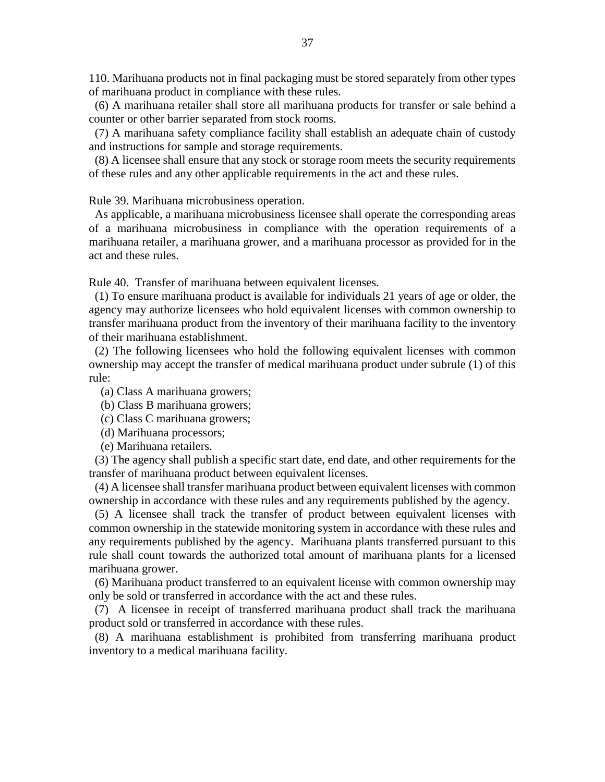110. Marihuana products not in final packaging must be stored separately from other types of marihuana product in compliance with these rules.

 (6) A marihuana retailer shall store all marihuana products for transfer or sale behind a counter or other barrier separated from stock rooms.

 (7) A marihuana safety compliance facility shall establish an adequate chain of custody and instructions for sample and storage requirements.

 (8) A licensee shall ensure that any stock or storage room meets the security requirements of these rules and any other applicable requirements in the act and these rules.

Rule 39. Marihuana microbusiness operation.

 As applicable, a marihuana microbusiness licensee shall operate the corresponding areas of a marihuana microbusiness in compliance with the operation requirements of a marihuana retailer, a marihuana grower, and a marihuana processor as provided for in the act and these rules.

Rule 40. Transfer of marihuana between equivalent licenses.

 (1) To ensure marihuana product is available for individuals 21 years of age or older, the agency may authorize licensees who hold equivalent licenses with common ownership to transfer marihuana product from the inventory of their marihuana facility to the inventory of their marihuana establishment.

 (2) The following licensees who hold the following equivalent licenses with common ownership may accept the transfer of medical marihuana product under subrule (1) of this rule:

- (a) Class A marihuana growers;
- (b) Class B marihuana growers;
- (c) Class C marihuana growers;
- (d) Marihuana processors;
- (e) Marihuana retailers.

 (3) The agency shall publish a specific start date, end date, and other requirements for the transfer of marihuana product between equivalent licenses.

 (4) A licensee shall transfer marihuana product between equivalent licenses with common ownership in accordance with these rules and any requirements published by the agency.

 (5) A licensee shall track the transfer of product between equivalent licenses with common ownership in the statewide monitoring system in accordance with these rules and any requirements published by the agency. Marihuana plants transferred pursuant to this rule shall count towards the authorized total amount of marihuana plants for a licensed marihuana grower.

 (6) Marihuana product transferred to an equivalent license with common ownership may only be sold or transferred in accordance with the act and these rules.

 (7) A licensee in receipt of transferred marihuana product shall track the marihuana product sold or transferred in accordance with these rules.

 (8) A marihuana establishment is prohibited from transferring marihuana product inventory to a medical marihuana facility.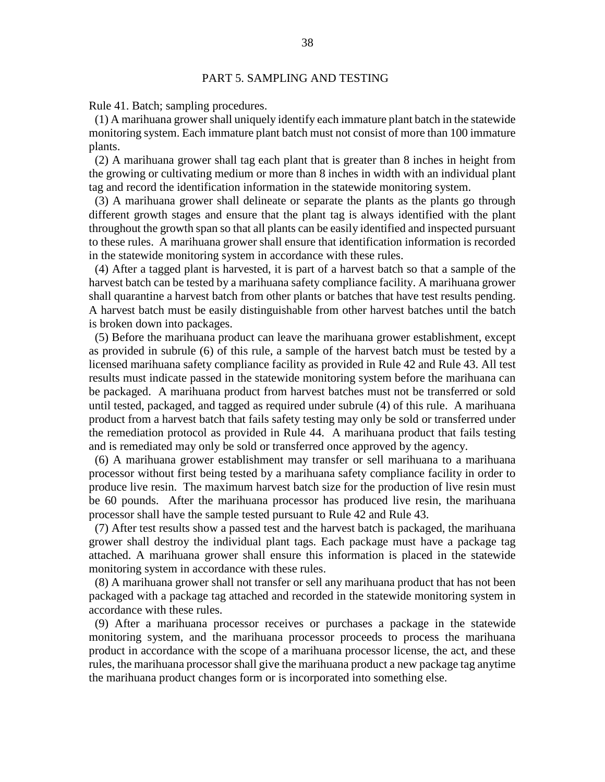### PART 5. SAMPLING AND TESTING

Rule 41. Batch; sampling procedures.

 (1) A marihuana grower shall uniquely identify each immature plant batch in the statewide monitoring system. Each immature plant batch must not consist of more than 100 immature plants.

 (2) A marihuana grower shall tag each plant that is greater than 8 inches in height from the growing or cultivating medium or more than 8 inches in width with an individual plant tag and record the identification information in the statewide monitoring system.

 (3) A marihuana grower shall delineate or separate the plants as the plants go through different growth stages and ensure that the plant tag is always identified with the plant throughout the growth span so that all plants can be easily identified and inspected pursuant to these rules. A marihuana grower shall ensure that identification information is recorded in the statewide monitoring system in accordance with these rules.

 (4) After a tagged plant is harvested, it is part of a harvest batch so that a sample of the harvest batch can be tested by a marihuana safety compliance facility. A marihuana grower shall quarantine a harvest batch from other plants or batches that have test results pending. A harvest batch must be easily distinguishable from other harvest batches until the batch is broken down into packages.

 (5) Before the marihuana product can leave the marihuana grower establishment, except as provided in subrule (6) of this rule, a sample of the harvest batch must be tested by a licensed marihuana safety compliance facility as provided in Rule 42 and Rule 43. All test results must indicate passed in the statewide monitoring system before the marihuana can be packaged. A marihuana product from harvest batches must not be transferred or sold until tested, packaged, and tagged as required under subrule (4) of this rule. A marihuana product from a harvest batch that fails safety testing may only be sold or transferred under the remediation protocol as provided in Rule 44. A marihuana product that fails testing and is remediated may only be sold or transferred once approved by the agency.

 (6) A marihuana grower establishment may transfer or sell marihuana to a marihuana processor without first being tested by a marihuana safety compliance facility in order to produce live resin. The maximum harvest batch size for the production of live resin must be 60 pounds. After the marihuana processor has produced live resin, the marihuana processor shall have the sample tested pursuant to Rule 42 and Rule 43.

 (7) After test results show a passed test and the harvest batch is packaged, the marihuana grower shall destroy the individual plant tags. Each package must have a package tag attached. A marihuana grower shall ensure this information is placed in the statewide monitoring system in accordance with these rules.

 (8) A marihuana grower shall not transfer or sell any marihuana product that has not been packaged with a package tag attached and recorded in the statewide monitoring system in accordance with these rules.

 (9) After a marihuana processor receives or purchases a package in the statewide monitoring system, and the marihuana processor proceeds to process the marihuana product in accordance with the scope of a marihuana processor license, the act, and these rules, the marihuana processor shall give the marihuana product a new package tag anytime the marihuana product changes form or is incorporated into something else.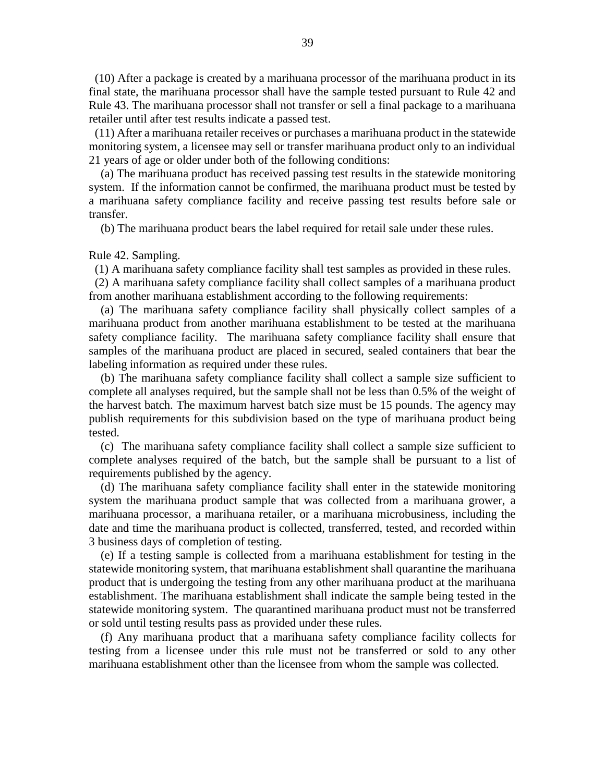(10) After a package is created by a marihuana processor of the marihuana product in its final state, the marihuana processor shall have the sample tested pursuant to Rule 42 and Rule 43. The marihuana processor shall not transfer or sell a final package to a marihuana retailer until after test results indicate a passed test.

 (11) After a marihuana retailer receives or purchases a marihuana product in the statewide monitoring system, a licensee may sell or transfer marihuana product only to an individual 21 years of age or older under both of the following conditions:

 (a) The marihuana product has received passing test results in the statewide monitoring system. If the information cannot be confirmed, the marihuana product must be tested by a marihuana safety compliance facility and receive passing test results before sale or transfer.

(b) The marihuana product bears the label required for retail sale under these rules.

Rule 42. Sampling.

(1) A marihuana safety compliance facility shall test samples as provided in these rules.

 (2) A marihuana safety compliance facility shall collect samples of a marihuana product from another marihuana establishment according to the following requirements:

 (a) The marihuana safety compliance facility shall physically collect samples of a marihuana product from another marihuana establishment to be tested at the marihuana safety compliance facility. The marihuana safety compliance facility shall ensure that samples of the marihuana product are placed in secured, sealed containers that bear the labeling information as required under these rules.

 (b) The marihuana safety compliance facility shall collect a sample size sufficient to complete all analyses required, but the sample shall not be less than 0.5% of the weight of the harvest batch. The maximum harvest batch size must be 15 pounds. The agency may publish requirements for this subdivision based on the type of marihuana product being tested.

 (c) The marihuana safety compliance facility shall collect a sample size sufficient to complete analyses required of the batch, but the sample shall be pursuant to a list of requirements published by the agency.

 (d) The marihuana safety compliance facility shall enter in the statewide monitoring system the marihuana product sample that was collected from a marihuana grower, a marihuana processor, a marihuana retailer, or a marihuana microbusiness, including the date and time the marihuana product is collected, transferred, tested, and recorded within 3 business days of completion of testing.

 (e) If a testing sample is collected from a marihuana establishment for testing in the statewide monitoring system, that marihuana establishment shall quarantine the marihuana product that is undergoing the testing from any other marihuana product at the marihuana establishment. The marihuana establishment shall indicate the sample being tested in the statewide monitoring system. The quarantined marihuana product must not be transferred or sold until testing results pass as provided under these rules.

 (f) Any marihuana product that a marihuana safety compliance facility collects for testing from a licensee under this rule must not be transferred or sold to any other marihuana establishment other than the licensee from whom the sample was collected.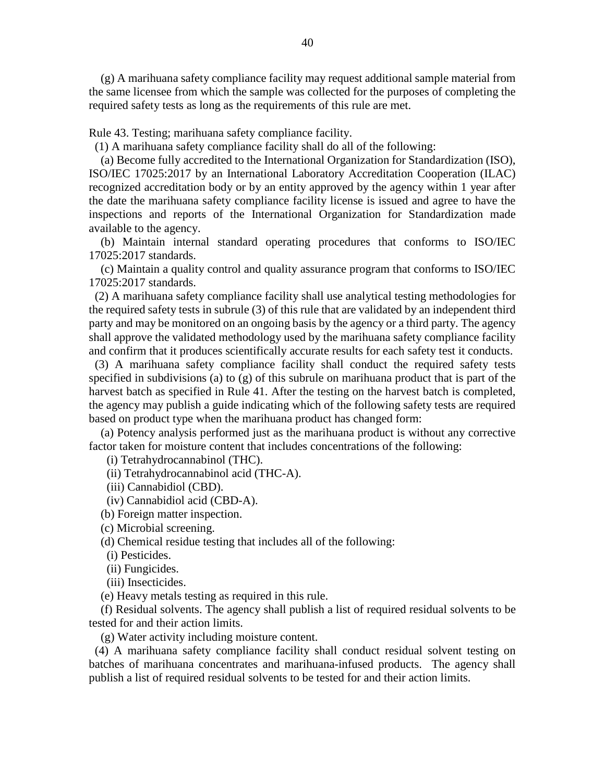(g) A marihuana safety compliance facility may request additional sample material from the same licensee from which the sample was collected for the purposes of completing the required safety tests as long as the requirements of this rule are met.

Rule 43. Testing; marihuana safety compliance facility.

(1) A marihuana safety compliance facility shall do all of the following:

 (a) Become fully accredited to the International Organization for Standardization (ISO), ISO/IEC 17025:2017 by an International Laboratory Accreditation Cooperation (ILAC) recognized accreditation body or by an entity approved by the agency within 1 year after the date the marihuana safety compliance facility license is issued and agree to have the inspections and reports of the International Organization for Standardization made available to the agency.

 (b) Maintain internal standard operating procedures that conforms to ISO/IEC 17025:2017 standards.

 (c) Maintain a quality control and quality assurance program that conforms to ISO/IEC 17025:2017 standards.

 (2) A marihuana safety compliance facility shall use analytical testing methodologies for the required safety tests in subrule (3) of this rule that are validated by an independent third party and may be monitored on an ongoing basis by the agency or a third party. The agency shall approve the validated methodology used by the marihuana safety compliance facility and confirm that it produces scientifically accurate results for each safety test it conducts.

 (3) A marihuana safety compliance facility shall conduct the required safety tests specified in subdivisions (a) to (g) of this subrule on marihuana product that is part of the harvest batch as specified in Rule 41. After the testing on the harvest batch is completed, the agency may publish a guide indicating which of the following safety tests are required based on product type when the marihuana product has changed form:

 (a) Potency analysis performed just as the marihuana product is without any corrective factor taken for moisture content that includes concentrations of the following:

(i) Tetrahydrocannabinol (THC).

(ii) Tetrahydrocannabinol acid (THC-A).

(iii) Cannabidiol (CBD).

(iv) Cannabidiol acid (CBD-A).

(b) Foreign matter inspection.

(c) Microbial screening.

(d) Chemical residue testing that includes all of the following:

(i) Pesticides.

(ii) Fungicides.

(iii) Insecticides.

(e) Heavy metals testing as required in this rule.

 (f) Residual solvents. The agency shall publish a list of required residual solvents to be tested for and their action limits.

(g) Water activity including moisture content.

 (4) A marihuana safety compliance facility shall conduct residual solvent testing on batches of marihuana concentrates and marihuana-infused products. The agency shall publish a list of required residual solvents to be tested for and their action limits.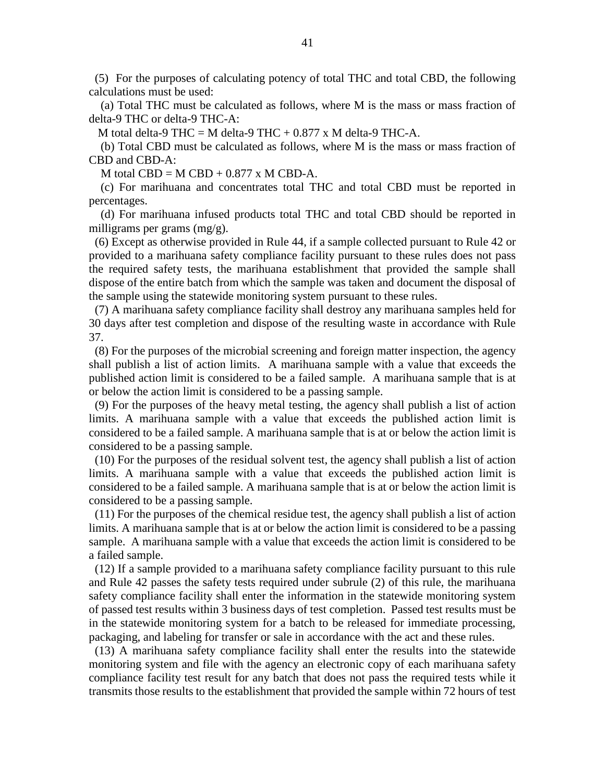(5) For the purposes of calculating potency of total THC and total CBD, the following calculations must be used:

 (a) Total THC must be calculated as follows, where M is the mass or mass fraction of delta-9 THC or delta-9 THC-A:

M total delta-9 THC = M delta-9 THC +  $0.877 \times$  M delta-9 THC-A.

 (b) Total CBD must be calculated as follows, where M is the mass or mass fraction of CBD and CBD-A:

M total  $CBD = M CBD + 0.877$  x M CBD-A.

 (c) For marihuana and concentrates total THC and total CBD must be reported in percentages.

 (d) For marihuana infused products total THC and total CBD should be reported in milligrams per grams (mg/g).

 (6) Except as otherwise provided in Rule 44, if a sample collected pursuant to Rule 42 or provided to a marihuana safety compliance facility pursuant to these rules does not pass the required safety tests, the marihuana establishment that provided the sample shall dispose of the entire batch from which the sample was taken and document the disposal of the sample using the statewide monitoring system pursuant to these rules.

 (7) A marihuana safety compliance facility shall destroy any marihuana samples held for 30 days after test completion and dispose of the resulting waste in accordance with Rule 37.

 (8) For the purposes of the microbial screening and foreign matter inspection, the agency shall publish a list of action limits. A marihuana sample with a value that exceeds the published action limit is considered to be a failed sample. A marihuana sample that is at or below the action limit is considered to be a passing sample.

 (9) For the purposes of the heavy metal testing, the agency shall publish a list of action limits. A marihuana sample with a value that exceeds the published action limit is considered to be a failed sample. A marihuana sample that is at or below the action limit is considered to be a passing sample.

 (10) For the purposes of the residual solvent test, the agency shall publish a list of action limits. A marihuana sample with a value that exceeds the published action limit is considered to be a failed sample. A marihuana sample that is at or below the action limit is considered to be a passing sample.

 (11) For the purposes of the chemical residue test, the agency shall publish a list of action limits. A marihuana sample that is at or below the action limit is considered to be a passing sample. A marihuana sample with a value that exceeds the action limit is considered to be a failed sample.

 (12) If a sample provided to a marihuana safety compliance facility pursuant to this rule and Rule 42 passes the safety tests required under subrule (2) of this rule, the marihuana safety compliance facility shall enter the information in the statewide monitoring system of passed test results within 3 business days of test completion. Passed test results must be in the statewide monitoring system for a batch to be released for immediate processing, packaging, and labeling for transfer or sale in accordance with the act and these rules.

 (13) A marihuana safety compliance facility shall enter the results into the statewide monitoring system and file with the agency an electronic copy of each marihuana safety compliance facility test result for any batch that does not pass the required tests while it transmits those results to the establishment that provided the sample within 72 hours of test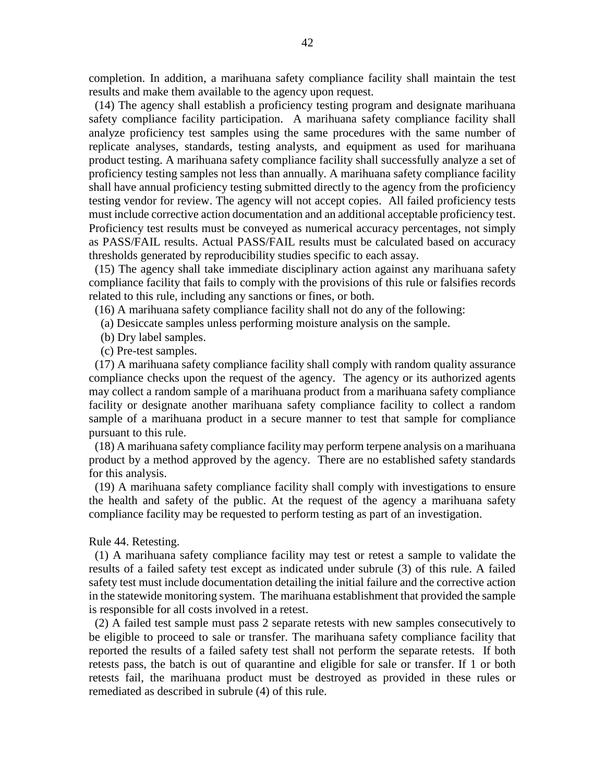completion. In addition, a marihuana safety compliance facility shall maintain the test results and make them available to the agency upon request.

 (14) The agency shall establish a proficiency testing program and designate marihuana safety compliance facility participation. A marihuana safety compliance facility shall analyze proficiency test samples using the same procedures with the same number of replicate analyses, standards, testing analysts, and equipment as used for marihuana product testing. A marihuana safety compliance facility shall successfully analyze a set of proficiency testing samples not less than annually. A marihuana safety compliance facility shall have annual proficiency testing submitted directly to the agency from the proficiency testing vendor for review. The agency will not accept copies. All failed proficiency tests must include corrective action documentation and an additional acceptable proficiency test. Proficiency test results must be conveyed as numerical accuracy percentages, not simply as PASS/FAIL results. Actual PASS/FAIL results must be calculated based on accuracy thresholds generated by reproducibility studies specific to each assay.

 (15) The agency shall take immediate disciplinary action against any marihuana safety compliance facility that fails to comply with the provisions of this rule or falsifies records related to this rule, including any sanctions or fines, or both.

(16) A marihuana safety compliance facility shall not do any of the following:

- (a) Desiccate samples unless performing moisture analysis on the sample.
- (b) Dry label samples.
- (c) Pre-test samples.

 (17) A marihuana safety compliance facility shall comply with random quality assurance compliance checks upon the request of the agency. The agency or its authorized agents may collect a random sample of a marihuana product from a marihuana safety compliance facility or designate another marihuana safety compliance facility to collect a random sample of a marihuana product in a secure manner to test that sample for compliance pursuant to this rule.

 (18) A marihuana safety compliance facility may perform terpene analysis on a marihuana product by a method approved by the agency. There are no established safety standards for this analysis.

 (19) A marihuana safety compliance facility shall comply with investigations to ensure the health and safety of the public. At the request of the agency a marihuana safety compliance facility may be requested to perform testing as part of an investigation.

# Rule 44. Retesting.

 (1) A marihuana safety compliance facility may test or retest a sample to validate the results of a failed safety test except as indicated under subrule (3) of this rule. A failed safety test must include documentation detailing the initial failure and the corrective action in the statewide monitoring system. The marihuana establishment that provided the sample is responsible for all costs involved in a retest.

 (2) A failed test sample must pass 2 separate retests with new samples consecutively to be eligible to proceed to sale or transfer. The marihuana safety compliance facility that reported the results of a failed safety test shall not perform the separate retests. If both retests pass, the batch is out of quarantine and eligible for sale or transfer. If 1 or both retests fail, the marihuana product must be destroyed as provided in these rules or remediated as described in subrule (4) of this rule.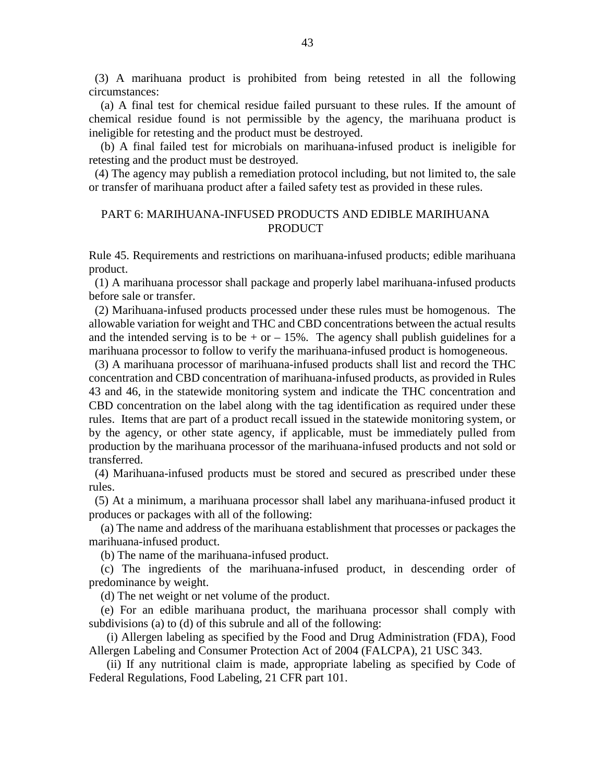(3) A marihuana product is prohibited from being retested in all the following circumstances:

 (a) A final test for chemical residue failed pursuant to these rules. If the amount of chemical residue found is not permissible by the agency, the marihuana product is ineligible for retesting and the product must be destroyed.

 (b) A final failed test for microbials on marihuana-infused product is ineligible for retesting and the product must be destroyed.

 (4) The agency may publish a remediation protocol including, but not limited to, the sale or transfer of marihuana product after a failed safety test as provided in these rules.

### PART 6: MARIHUANA-INFUSED PRODUCTS AND EDIBLE MARIHUANA PRODUCT

Rule 45. Requirements and restrictions on marihuana-infused products; edible marihuana product.

 (1) A marihuana processor shall package and properly label marihuana-infused products before sale or transfer.

 (2) Marihuana-infused products processed under these rules must be homogenous. The allowable variation for weight and THC and CBD concentrations between the actual results and the intended serving is to be  $+$  or  $-$  15%. The agency shall publish guidelines for a marihuana processor to follow to verify the marihuana-infused product is homogeneous.

 (3) A marihuana processor of marihuana-infused products shall list and record the THC concentration and CBD concentration of marihuana-infused products, as provided in Rules 43 and 46, in the statewide monitoring system and indicate the THC concentration and CBD concentration on the label along with the tag identification as required under these rules. Items that are part of a product recall issued in the statewide monitoring system, or by the agency, or other state agency, if applicable, must be immediately pulled from production by the marihuana processor of the marihuana-infused products and not sold or transferred.

 (4) Marihuana-infused products must be stored and secured as prescribed under these rules.

 (5) At a minimum, a marihuana processor shall label any marihuana-infused product it produces or packages with all of the following:

 (a) The name and address of the marihuana establishment that processes or packages the marihuana-infused product.

(b) The name of the marihuana-infused product.

 (c) The ingredients of the marihuana-infused product, in descending order of predominance by weight.

(d) The net weight or net volume of the product.

 (e) For an edible marihuana product, the marihuana processor shall comply with subdivisions (a) to (d) of this subrule and all of the following:

 (i) Allergen labeling as specified by the Food and Drug Administration (FDA), Food Allergen Labeling and Consumer Protection Act of 2004 (FALCPA), 21 USC 343.

 (ii) If any nutritional claim is made, appropriate labeling as specified by Code of Federal Regulations, Food Labeling, 21 CFR part 101.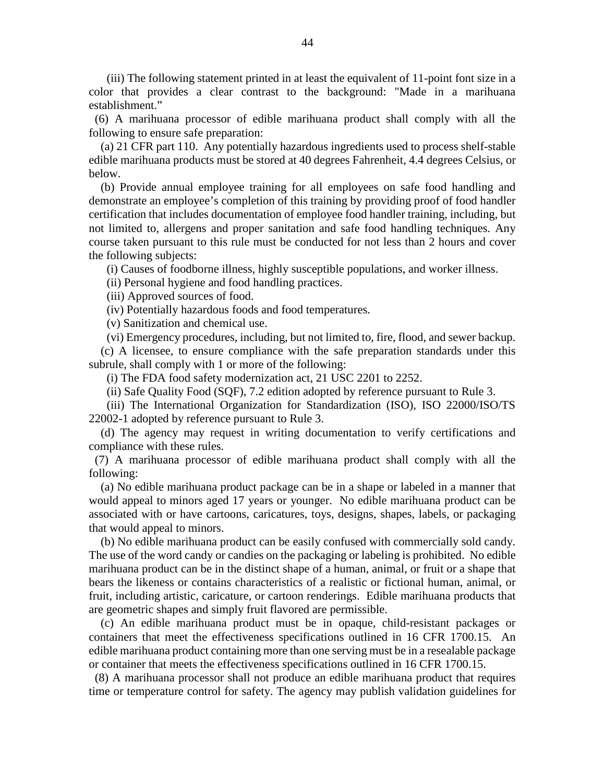(iii) The following statement printed in at least the equivalent of 11-point font size in a color that provides a clear contrast to the background: "Made in a marihuana establishment."

 (6) A marihuana processor of edible marihuana product shall comply with all the following to ensure safe preparation:

 (a) 21 CFR part 110. Any potentially hazardous ingredients used to process shelf-stable edible marihuana products must be stored at 40 degrees Fahrenheit, 4.4 degrees Celsius, or below.

 (b) Provide annual employee training for all employees on safe food handling and demonstrate an employee's completion of this training by providing proof of food handler certification that includes documentation of employee food handler training, including, but not limited to, allergens and proper sanitation and safe food handling techniques. Any course taken pursuant to this rule must be conducted for not less than 2 hours and cover the following subjects:

(i) Causes of foodborne illness, highly susceptible populations, and worker illness.

(ii) Personal hygiene and food handling practices.

(iii) Approved sources of food.

(iv) Potentially hazardous foods and food temperatures.

(v) Sanitization and chemical use.

(vi) Emergency procedures, including, but not limited to, fire, flood, and sewer backup.

 (c) A licensee, to ensure compliance with the safe preparation standards under this subrule, shall comply with 1 or more of the following:

(i) The FDA food safety modernization act, 21 USC 2201 to 2252.

(ii) Safe Quality Food (SQF), 7.2 edition adopted by reference pursuant to Rule 3.

 (iii) The International Organization for Standardization (ISO), ISO 22000/ISO/TS 22002-1 adopted by reference pursuant to Rule 3.

 (d) The agency may request in writing documentation to verify certifications and compliance with these rules.

 (7) A marihuana processor of edible marihuana product shall comply with all the following:

 (a) No edible marihuana product package can be in a shape or labeled in a manner that would appeal to minors aged 17 years or younger. No edible marihuana product can be associated with or have cartoons, caricatures, toys, designs, shapes, labels, or packaging that would appeal to minors.

 (b) No edible marihuana product can be easily confused with commercially sold candy. The use of the word candy or candies on the packaging or labeling is prohibited. No edible marihuana product can be in the distinct shape of a human, animal, or fruit or a shape that bears the likeness or contains characteristics of a realistic or fictional human, animal, or fruit, including artistic, caricature, or cartoon renderings. Edible marihuana products that are geometric shapes and simply fruit flavored are permissible.

 (c) An edible marihuana product must be in opaque, child-resistant packages or containers that meet the effectiveness specifications outlined in 16 CFR 1700.15. An edible marihuana product containing more than one serving must be in a resealable package or container that meets the effectiveness specifications outlined in 16 CFR 1700.15.

 (8) A marihuana processor shall not produce an edible marihuana product that requires time or temperature control for safety. The agency may publish validation guidelines for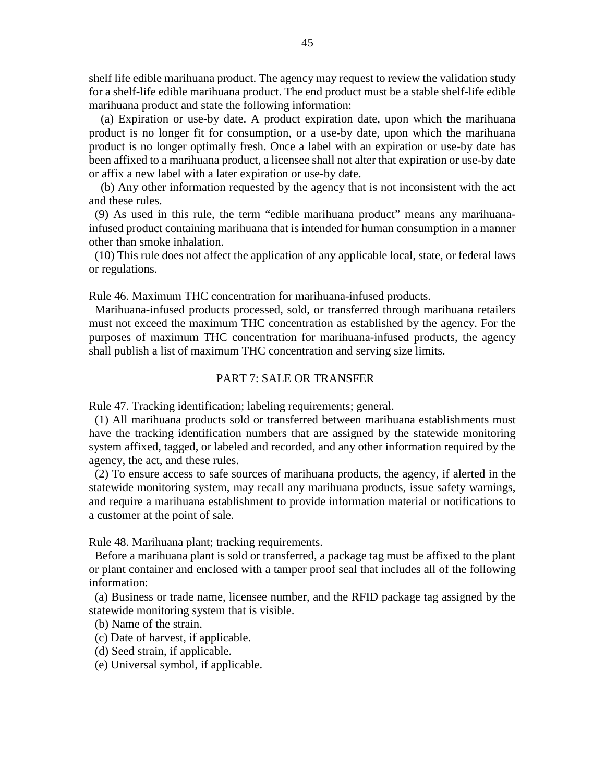shelf life edible marihuana product. The agency may request to review the validation study for a shelf-life edible marihuana product. The end product must be a stable shelf-life edible marihuana product and state the following information:

 (a) Expiration or use-by date. A product expiration date, upon which the marihuana product is no longer fit for consumption, or a use-by date, upon which the marihuana product is no longer optimally fresh. Once a label with an expiration or use-by date has been affixed to a marihuana product, a licensee shall not alter that expiration or use-by date or affix a new label with a later expiration or use-by date.

 (b) Any other information requested by the agency that is not inconsistent with the act and these rules.

 (9) As used in this rule, the term "edible marihuana product" means any marihuanainfused product containing marihuana that is intended for human consumption in a manner other than smoke inhalation.

 (10) This rule does not affect the application of any applicable local, state, or federal laws or regulations.

Rule 46. Maximum THC concentration for marihuana-infused products.

 Marihuana-infused products processed, sold, or transferred through marihuana retailers must not exceed the maximum THC concentration as established by the agency. For the purposes of maximum THC concentration for marihuana-infused products, the agency shall publish a list of maximum THC concentration and serving size limits.

### PART 7: SALE OR TRANSFER

Rule 47. Tracking identification; labeling requirements; general.

 (1) All marihuana products sold or transferred between marihuana establishments must have the tracking identification numbers that are assigned by the statewide monitoring system affixed, tagged, or labeled and recorded, and any other information required by the agency, the act, and these rules.

 (2) To ensure access to safe sources of marihuana products, the agency, if alerted in the statewide monitoring system, may recall any marihuana products, issue safety warnings, and require a marihuana establishment to provide information material or notifications to a customer at the point of sale.

Rule 48. Marihuana plant; tracking requirements.

 Before a marihuana plant is sold or transferred, a package tag must be affixed to the plant or plant container and enclosed with a tamper proof seal that includes all of the following information:

 (a) Business or trade name, licensee number, and the RFID package tag assigned by the statewide monitoring system that is visible.

(b) Name of the strain.

(c) Date of harvest, if applicable.

- (d) Seed strain, if applicable.
- (e) Universal symbol, if applicable.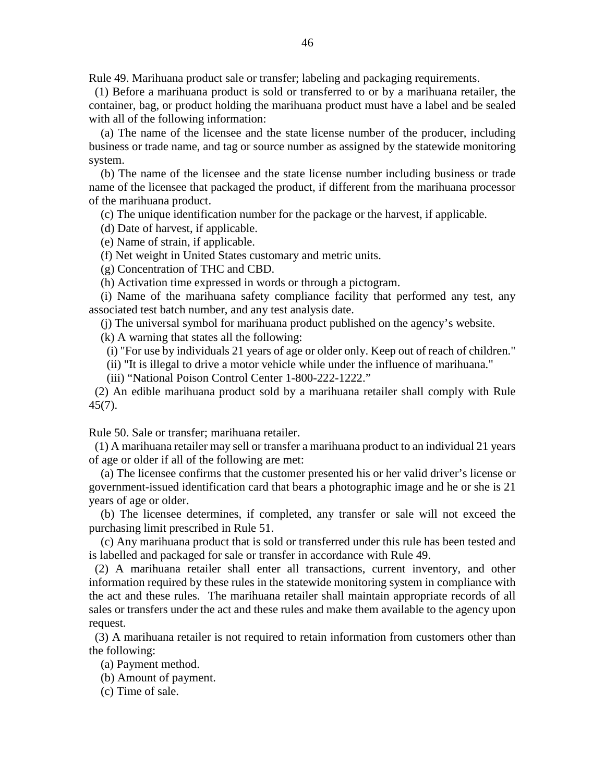Rule 49. Marihuana product sale or transfer; labeling and packaging requirements.

 (1) Before a marihuana product is sold or transferred to or by a marihuana retailer, the container, bag, or product holding the marihuana product must have a label and be sealed with all of the following information:

 (a) The name of the licensee and the state license number of the producer, including business or trade name, and tag or source number as assigned by the statewide monitoring system.

 (b) The name of the licensee and the state license number including business or trade name of the licensee that packaged the product, if different from the marihuana processor of the marihuana product.

(c) The unique identification number for the package or the harvest, if applicable.

(d) Date of harvest, if applicable.

(e) Name of strain, if applicable.

(f) Net weight in United States customary and metric units.

(g) Concentration of THC and CBD.

(h) Activation time expressed in words or through a pictogram.

 (i) Name of the marihuana safety compliance facility that performed any test, any associated test batch number, and any test analysis date.

(j) The universal symbol for marihuana product published on the agency's website.

(k) A warning that states all the following:

(i) "For use by individuals 21 years of age or older only. Keep out of reach of children."

(ii) "It is illegal to drive a motor vehicle while under the influence of marihuana."

(iii) "National Poison Control Center 1-800-222-1222."

 (2) An edible marihuana product sold by a marihuana retailer shall comply with Rule 45(7).

Rule 50. Sale or transfer; marihuana retailer.

 (1) A marihuana retailer may sell or transfer a marihuana product to an individual 21 years of age or older if all of the following are met:

 (a) The licensee confirms that the customer presented his or her valid driver's license or government-issued identification card that bears a photographic image and he or she is 21 years of age or older.

 (b) The licensee determines, if completed, any transfer or sale will not exceed the purchasing limit prescribed in Rule 51.

 (c) Any marihuana product that is sold or transferred under this rule has been tested and is labelled and packaged for sale or transfer in accordance with Rule 49.

 (2) A marihuana retailer shall enter all transactions, current inventory, and other information required by these rules in the statewide monitoring system in compliance with the act and these rules. The marihuana retailer shall maintain appropriate records of all sales or transfers under the act and these rules and make them available to the agency upon request.

 (3) A marihuana retailer is not required to retain information from customers other than the following:

(a) Payment method.

(b) Amount of payment.

(c) Time of sale.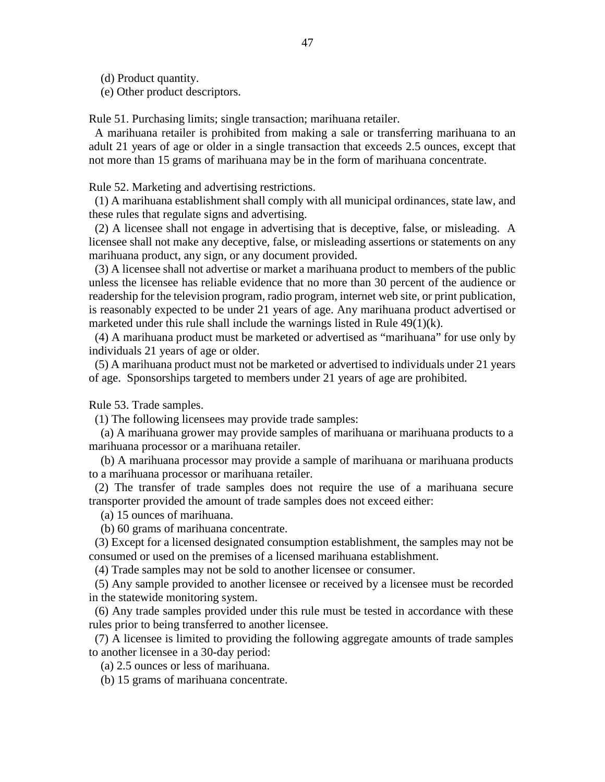(d) Product quantity.

(e) Other product descriptors.

Rule 51. Purchasing limits; single transaction; marihuana retailer.

 A marihuana retailer is prohibited from making a sale or transferring marihuana to an adult 21 years of age or older in a single transaction that exceeds 2.5 ounces, except that not more than 15 grams of marihuana may be in the form of marihuana concentrate.

Rule 52. Marketing and advertising restrictions.

 (1) A marihuana establishment shall comply with all municipal ordinances, state law, and these rules that regulate signs and advertising.

 (2) A licensee shall not engage in advertising that is deceptive, false, or misleading. A licensee shall not make any deceptive, false, or misleading assertions or statements on any marihuana product, any sign, or any document provided.

 (3) A licensee shall not advertise or market a marihuana product to members of the public unless the licensee has reliable evidence that no more than 30 percent of the audience or readership for the television program, radio program, internet web site, or print publication, is reasonably expected to be under 21 years of age. Any marihuana product advertised or marketed under this rule shall include the warnings listed in Rule 49(1)(k).

 (4) A marihuana product must be marketed or advertised as "marihuana" for use only by individuals 21 years of age or older.

 (5) A marihuana product must not be marketed or advertised to individuals under 21 years of age. Sponsorships targeted to members under 21 years of age are prohibited.

Rule 53. Trade samples.

(1) The following licensees may provide trade samples:

 (a) A marihuana grower may provide samples of marihuana or marihuana products to a marihuana processor or a marihuana retailer.

 (b) A marihuana processor may provide a sample of marihuana or marihuana products to a marihuana processor or marihuana retailer.

 (2) The transfer of trade samples does not require the use of a marihuana secure transporter provided the amount of trade samples does not exceed either:

(a) 15 ounces of marihuana.

(b) 60 grams of marihuana concentrate.

 (3) Except for a licensed designated consumption establishment, the samples may not be consumed or used on the premises of a licensed marihuana establishment.

(4) Trade samples may not be sold to another licensee or consumer.

 (5) Any sample provided to another licensee or received by a licensee must be recorded in the statewide monitoring system.

 (6) Any trade samples provided under this rule must be tested in accordance with these rules prior to being transferred to another licensee.

 (7) A licensee is limited to providing the following aggregate amounts of trade samples to another licensee in a 30-day period:

(a) 2.5 ounces or less of marihuana.

(b) 15 grams of marihuana concentrate.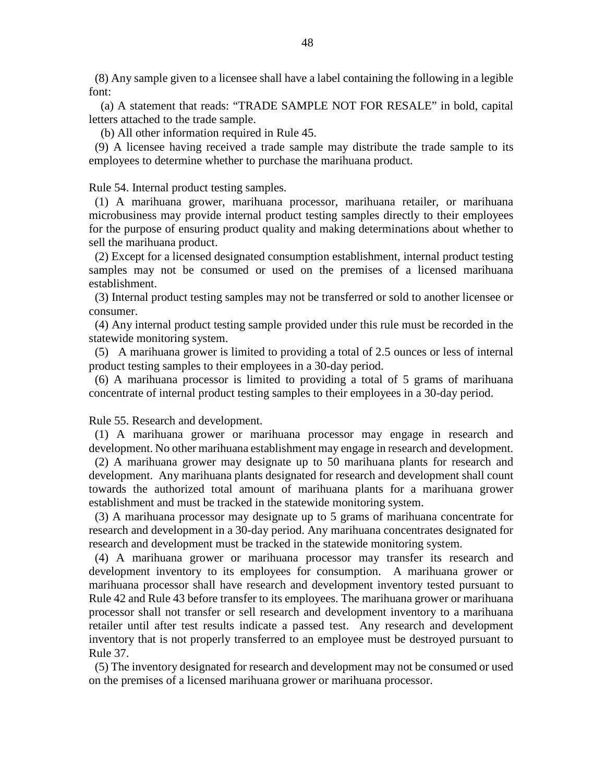(8) Any sample given to a licensee shall have a label containing the following in a legible font:

 (a) A statement that reads: "TRADE SAMPLE NOT FOR RESALE" in bold, capital letters attached to the trade sample.

(b) All other information required in Rule 45.

 (9) A licensee having received a trade sample may distribute the trade sample to its employees to determine whether to purchase the marihuana product.

Rule 54. Internal product testing samples.

 (1) A marihuana grower, marihuana processor, marihuana retailer, or marihuana microbusiness may provide internal product testing samples directly to their employees for the purpose of ensuring product quality and making determinations about whether to sell the marihuana product.

 (2) Except for a licensed designated consumption establishment, internal product testing samples may not be consumed or used on the premises of a licensed marihuana establishment.

 (3) Internal product testing samples may not be transferred or sold to another licensee or consumer.

 (4) Any internal product testing sample provided under this rule must be recorded in the statewide monitoring system.

 (5) A marihuana grower is limited to providing a total of 2.5 ounces or less of internal product testing samples to their employees in a 30-day period.

 (6) A marihuana processor is limited to providing a total of 5 grams of marihuana concentrate of internal product testing samples to their employees in a 30-day period.

Rule 55. Research and development.

 (1) A marihuana grower or marihuana processor may engage in research and development. No other marihuana establishment may engage in research and development.

 (2) A marihuana grower may designate up to 50 marihuana plants for research and development. Any marihuana plants designated for research and development shall count towards the authorized total amount of marihuana plants for a marihuana grower establishment and must be tracked in the statewide monitoring system.

 (3) A marihuana processor may designate up to 5 grams of marihuana concentrate for research and development in a 30-day period. Any marihuana concentrates designated for research and development must be tracked in the statewide monitoring system.

 (4) A marihuana grower or marihuana processor may transfer its research and development inventory to its employees for consumption. A marihuana grower or marihuana processor shall have research and development inventory tested pursuant to Rule 42 and Rule 43 before transfer to its employees. The marihuana grower or marihuana processor shall not transfer or sell research and development inventory to a marihuana retailer until after test results indicate a passed test. Any research and development inventory that is not properly transferred to an employee must be destroyed pursuant to Rule 37.

 (5) The inventory designated for research and development may not be consumed or used on the premises of a licensed marihuana grower or marihuana processor.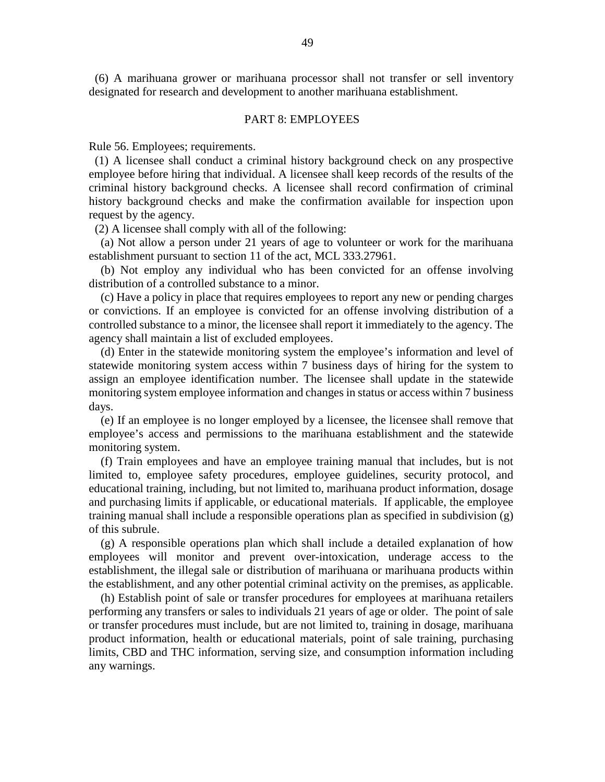(6) A marihuana grower or marihuana processor shall not transfer or sell inventory designated for research and development to another marihuana establishment.

#### PART 8: EMPLOYEES

Rule 56. Employees; requirements.

 (1) A licensee shall conduct a criminal history background check on any prospective employee before hiring that individual. A licensee shall keep records of the results of the criminal history background checks. A licensee shall record confirmation of criminal history background checks and make the confirmation available for inspection upon request by the agency.

(2) A licensee shall comply with all of the following:

 (a) Not allow a person under 21 years of age to volunteer or work for the marihuana establishment pursuant to section 11 of the act, MCL 333.27961.

 (b) Not employ any individual who has been convicted for an offense involving distribution of a controlled substance to a minor.

 (c) Have a policy in place that requires employees to report any new or pending charges or convictions. If an employee is convicted for an offense involving distribution of a controlled substance to a minor, the licensee shall report it immediately to the agency. The agency shall maintain a list of excluded employees.

 (d) Enter in the statewide monitoring system the employee's information and level of statewide monitoring system access within 7 business days of hiring for the system to assign an employee identification number. The licensee shall update in the statewide monitoring system employee information and changes in status or access within 7 business days.

 (e) If an employee is no longer employed by a licensee, the licensee shall remove that employee's access and permissions to the marihuana establishment and the statewide monitoring system.

 (f) Train employees and have an employee training manual that includes, but is not limited to, employee safety procedures, employee guidelines, security protocol, and educational training, including, but not limited to, marihuana product information, dosage and purchasing limits if applicable, or educational materials. If applicable, the employee training manual shall include a responsible operations plan as specified in subdivision (g) of this subrule.

 (g) A responsible operations plan which shall include a detailed explanation of how employees will monitor and prevent over-intoxication, underage access to the establishment, the illegal sale or distribution of marihuana or marihuana products within the establishment, and any other potential criminal activity on the premises, as applicable.

 (h) Establish point of sale or transfer procedures for employees at marihuana retailers performing any transfers or sales to individuals 21 years of age or older. The point of sale or transfer procedures must include, but are not limited to, training in dosage, marihuana product information, health or educational materials, point of sale training, purchasing limits, CBD and THC information, serving size, and consumption information including any warnings.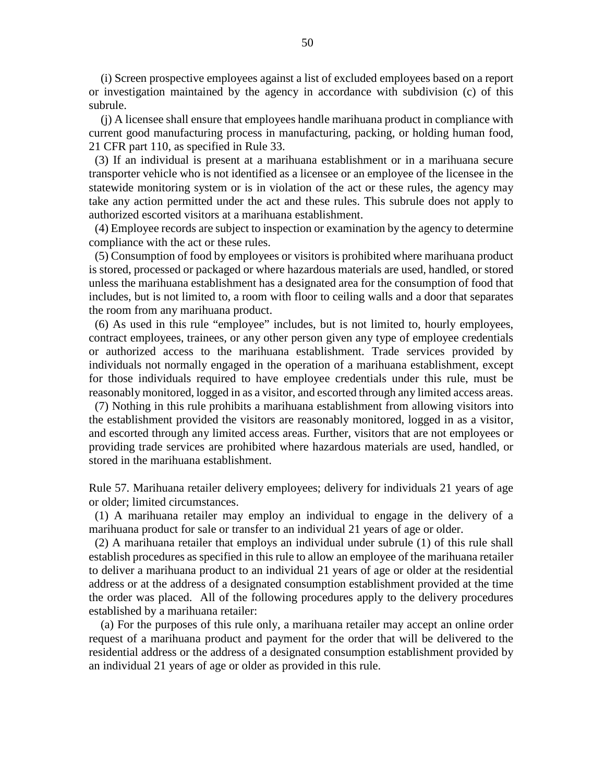(i) Screen prospective employees against a list of excluded employees based on a report or investigation maintained by the agency in accordance with subdivision (c) of this subrule.

 (j) A licensee shall ensure that employees handle marihuana product in compliance with current good manufacturing process in manufacturing, packing, or holding human food, 21 CFR part 110, as specified in Rule 33.

 (3) If an individual is present at a marihuana establishment or in a marihuana secure transporter vehicle who is not identified as a licensee or an employee of the licensee in the statewide monitoring system or is in violation of the act or these rules, the agency may take any action permitted under the act and these rules. This subrule does not apply to authorized escorted visitors at a marihuana establishment.

 (4) Employee records are subject to inspection or examination by the agency to determine compliance with the act or these rules.

 (5) Consumption of food by employees or visitors is prohibited where marihuana product is stored, processed or packaged or where hazardous materials are used, handled, or stored unless the marihuana establishment has a designated area for the consumption of food that includes, but is not limited to, a room with floor to ceiling walls and a door that separates the room from any marihuana product.

 (6) As used in this rule "employee" includes, but is not limited to, hourly employees, contract employees, trainees, or any other person given any type of employee credentials or authorized access to the marihuana establishment. Trade services provided by individuals not normally engaged in the operation of a marihuana establishment, except for those individuals required to have employee credentials under this rule, must be reasonably monitored, logged in as a visitor, and escorted through any limited access areas.

 (7) Nothing in this rule prohibits a marihuana establishment from allowing visitors into the establishment provided the visitors are reasonably monitored, logged in as a visitor, and escorted through any limited access areas. Further, visitors that are not employees or providing trade services are prohibited where hazardous materials are used, handled, or stored in the marihuana establishment.

Rule 57. Marihuana retailer delivery employees; delivery for individuals 21 years of age or older; limited circumstances.

 (1) A marihuana retailer may employ an individual to engage in the delivery of a marihuana product for sale or transfer to an individual 21 years of age or older.

 (2) A marihuana retailer that employs an individual under subrule (1) of this rule shall establish procedures as specified in this rule to allow an employee of the marihuana retailer to deliver a marihuana product to an individual 21 years of age or older at the residential address or at the address of a designated consumption establishment provided at the time the order was placed. All of the following procedures apply to the delivery procedures established by a marihuana retailer:

 (a) For the purposes of this rule only, a marihuana retailer may accept an online order request of a marihuana product and payment for the order that will be delivered to the residential address or the address of a designated consumption establishment provided by an individual 21 years of age or older as provided in this rule.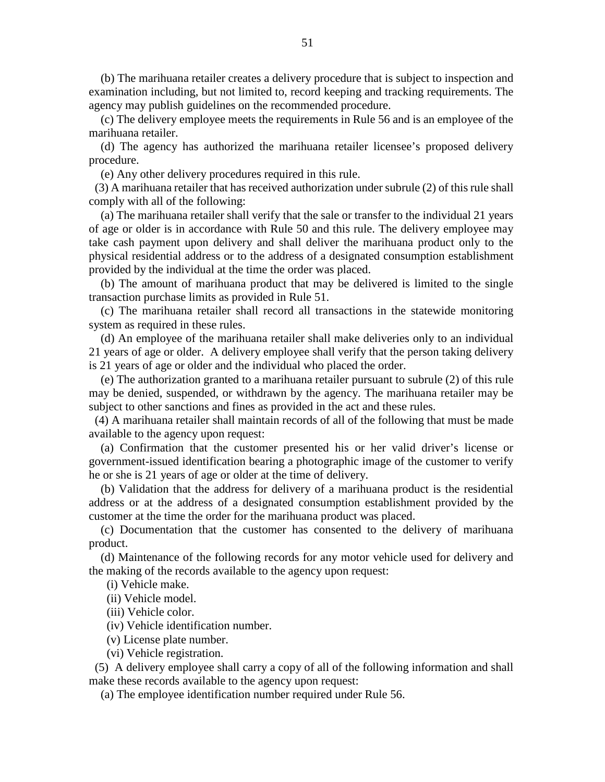(b) The marihuana retailer creates a delivery procedure that is subject to inspection and examination including, but not limited to, record keeping and tracking requirements. The agency may publish guidelines on the recommended procedure.

 (c) The delivery employee meets the requirements in Rule 56 and is an employee of the marihuana retailer.

 (d) The agency has authorized the marihuana retailer licensee's proposed delivery procedure.

(e) Any other delivery procedures required in this rule.

 (3) A marihuana retailer that has received authorization under subrule (2) of this rule shall comply with all of the following:

 (a) The marihuana retailer shall verify that the sale or transfer to the individual 21 years of age or older is in accordance with Rule 50 and this rule. The delivery employee may take cash payment upon delivery and shall deliver the marihuana product only to the physical residential address or to the address of a designated consumption establishment provided by the individual at the time the order was placed.

 (b) The amount of marihuana product that may be delivered is limited to the single transaction purchase limits as provided in Rule 51.

 (c) The marihuana retailer shall record all transactions in the statewide monitoring system as required in these rules.

 (d) An employee of the marihuana retailer shall make deliveries only to an individual 21 years of age or older. A delivery employee shall verify that the person taking delivery is 21 years of age or older and the individual who placed the order.

 (e) The authorization granted to a marihuana retailer pursuant to subrule (2) of this rule may be denied, suspended, or withdrawn by the agency. The marihuana retailer may be subject to other sanctions and fines as provided in the act and these rules.

 (4) A marihuana retailer shall maintain records of all of the following that must be made available to the agency upon request:

 (a) Confirmation that the customer presented his or her valid driver's license or government-issued identification bearing a photographic image of the customer to verify he or she is 21 years of age or older at the time of delivery.

 (b) Validation that the address for delivery of a marihuana product is the residential address or at the address of a designated consumption establishment provided by the customer at the time the order for the marihuana product was placed.

 (c) Documentation that the customer has consented to the delivery of marihuana product.

 (d) Maintenance of the following records for any motor vehicle used for delivery and the making of the records available to the agency upon request:

(i) Vehicle make.

(ii) Vehicle model.

(iii) Vehicle color.

(iv) Vehicle identification number.

(v) License plate number.

(vi) Vehicle registration.

 (5) A delivery employee shall carry a copy of all of the following information and shall make these records available to the agency upon request:

(a) The employee identification number required under Rule 56.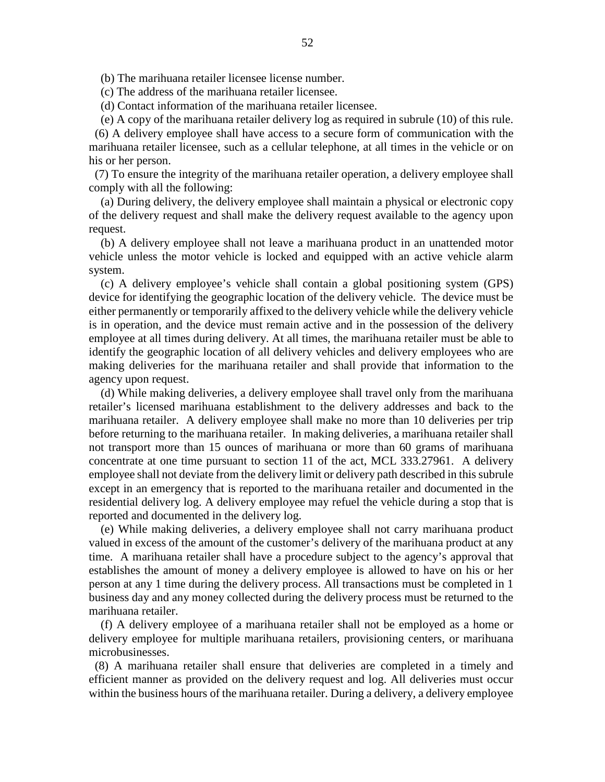(b) The marihuana retailer licensee license number.

(c) The address of the marihuana retailer licensee.

(d) Contact information of the marihuana retailer licensee.

(e) A copy of the marihuana retailer delivery log as required in subrule (10) of this rule.

 (6) A delivery employee shall have access to a secure form of communication with the marihuana retailer licensee, such as a cellular telephone, at all times in the vehicle or on his or her person.

 (7) To ensure the integrity of the marihuana retailer operation, a delivery employee shall comply with all the following:

 (a) During delivery, the delivery employee shall maintain a physical or electronic copy of the delivery request and shall make the delivery request available to the agency upon request.

 (b) A delivery employee shall not leave a marihuana product in an unattended motor vehicle unless the motor vehicle is locked and equipped with an active vehicle alarm system.

 (c) A delivery employee's vehicle shall contain a global positioning system (GPS) device for identifying the geographic location of the delivery vehicle. The device must be either permanently or temporarily affixed to the delivery vehicle while the delivery vehicle is in operation, and the device must remain active and in the possession of the delivery employee at all times during delivery. At all times, the marihuana retailer must be able to identify the geographic location of all delivery vehicles and delivery employees who are making deliveries for the marihuana retailer and shall provide that information to the agency upon request.

 (d) While making deliveries, a delivery employee shall travel only from the marihuana retailer's licensed marihuana establishment to the delivery addresses and back to the marihuana retailer. A delivery employee shall make no more than 10 deliveries per trip before returning to the marihuana retailer. In making deliveries, a marihuana retailer shall not transport more than 15 ounces of marihuana or more than 60 grams of marihuana concentrate at one time pursuant to section 11 of the act, MCL 333.27961. A delivery employee shall not deviate from the delivery limit or delivery path described in this subrule except in an emergency that is reported to the marihuana retailer and documented in the residential delivery log. A delivery employee may refuel the vehicle during a stop that is reported and documented in the delivery log.

 (e) While making deliveries, a delivery employee shall not carry marihuana product valued in excess of the amount of the customer's delivery of the marihuana product at any time. A marihuana retailer shall have a procedure subject to the agency's approval that establishes the amount of money a delivery employee is allowed to have on his or her person at any 1 time during the delivery process. All transactions must be completed in 1 business day and any money collected during the delivery process must be returned to the marihuana retailer.

 (f) A delivery employee of a marihuana retailer shall not be employed as a home or delivery employee for multiple marihuana retailers, provisioning centers, or marihuana microbusinesses.

 (8) A marihuana retailer shall ensure that deliveries are completed in a timely and efficient manner as provided on the delivery request and log. All deliveries must occur within the business hours of the marihuana retailer. During a delivery, a delivery employee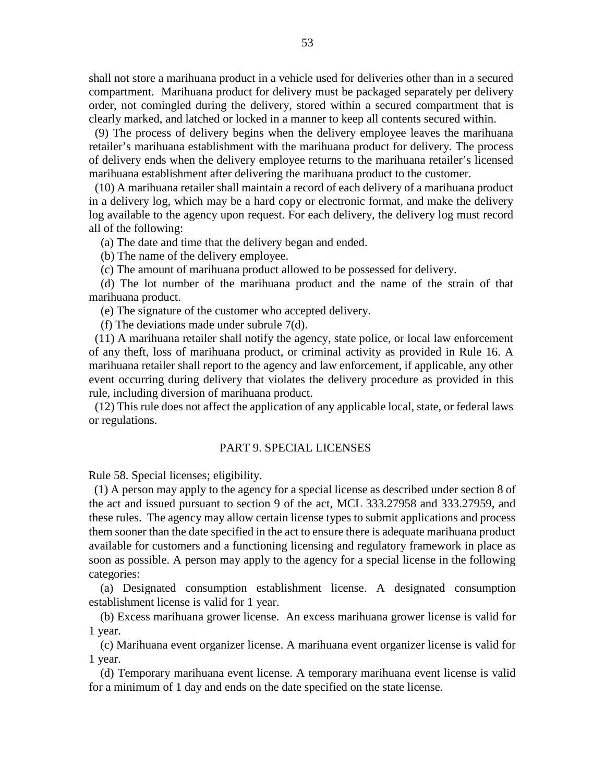shall not store a marihuana product in a vehicle used for deliveries other than in a secured compartment. Marihuana product for delivery must be packaged separately per delivery order, not comingled during the delivery, stored within a secured compartment that is clearly marked, and latched or locked in a manner to keep all contents secured within.

 (9) The process of delivery begins when the delivery employee leaves the marihuana retailer's marihuana establishment with the marihuana product for delivery. The process of delivery ends when the delivery employee returns to the marihuana retailer's licensed marihuana establishment after delivering the marihuana product to the customer.

 (10) A marihuana retailer shall maintain a record of each delivery of a marihuana product in a delivery log, which may be a hard copy or electronic format, and make the delivery log available to the agency upon request. For each delivery, the delivery log must record all of the following:

(a) The date and time that the delivery began and ended.

(b) The name of the delivery employee.

(c) The amount of marihuana product allowed to be possessed for delivery.

 (d) The lot number of the marihuana product and the name of the strain of that marihuana product.

(e) The signature of the customer who accepted delivery.

(f) The deviations made under subrule 7(d).

 (11) A marihuana retailer shall notify the agency, state police, or local law enforcement of any theft, loss of marihuana product, or criminal activity as provided in Rule 16. A marihuana retailer shall report to the agency and law enforcement, if applicable, any other event occurring during delivery that violates the delivery procedure as provided in this rule, including diversion of marihuana product.

 (12) This rule does not affect the application of any applicable local, state, or federal laws or regulations.

### PART 9. SPECIAL LICENSES

Rule 58. Special licenses; eligibility.

 (1) A person may apply to the agency for a special license as described under section 8 of the act and issued pursuant to section 9 of the act, MCL 333.27958 and 333.27959, and these rules. The agency may allow certain license types to submit applications and process them sooner than the date specified in the act to ensure there is adequate marihuana product available for customers and a functioning licensing and regulatory framework in place as soon as possible. A person may apply to the agency for a special license in the following categories:

 (a) Designated consumption establishment license. A designated consumption establishment license is valid for 1 year.

 (b) Excess marihuana grower license. An excess marihuana grower license is valid for 1 year.

 (c) Marihuana event organizer license. A marihuana event organizer license is valid for 1 year.

 (d) Temporary marihuana event license. A temporary marihuana event license is valid for a minimum of 1 day and ends on the date specified on the state license.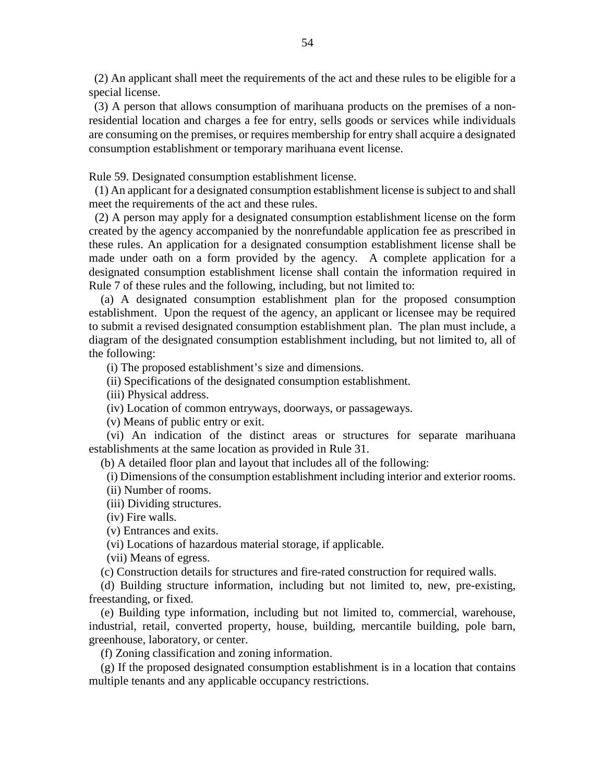(2) An applicant shall meet the requirements of the act and these rules to be eligible for a special license.

 (3) A person that allows consumption of marihuana products on the premises of a nonresidential location and charges a fee for entry, sells goods or services while individuals are consuming on the premises, or requires membership for entry shall acquire a designated consumption establishment or temporary marihuana event license.

Rule 59. Designated consumption establishment license.

 (1) An applicant for a designated consumption establishment license is subject to and shall meet the requirements of the act and these rules.

 (2) A person may apply for a designated consumption establishment license on the form created by the agency accompanied by the nonrefundable application fee as prescribed in these rules. An application for a designated consumption establishment license shall be made under oath on a form provided by the agency. A complete application for a designated consumption establishment license shall contain the information required in Rule 7 of these rules and the following, including, but not limited to:

 (a) A designated consumption establishment plan for the proposed consumption establishment. Upon the request of the agency, an applicant or licensee may be required to submit a revised designated consumption establishment plan. The plan must include, a diagram of the designated consumption establishment including, but not limited to, all of the following:

(i) The proposed establishment's size and dimensions.

(ii) Specifications of the designated consumption establishment.

(iii) Physical address.

(iv) Location of common entryways, doorways, or passageways.

(v) Means of public entry or exit.

 (vi) An indication of the distinct areas or structures for separate marihuana establishments at the same location as provided in Rule 31.

(b) A detailed floor plan and layout that includes all of the following:

(i) Dimensions of the consumption establishment including interior and exterior rooms.

(ii) Number of rooms.

(iii) Dividing structures.

(iv) Fire walls.

(v) Entrances and exits.

(vi) Locations of hazardous material storage, if applicable.

(vii) Means of egress.

(c) Construction details for structures and fire-rated construction for required walls.

 (d) Building structure information, including but not limited to, new, pre-existing, freestanding, or fixed.

 (e) Building type information, including but not limited to, commercial, warehouse, industrial, retail, converted property, house, building, mercantile building, pole barn, greenhouse, laboratory, or center.

(f) Zoning classification and zoning information.

 (g) If the proposed designated consumption establishment is in a location that contains multiple tenants and any applicable occupancy restrictions.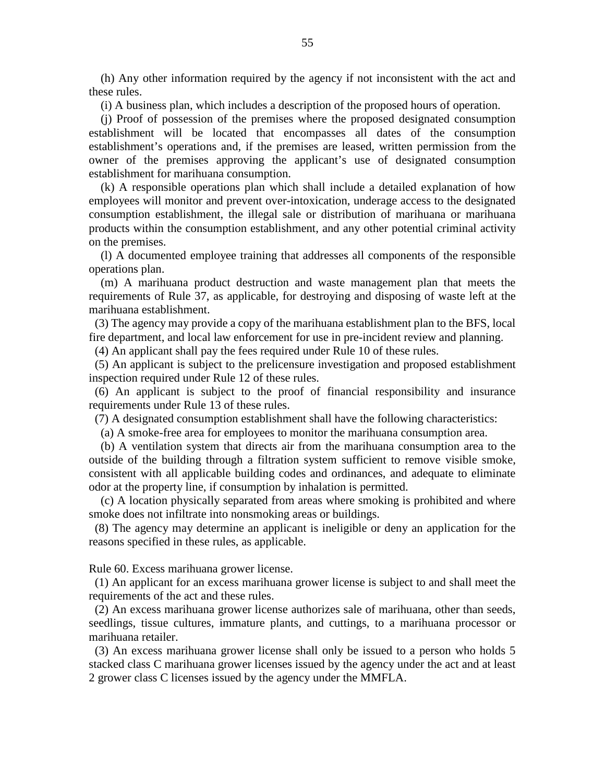(h) Any other information required by the agency if not inconsistent with the act and these rules.

(i) A business plan, which includes a description of the proposed hours of operation.

 (j) Proof of possession of the premises where the proposed designated consumption establishment will be located that encompasses all dates of the consumption establishment's operations and, if the premises are leased, written permission from the owner of the premises approving the applicant's use of designated consumption establishment for marihuana consumption.

 (k) A responsible operations plan which shall include a detailed explanation of how employees will monitor and prevent over-intoxication, underage access to the designated consumption establishment, the illegal sale or distribution of marihuana or marihuana products within the consumption establishment, and any other potential criminal activity on the premises.

 (l) A documented employee training that addresses all components of the responsible operations plan.

 (m) A marihuana product destruction and waste management plan that meets the requirements of Rule 37, as applicable, for destroying and disposing of waste left at the marihuana establishment.

 (3) The agency may provide a copy of the marihuana establishment plan to the BFS, local fire department, and local law enforcement for use in pre-incident review and planning.

(4) An applicant shall pay the fees required under Rule 10 of these rules.

 (5) An applicant is subject to the prelicensure investigation and proposed establishment inspection required under Rule 12 of these rules.

 (6) An applicant is subject to the proof of financial responsibility and insurance requirements under Rule 13 of these rules.

(7) A designated consumption establishment shall have the following characteristics:

(a) A smoke-free area for employees to monitor the marihuana consumption area.

 (b) A ventilation system that directs air from the marihuana consumption area to the outside of the building through a filtration system sufficient to remove visible smoke, consistent with all applicable building codes and ordinances, and adequate to eliminate odor at the property line, if consumption by inhalation is permitted.

 (c) A location physically separated from areas where smoking is prohibited and where smoke does not infiltrate into nonsmoking areas or buildings.

 (8) The agency may determine an applicant is ineligible or deny an application for the reasons specified in these rules, as applicable.

Rule 60. Excess marihuana grower license.

 (1) An applicant for an excess marihuana grower license is subject to and shall meet the requirements of the act and these rules.

 (2) An excess marihuana grower license authorizes sale of marihuana, other than seeds, seedlings, tissue cultures, immature plants, and cuttings, to a marihuana processor or marihuana retailer.

 (3) An excess marihuana grower license shall only be issued to a person who holds 5 stacked class C marihuana grower licenses issued by the agency under the act and at least 2 grower class C licenses issued by the agency under the MMFLA.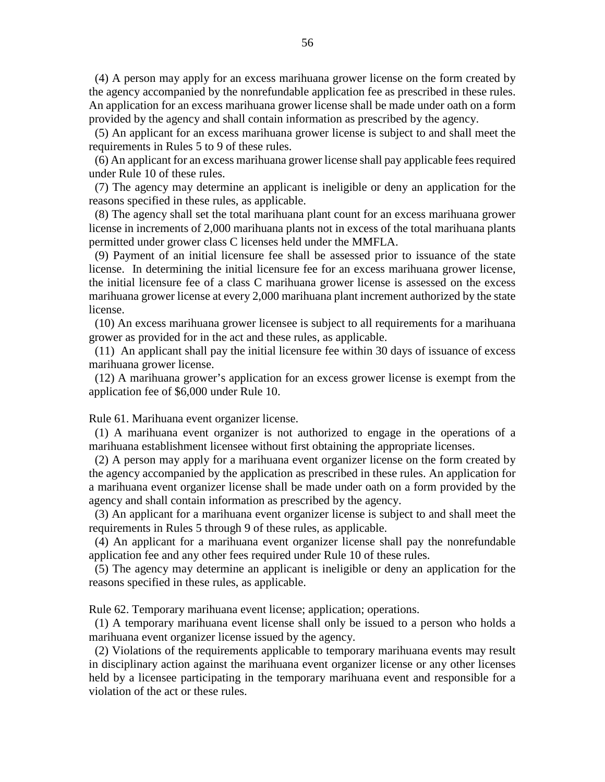(4) A person may apply for an excess marihuana grower license on the form created by the agency accompanied by the nonrefundable application fee as prescribed in these rules. An application for an excess marihuana grower license shall be made under oath on a form provided by the agency and shall contain information as prescribed by the agency.

 (5) An applicant for an excess marihuana grower license is subject to and shall meet the requirements in Rules 5 to 9 of these rules.

 (6) An applicant for an excess marihuana grower license shall pay applicable fees required under Rule 10 of these rules.

 (7) The agency may determine an applicant is ineligible or deny an application for the reasons specified in these rules, as applicable.

 (8) The agency shall set the total marihuana plant count for an excess marihuana grower license in increments of 2,000 marihuana plants not in excess of the total marihuana plants permitted under grower class C licenses held under the MMFLA.

 (9) Payment of an initial licensure fee shall be assessed prior to issuance of the state license. In determining the initial licensure fee for an excess marihuana grower license, the initial licensure fee of a class C marihuana grower license is assessed on the excess marihuana grower license at every 2,000 marihuana plant increment authorized by the state license.

 (10) An excess marihuana grower licensee is subject to all requirements for a marihuana grower as provided for in the act and these rules, as applicable.

 (11) An applicant shall pay the initial licensure fee within 30 days of issuance of excess marihuana grower license.

 (12) A marihuana grower's application for an excess grower license is exempt from the application fee of \$6,000 under Rule 10.

Rule 61. Marihuana event organizer license.

 (1) A marihuana event organizer is not authorized to engage in the operations of a marihuana establishment licensee without first obtaining the appropriate licenses.

 (2) A person may apply for a marihuana event organizer license on the form created by the agency accompanied by the application as prescribed in these rules. An application for a marihuana event organizer license shall be made under oath on a form provided by the agency and shall contain information as prescribed by the agency.

 (3) An applicant for a marihuana event organizer license is subject to and shall meet the requirements in Rules 5 through 9 of these rules, as applicable.

 (4) An applicant for a marihuana event organizer license shall pay the nonrefundable application fee and any other fees required under Rule 10 of these rules.

 (5) The agency may determine an applicant is ineligible or deny an application for the reasons specified in these rules, as applicable.

Rule 62. Temporary marihuana event license; application; operations.

 (1) A temporary marihuana event license shall only be issued to a person who holds a marihuana event organizer license issued by the agency.

 (2) Violations of the requirements applicable to temporary marihuana events may result in disciplinary action against the marihuana event organizer license or any other licenses held by a licensee participating in the temporary marihuana event and responsible for a violation of the act or these rules.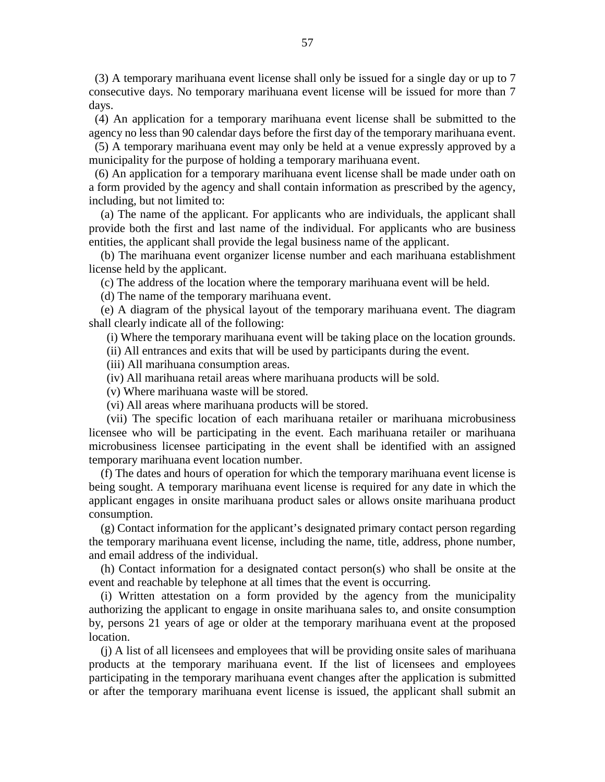(3) A temporary marihuana event license shall only be issued for a single day or up to 7 consecutive days. No temporary marihuana event license will be issued for more than 7 days.

 (4) An application for a temporary marihuana event license shall be submitted to the agency no less than 90 calendar days before the first day of the temporary marihuana event.

 (5) A temporary marihuana event may only be held at a venue expressly approved by a municipality for the purpose of holding a temporary marihuana event.

 (6) An application for a temporary marihuana event license shall be made under oath on a form provided by the agency and shall contain information as prescribed by the agency, including, but not limited to:

 (a) The name of the applicant. For applicants who are individuals, the applicant shall provide both the first and last name of the individual. For applicants who are business entities, the applicant shall provide the legal business name of the applicant.

 (b) The marihuana event organizer license number and each marihuana establishment license held by the applicant.

(c) The address of the location where the temporary marihuana event will be held.

(d) The name of the temporary marihuana event.

 (e) A diagram of the physical layout of the temporary marihuana event. The diagram shall clearly indicate all of the following:

(i) Where the temporary marihuana event will be taking place on the location grounds.

(ii) All entrances and exits that will be used by participants during the event.

(iii) All marihuana consumption areas.

(iv) All marihuana retail areas where marihuana products will be sold.

(v) Where marihuana waste will be stored.

(vi) All areas where marihuana products will be stored.

 (vii) The specific location of each marihuana retailer or marihuana microbusiness licensee who will be participating in the event. Each marihuana retailer or marihuana microbusiness licensee participating in the event shall be identified with an assigned temporary marihuana event location number.

 (f) The dates and hours of operation for which the temporary marihuana event license is being sought. A temporary marihuana event license is required for any date in which the applicant engages in onsite marihuana product sales or allows onsite marihuana product consumption.

 (g) Contact information for the applicant's designated primary contact person regarding the temporary marihuana event license, including the name, title, address, phone number, and email address of the individual.

 (h) Contact information for a designated contact person(s) who shall be onsite at the event and reachable by telephone at all times that the event is occurring.

 (i) Written attestation on a form provided by the agency from the municipality authorizing the applicant to engage in onsite marihuana sales to, and onsite consumption by, persons 21 years of age or older at the temporary marihuana event at the proposed location.

 (j) A list of all licensees and employees that will be providing onsite sales of marihuana products at the temporary marihuana event. If the list of licensees and employees participating in the temporary marihuana event changes after the application is submitted or after the temporary marihuana event license is issued, the applicant shall submit an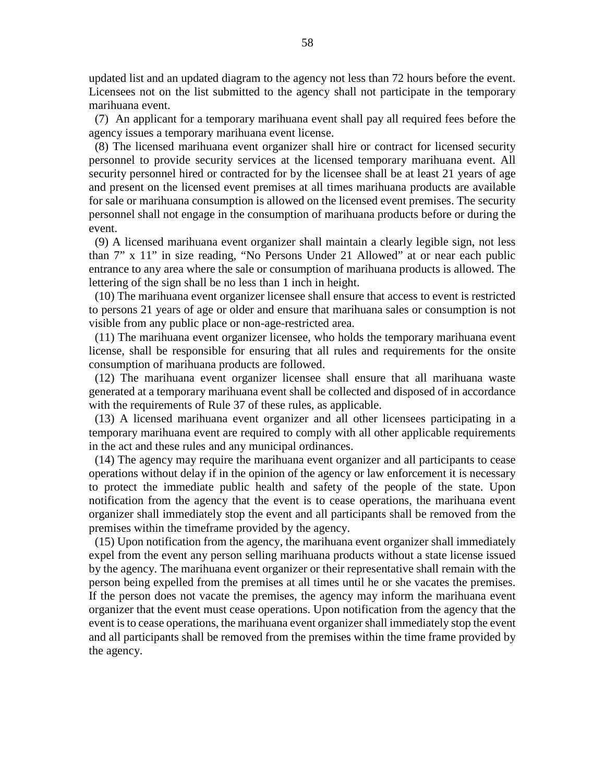updated list and an updated diagram to the agency not less than 72 hours before the event. Licensees not on the list submitted to the agency shall not participate in the temporary marihuana event.

 (7) An applicant for a temporary marihuana event shall pay all required fees before the agency issues a temporary marihuana event license.

 (8) The licensed marihuana event organizer shall hire or contract for licensed security personnel to provide security services at the licensed temporary marihuana event. All security personnel hired or contracted for by the licensee shall be at least 21 years of age and present on the licensed event premises at all times marihuana products are available for sale or marihuana consumption is allowed on the licensed event premises. The security personnel shall not engage in the consumption of marihuana products before or during the event.

 (9) A licensed marihuana event organizer shall maintain a clearly legible sign, not less than 7" x 11" in size reading, "No Persons Under 21 Allowed" at or near each public entrance to any area where the sale or consumption of marihuana products is allowed. The lettering of the sign shall be no less than 1 inch in height.

 (10) The marihuana event organizer licensee shall ensure that access to event is restricted to persons 21 years of age or older and ensure that marihuana sales or consumption is not visible from any public place or non-age-restricted area.

 (11) The marihuana event organizer licensee, who holds the temporary marihuana event license, shall be responsible for ensuring that all rules and requirements for the onsite consumption of marihuana products are followed.

 (12) The marihuana event organizer licensee shall ensure that all marihuana waste generated at a temporary marihuana event shall be collected and disposed of in accordance with the requirements of Rule 37 of these rules, as applicable.

 (13) A licensed marihuana event organizer and all other licensees participating in a temporary marihuana event are required to comply with all other applicable requirements in the act and these rules and any municipal ordinances.

 (14) The agency may require the marihuana event organizer and all participants to cease operations without delay if in the opinion of the agency or law enforcement it is necessary to protect the immediate public health and safety of the people of the state. Upon notification from the agency that the event is to cease operations, the marihuana event organizer shall immediately stop the event and all participants shall be removed from the premises within the timeframe provided by the agency.

 (15) Upon notification from the agency, the marihuana event organizer shall immediately expel from the event any person selling marihuana products without a state license issued by the agency. The marihuana event organizer or their representative shall remain with the person being expelled from the premises at all times until he or she vacates the premises. If the person does not vacate the premises, the agency may inform the marihuana event organizer that the event must cease operations. Upon notification from the agency that the event is to cease operations, the marihuana event organizer shall immediately stop the event and all participants shall be removed from the premises within the time frame provided by the agency.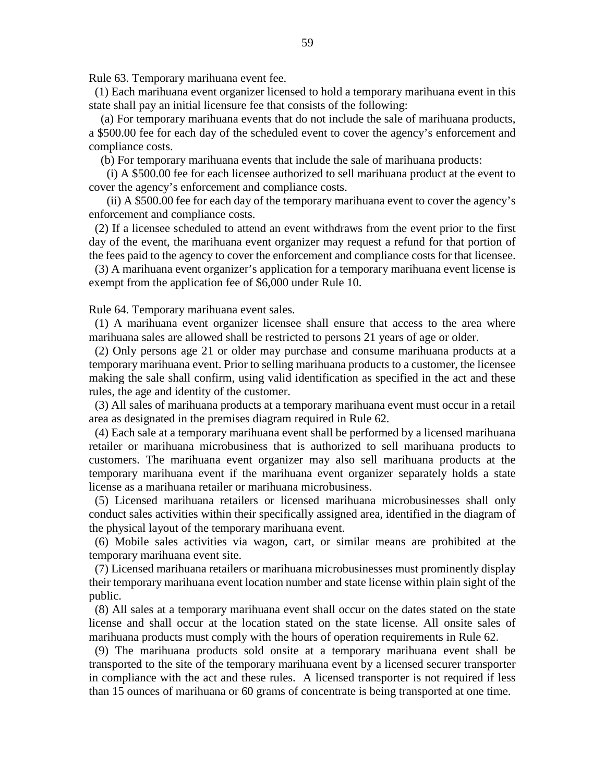Rule 63. Temporary marihuana event fee.

 (1) Each marihuana event organizer licensed to hold a temporary marihuana event in this state shall pay an initial licensure fee that consists of the following:

 (a) For temporary marihuana events that do not include the sale of marihuana products, a \$500.00 fee for each day of the scheduled event to cover the agency's enforcement and compliance costs.

(b) For temporary marihuana events that include the sale of marihuana products:

 (i) A \$500.00 fee for each licensee authorized to sell marihuana product at the event to cover the agency's enforcement and compliance costs.

 (ii) A \$500.00 fee for each day of the temporary marihuana event to cover the agency's enforcement and compliance costs.

 (2) If a licensee scheduled to attend an event withdraws from the event prior to the first day of the event, the marihuana event organizer may request a refund for that portion of the fees paid to the agency to cover the enforcement and compliance costs for that licensee.

 (3) A marihuana event organizer's application for a temporary marihuana event license is exempt from the application fee of \$6,000 under Rule 10.

Rule 64. Temporary marihuana event sales.

 (1) A marihuana event organizer licensee shall ensure that access to the area where marihuana sales are allowed shall be restricted to persons 21 years of age or older.

 (2) Only persons age 21 or older may purchase and consume marihuana products at a temporary marihuana event. Prior to selling marihuana products to a customer, the licensee making the sale shall confirm, using valid identification as specified in the act and these rules, the age and identity of the customer.

 (3) All sales of marihuana products at a temporary marihuana event must occur in a retail area as designated in the premises diagram required in Rule 62.

 (4) Each sale at a temporary marihuana event shall be performed by a licensed marihuana retailer or marihuana microbusiness that is authorized to sell marihuana products to customers. The marihuana event organizer may also sell marihuana products at the temporary marihuana event if the marihuana event organizer separately holds a state license as a marihuana retailer or marihuana microbusiness.

 (5) Licensed marihuana retailers or licensed marihuana microbusinesses shall only conduct sales activities within their specifically assigned area, identified in the diagram of the physical layout of the temporary marihuana event.

 (6) Mobile sales activities via wagon, cart, or similar means are prohibited at the temporary marihuana event site.

 (7) Licensed marihuana retailers or marihuana microbusinesses must prominently display their temporary marihuana event location number and state license within plain sight of the public.

 (8) All sales at a temporary marihuana event shall occur on the dates stated on the state license and shall occur at the location stated on the state license. All onsite sales of marihuana products must comply with the hours of operation requirements in Rule 62.

 (9) The marihuana products sold onsite at a temporary marihuana event shall be transported to the site of the temporary marihuana event by a licensed securer transporter in compliance with the act and these rules. A licensed transporter is not required if less than 15 ounces of marihuana or 60 grams of concentrate is being transported at one time.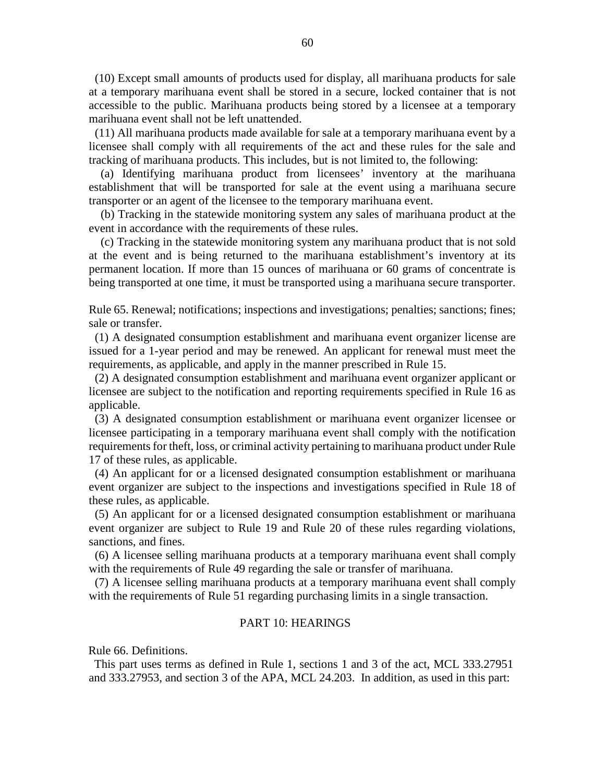(10) Except small amounts of products used for display, all marihuana products for sale at a temporary marihuana event shall be stored in a secure, locked container that is not accessible to the public. Marihuana products being stored by a licensee at a temporary marihuana event shall not be left unattended.

 (11) All marihuana products made available for sale at a temporary marihuana event by a licensee shall comply with all requirements of the act and these rules for the sale and tracking of marihuana products. This includes, but is not limited to, the following:

 (a) Identifying marihuana product from licensees' inventory at the marihuana establishment that will be transported for sale at the event using a marihuana secure transporter or an agent of the licensee to the temporary marihuana event.

 (b) Tracking in the statewide monitoring system any sales of marihuana product at the event in accordance with the requirements of these rules.

 (c) Tracking in the statewide monitoring system any marihuana product that is not sold at the event and is being returned to the marihuana establishment's inventory at its permanent location. If more than 15 ounces of marihuana or 60 grams of concentrate is being transported at one time, it must be transported using a marihuana secure transporter.

Rule 65. Renewal; notifications; inspections and investigations; penalties; sanctions; fines; sale or transfer.

 (1) A designated consumption establishment and marihuana event organizer license are issued for a 1-year period and may be renewed. An applicant for renewal must meet the requirements, as applicable, and apply in the manner prescribed in Rule 15.

 (2) A designated consumption establishment and marihuana event organizer applicant or licensee are subject to the notification and reporting requirements specified in Rule 16 as applicable.

 (3) A designated consumption establishment or marihuana event organizer licensee or licensee participating in a temporary marihuana event shall comply with the notification requirements for theft, loss, or criminal activity pertaining to marihuana product under Rule 17 of these rules, as applicable.

 (4) An applicant for or a licensed designated consumption establishment or marihuana event organizer are subject to the inspections and investigations specified in Rule 18 of these rules, as applicable.

 (5) An applicant for or a licensed designated consumption establishment or marihuana event organizer are subject to Rule 19 and Rule 20 of these rules regarding violations, sanctions, and fines.

 (6) A licensee selling marihuana products at a temporary marihuana event shall comply with the requirements of Rule 49 regarding the sale or transfer of marihuana.

 (7) A licensee selling marihuana products at a temporary marihuana event shall comply with the requirements of Rule 51 regarding purchasing limits in a single transaction.

#### PART 10: HEARINGS

Rule 66. Definitions.

 This part uses terms as defined in Rule 1, sections 1 and 3 of the act, MCL 333.27951 and 333.27953, and section 3 of the APA, MCL 24.203. In addition, as used in this part: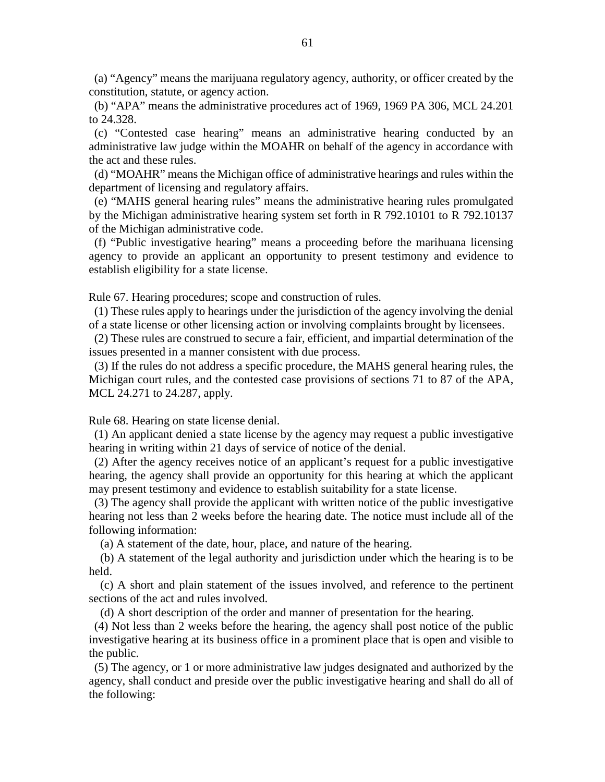(a) "Agency" means the marijuana regulatory agency, authority, or officer created by the constitution, statute, or agency action.

 (b) "APA" means the administrative procedures act of 1969, 1969 PA 306, MCL 24.201 to 24.328.

 (c) "Contested case hearing" means an administrative hearing conducted by an administrative law judge within the MOAHR on behalf of the agency in accordance with the act and these rules.

 (d) "MOAHR" means the Michigan office of administrative hearings and rules within the department of licensing and regulatory affairs.

 (e) "MAHS general hearing rules" means the administrative hearing rules promulgated by the Michigan administrative hearing system set forth in R 792.10101 to R 792.10137 of the Michigan administrative code.

 (f) "Public investigative hearing" means a proceeding before the marihuana licensing agency to provide an applicant an opportunity to present testimony and evidence to establish eligibility for a state license.

Rule 67. Hearing procedures; scope and construction of rules.

 (1) These rules apply to hearings under the jurisdiction of the agency involving the denial of a state license or other licensing action or involving complaints brought by licensees.

 (2) These rules are construed to secure a fair, efficient, and impartial determination of the issues presented in a manner consistent with due process.

 (3) If the rules do not address a specific procedure, the MAHS general hearing rules, the Michigan court rules, and the contested case provisions of sections 71 to 87 of the APA, MCL 24.271 to 24.287, apply.

Rule 68. Hearing on state license denial.

 (1) An applicant denied a state license by the agency may request a public investigative hearing in writing within 21 days of service of notice of the denial.

 (2) After the agency receives notice of an applicant's request for a public investigative hearing, the agency shall provide an opportunity for this hearing at which the applicant may present testimony and evidence to establish suitability for a state license.

 (3) The agency shall provide the applicant with written notice of the public investigative hearing not less than 2 weeks before the hearing date. The notice must include all of the following information:

(a) A statement of the date, hour, place, and nature of the hearing.

 (b) A statement of the legal authority and jurisdiction under which the hearing is to be held.

 (c) A short and plain statement of the issues involved, and reference to the pertinent sections of the act and rules involved.

(d) A short description of the order and manner of presentation for the hearing.

 (4) Not less than 2 weeks before the hearing, the agency shall post notice of the public investigative hearing at its business office in a prominent place that is open and visible to the public.

 (5) The agency, or 1 or more administrative law judges designated and authorized by the agency, shall conduct and preside over the public investigative hearing and shall do all of the following: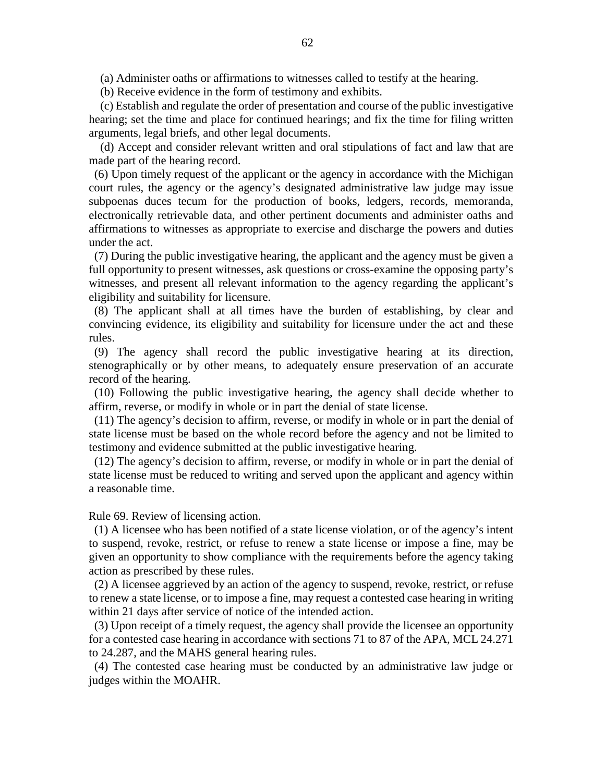(a) Administer oaths or affirmations to witnesses called to testify at the hearing.

(b) Receive evidence in the form of testimony and exhibits.

 (c) Establish and regulate the order of presentation and course of the public investigative hearing; set the time and place for continued hearings; and fix the time for filing written arguments, legal briefs, and other legal documents.

 (d) Accept and consider relevant written and oral stipulations of fact and law that are made part of the hearing record.

 (6) Upon timely request of the applicant or the agency in accordance with the Michigan court rules, the agency or the agency's designated administrative law judge may issue subpoenas duces tecum for the production of books, ledgers, records, memoranda, electronically retrievable data, and other pertinent documents and administer oaths and affirmations to witnesses as appropriate to exercise and discharge the powers and duties under the act.

 (7) During the public investigative hearing, the applicant and the agency must be given a full opportunity to present witnesses, ask questions or cross-examine the opposing party's witnesses, and present all relevant information to the agency regarding the applicant's eligibility and suitability for licensure.

 (8) The applicant shall at all times have the burden of establishing, by clear and convincing evidence, its eligibility and suitability for licensure under the act and these rules.

 (9) The agency shall record the public investigative hearing at its direction, stenographically or by other means, to adequately ensure preservation of an accurate record of the hearing.

 (10) Following the public investigative hearing, the agency shall decide whether to affirm, reverse, or modify in whole or in part the denial of state license.

 (11) The agency's decision to affirm, reverse, or modify in whole or in part the denial of state license must be based on the whole record before the agency and not be limited to testimony and evidence submitted at the public investigative hearing.

 (12) The agency's decision to affirm, reverse, or modify in whole or in part the denial of state license must be reduced to writing and served upon the applicant and agency within a reasonable time.

Rule 69. Review of licensing action.

 (1) A licensee who has been notified of a state license violation, or of the agency's intent to suspend, revoke, restrict, or refuse to renew a state license or impose a fine, may be given an opportunity to show compliance with the requirements before the agency taking action as prescribed by these rules.

 (2) A licensee aggrieved by an action of the agency to suspend, revoke, restrict, or refuse to renew a state license, or to impose a fine, may request a contested case hearing in writing within 21 days after service of notice of the intended action.

 (3) Upon receipt of a timely request, the agency shall provide the licensee an opportunity for a contested case hearing in accordance with sections 71 to 87 of the APA, MCL 24.271 to 24.287, and the MAHS general hearing rules.

 (4) The contested case hearing must be conducted by an administrative law judge or judges within the MOAHR.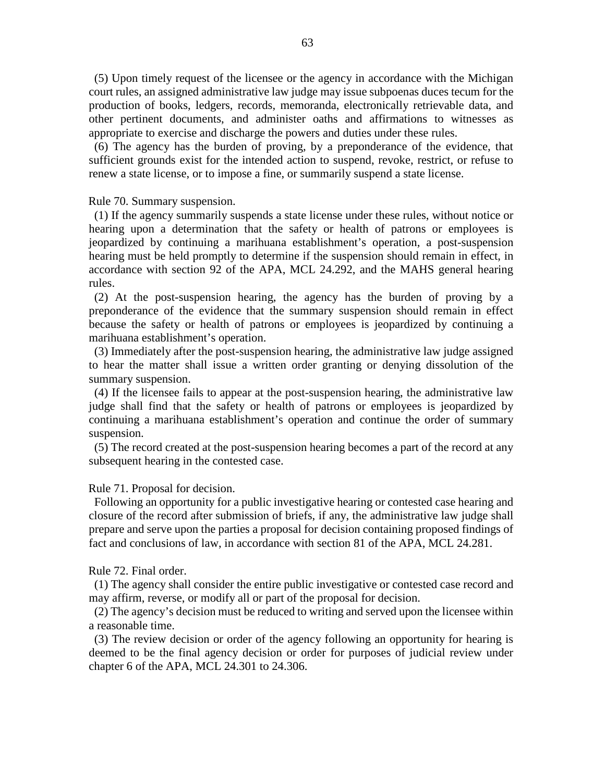(5) Upon timely request of the licensee or the agency in accordance with the Michigan court rules, an assigned administrative law judge may issue subpoenas duces tecum for the production of books, ledgers, records, memoranda, electronically retrievable data, and other pertinent documents, and administer oaths and affirmations to witnesses as appropriate to exercise and discharge the powers and duties under these rules.

 (6) The agency has the burden of proving, by a preponderance of the evidence, that sufficient grounds exist for the intended action to suspend, revoke, restrict, or refuse to renew a state license, or to impose a fine, or summarily suspend a state license.

Rule 70. Summary suspension.

 (1) If the agency summarily suspends a state license under these rules, without notice or hearing upon a determination that the safety or health of patrons or employees is jeopardized by continuing a marihuana establishment's operation, a post-suspension hearing must be held promptly to determine if the suspension should remain in effect, in accordance with section 92 of the APA, MCL 24.292, and the MAHS general hearing rules.

 (2) At the post-suspension hearing, the agency has the burden of proving by a preponderance of the evidence that the summary suspension should remain in effect because the safety or health of patrons or employees is jeopardized by continuing a marihuana establishment's operation.

 (3) Immediately after the post-suspension hearing, the administrative law judge assigned to hear the matter shall issue a written order granting or denying dissolution of the summary suspension.

 (4) If the licensee fails to appear at the post-suspension hearing, the administrative law judge shall find that the safety or health of patrons or employees is jeopardized by continuing a marihuana establishment's operation and continue the order of summary suspension.

 (5) The record created at the post-suspension hearing becomes a part of the record at any subsequent hearing in the contested case.

Rule 71. Proposal for decision.

 Following an opportunity for a public investigative hearing or contested case hearing and closure of the record after submission of briefs, if any, the administrative law judge shall prepare and serve upon the parties a proposal for decision containing proposed findings of fact and conclusions of law, in accordance with section 81 of the APA, MCL 24.281.

Rule 72. Final order.

 (1) The agency shall consider the entire public investigative or contested case record and may affirm, reverse, or modify all or part of the proposal for decision.

 (2) The agency's decision must be reduced to writing and served upon the licensee within a reasonable time.

 (3) The review decision or order of the agency following an opportunity for hearing is deemed to be the final agency decision or order for purposes of judicial review under chapter 6 of the APA, MCL 24.301 to 24.306.